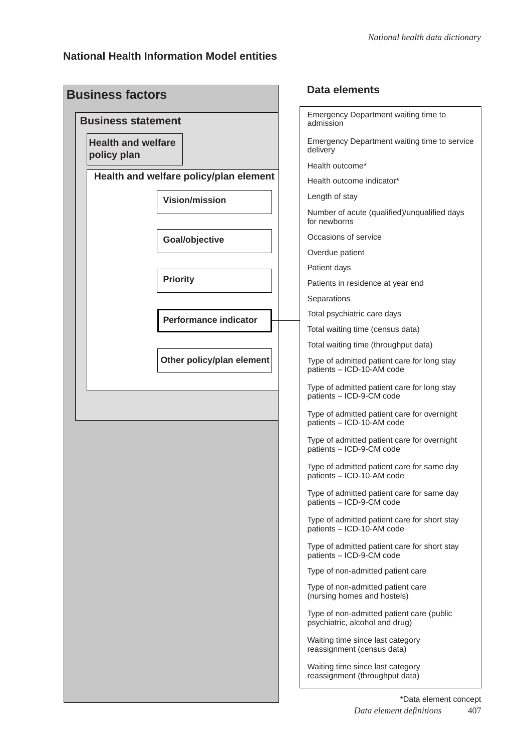### **National Health Information Model entities**

| <b>Business factors</b>                  |                                        | Data elements                                                               |
|------------------------------------------|----------------------------------------|-----------------------------------------------------------------------------|
| <b>Business statement</b>                |                                        | Emergency Department waiting time to<br>admission                           |
| <b>Health and welfare</b><br>policy plan |                                        | Emergency Department waiting time to service<br>delivery                    |
|                                          |                                        | Health outcome*                                                             |
|                                          | Health and welfare policy/plan element | Health outcome indicator*                                                   |
|                                          | <b>Vision/mission</b>                  | Length of stay                                                              |
|                                          |                                        | Number of acute (qualified)/unqualified days<br>for newborns                |
|                                          | Goal/objective                         | Occasions of service                                                        |
|                                          |                                        | Overdue patient                                                             |
|                                          |                                        | Patient days                                                                |
|                                          | <b>Priority</b>                        | Patients in residence at year end                                           |
|                                          |                                        | Separations                                                                 |
|                                          | <b>Performance indicator</b>           | Total psychiatric care days                                                 |
|                                          |                                        | Total waiting time (census data)                                            |
|                                          |                                        | Total waiting time (throughput data)                                        |
|                                          | Other policy/plan element              | Type of admitted patient care for long stay<br>patients - ICD-10-AM code    |
|                                          |                                        | Type of admitted patient care for long stay<br>patients - ICD-9-CM code     |
|                                          |                                        | Type of admitted patient care for overnight<br>patients - ICD-10-AM code    |
|                                          |                                        | Type of admitted patient care for overnight<br>patients - ICD-9-CM code     |
|                                          |                                        | Type of admitted patient care for same day<br>patients - ICD-10-AM code     |
|                                          |                                        | Type of admitted patient care for same day<br>patients - ICD-9-CM code      |
|                                          |                                        | Type of admitted patient care for short stay<br>patients - ICD-10-AM code   |
|                                          |                                        | Type of admitted patient care for short stay<br>patients - ICD-9-CM code    |
|                                          |                                        | Type of non-admitted patient care                                           |
|                                          |                                        | Type of non-admitted patient care<br>(nursing homes and hostels)            |
|                                          |                                        | Type of non-admitted patient care (public<br>psychiatric, alcohol and drug) |
|                                          |                                        | Waiting time since last category<br>reassignment (census data)              |
|                                          |                                        | Waiting time since last category<br>reassignment (throughput data)          |
|                                          |                                        |                                                                             |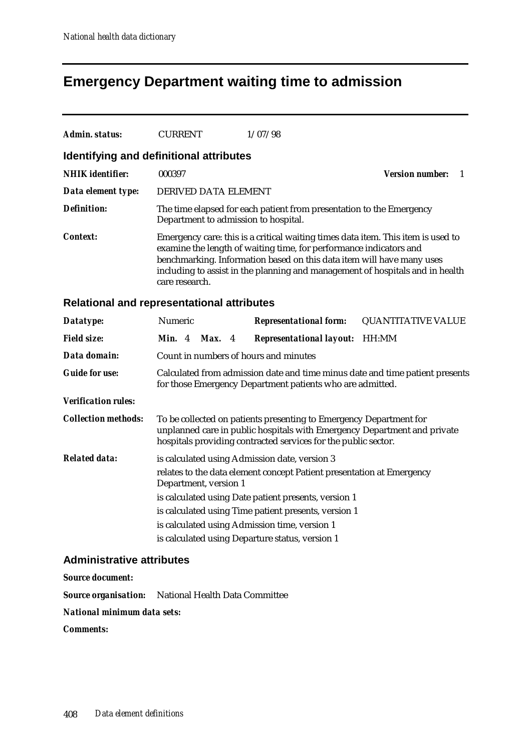## **Emergency Department waiting time to admission**

| <b>Admin. status:</b>                             | <b>CURRENT</b>                                                                                                                                                                                                                                                                                                                     |               | 1/07/98                                                              |                                        |  |
|---------------------------------------------------|------------------------------------------------------------------------------------------------------------------------------------------------------------------------------------------------------------------------------------------------------------------------------------------------------------------------------------|---------------|----------------------------------------------------------------------|----------------------------------------|--|
|                                                   |                                                                                                                                                                                                                                                                                                                                    |               |                                                                      |                                        |  |
| Identifying and definitional attributes           |                                                                                                                                                                                                                                                                                                                                    |               |                                                                      |                                        |  |
| <b>NHIK</b> identifier:                           | 000397                                                                                                                                                                                                                                                                                                                             |               |                                                                      | <b>Version number:</b><br>$\mathbf{1}$ |  |
| Data element type:                                | DERIVED DATA ELEMENT                                                                                                                                                                                                                                                                                                               |               |                                                                      |                                        |  |
| <b>Definition:</b>                                | Department to admission to hospital.                                                                                                                                                                                                                                                                                               |               | The time elapsed for each patient from presentation to the Emergency |                                        |  |
| Context:                                          | Emergency care: this is a critical waiting times data item. This item is used to<br>examine the length of waiting time, for performance indicators and<br>benchmarking. Information based on this data item will have many uses<br>including to assist in the planning and management of hospitals and in health<br>care research. |               |                                                                      |                                        |  |
| <b>Relational and representational attributes</b> |                                                                                                                                                                                                                                                                                                                                    |               |                                                                      |                                        |  |
| Datatype:                                         | Numeric                                                                                                                                                                                                                                                                                                                            |               | <b>Representational form:</b>                                        | <b>QUANTITATIVE VALUE</b>              |  |
| <b>Field size:</b>                                | <b>Min.</b> 4                                                                                                                                                                                                                                                                                                                      | <b>Max.</b> 4 | <b>Representational layout:</b> HH:MM                                |                                        |  |
| Data domain:                                      |                                                                                                                                                                                                                                                                                                                                    |               | Count in numbers of hours and minutes                                |                                        |  |
| <b>Guide for use:</b>                             | Calculated from admission date and time minus date and time patient presents<br>for those Emergency Department patients who are admitted.                                                                                                                                                                                          |               |                                                                      |                                        |  |
| <b>Verification rules:</b>                        |                                                                                                                                                                                                                                                                                                                                    |               |                                                                      |                                        |  |
| <b>Collection methods:</b>                        | To be collected on patients presenting to Emergency Department for<br>unplanned care in public hospitals with Emergency Department and private<br>hospitals providing contracted services for the public sector.                                                                                                                   |               |                                                                      |                                        |  |
| <b>Related data:</b>                              |                                                                                                                                                                                                                                                                                                                                    |               | is calculated using Admission date, version 3                        |                                        |  |
|                                                   | relates to the data element concept Patient presentation at Emergency<br>Department, version 1                                                                                                                                                                                                                                     |               |                                                                      |                                        |  |
|                                                   |                                                                                                                                                                                                                                                                                                                                    |               | is calculated using Date patient presents, version 1                 |                                        |  |
|                                                   |                                                                                                                                                                                                                                                                                                                                    |               | is calculated using Time patient presents, version 1                 |                                        |  |
|                                                   | is calculated using Admission time, version 1                                                                                                                                                                                                                                                                                      |               |                                                                      |                                        |  |
|                                                   |                                                                                                                                                                                                                                                                                                                                    |               | is calculated using Departure status, version 1                      |                                        |  |
| <b>Administrative attributes</b>                  |                                                                                                                                                                                                                                                                                                                                    |               |                                                                      |                                        |  |

*Source document:*

*Source organisation:* National Health Data Committee

*National minimum data sets:*

*Comments:*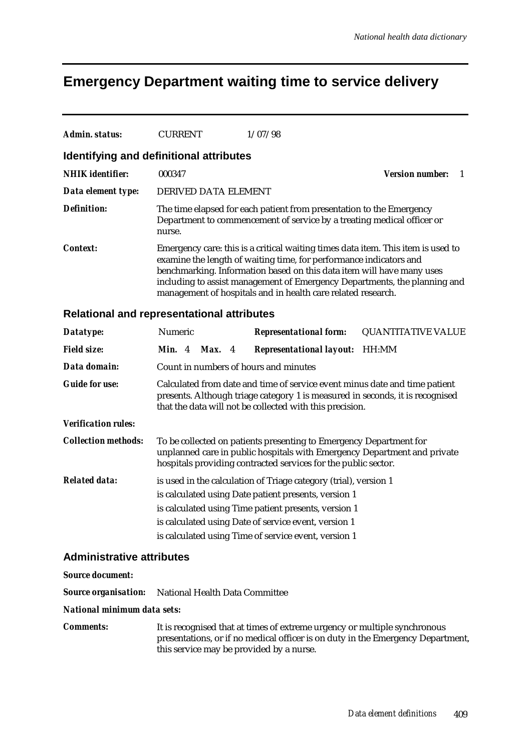### **Emergency Department waiting time to service delivery**

| Admin. status:                                    | <b>CURRENT</b>                                                                                                                                                                                                   |                                                                                                                                                                                                                                                                                                                                                                              | 1/07/98                                                                                                                                        |  |                             |
|---------------------------------------------------|------------------------------------------------------------------------------------------------------------------------------------------------------------------------------------------------------------------|------------------------------------------------------------------------------------------------------------------------------------------------------------------------------------------------------------------------------------------------------------------------------------------------------------------------------------------------------------------------------|------------------------------------------------------------------------------------------------------------------------------------------------|--|-----------------------------|
| <b>Identifying and definitional attributes</b>    |                                                                                                                                                                                                                  |                                                                                                                                                                                                                                                                                                                                                                              |                                                                                                                                                |  |                             |
| <b>NHIK</b> identifier:                           | 000347                                                                                                                                                                                                           |                                                                                                                                                                                                                                                                                                                                                                              |                                                                                                                                                |  | <b>Version number:</b><br>1 |
| Data element type:                                | DERIVED DATA ELEMENT                                                                                                                                                                                             |                                                                                                                                                                                                                                                                                                                                                                              |                                                                                                                                                |  |                             |
| <b>Definition:</b>                                | nurse.                                                                                                                                                                                                           |                                                                                                                                                                                                                                                                                                                                                                              | The time elapsed for each patient from presentation to the Emergency<br>Department to commencement of service by a treating medical officer or |  |                             |
| <b>Context:</b>                                   |                                                                                                                                                                                                                  | Emergency care: this is a critical waiting times data item. This item is used to<br>examine the length of waiting time, for performance indicators and<br>benchmarking. Information based on this data item will have many uses<br>including to assist management of Emergency Departments, the planning and<br>management of hospitals and in health care related research. |                                                                                                                                                |  |                             |
| <b>Relational and representational attributes</b> |                                                                                                                                                                                                                  |                                                                                                                                                                                                                                                                                                                                                                              |                                                                                                                                                |  |                             |
| Datatype:                                         | Numeric                                                                                                                                                                                                          |                                                                                                                                                                                                                                                                                                                                                                              | <b>Representational form:</b>                                                                                                                  |  | <b>QUANTITATIVE VALUE</b>   |
| <b>Field size:</b>                                | <b>Min.</b> 4                                                                                                                                                                                                    | Max. 4                                                                                                                                                                                                                                                                                                                                                                       | <b>Representational layout: HH:MM</b>                                                                                                          |  |                             |
| Data domain:                                      |                                                                                                                                                                                                                  |                                                                                                                                                                                                                                                                                                                                                                              | Count in numbers of hours and minutes                                                                                                          |  |                             |
| <b>Guide for use:</b>                             |                                                                                                                                                                                                                  | Calculated from date and time of service event minus date and time patient<br>presents. Although triage category 1 is measured in seconds, it is recognised<br>that the data will not be collected with this precision.                                                                                                                                                      |                                                                                                                                                |  |                             |
| <b>Verification rules:</b>                        |                                                                                                                                                                                                                  |                                                                                                                                                                                                                                                                                                                                                                              |                                                                                                                                                |  |                             |
| <b>Collection methods:</b>                        | To be collected on patients presenting to Emergency Department for<br>unplanned care in public hospitals with Emergency Department and private<br>hospitals providing contracted services for the public sector. |                                                                                                                                                                                                                                                                                                                                                                              |                                                                                                                                                |  |                             |
| <b>Related data:</b>                              |                                                                                                                                                                                                                  |                                                                                                                                                                                                                                                                                                                                                                              | is used in the calculation of Triage category (trial), version 1                                                                               |  |                             |
|                                                   |                                                                                                                                                                                                                  |                                                                                                                                                                                                                                                                                                                                                                              | is calculated using Date patient presents, version 1                                                                                           |  |                             |
|                                                   |                                                                                                                                                                                                                  |                                                                                                                                                                                                                                                                                                                                                                              | is calculated using Time patient presents, version 1                                                                                           |  |                             |
|                                                   |                                                                                                                                                                                                                  |                                                                                                                                                                                                                                                                                                                                                                              | is calculated using Date of service event, version 1                                                                                           |  |                             |
|                                                   |                                                                                                                                                                                                                  |                                                                                                                                                                                                                                                                                                                                                                              | is calculated using Time of service event, version 1                                                                                           |  |                             |
| <b>Administrative attributes</b>                  |                                                                                                                                                                                                                  |                                                                                                                                                                                                                                                                                                                                                                              |                                                                                                                                                |  |                             |

*Source document:*

*Source organisation:* National Health Data Committee

#### *National minimum data sets:*

*Comments:* It is recognised that at times of extreme urgency or multiple synchronous presentations, or if no medical officer is on duty in the Emergency Department, this service may be provided by a nurse.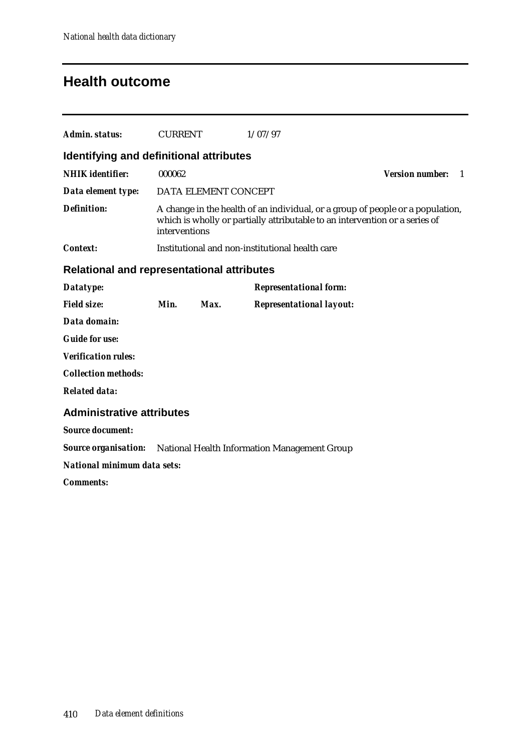## **Health outcome**

| Admin. status:                                    | <b>CURRENT</b> |                      | 1/07/97                                                                                                                                                       |                                        |
|---------------------------------------------------|----------------|----------------------|---------------------------------------------------------------------------------------------------------------------------------------------------------------|----------------------------------------|
| Identifying and definitional attributes           |                |                      |                                                                                                                                                               |                                        |
| <b>NHIK</b> identifier:                           | 000062         |                      |                                                                                                                                                               | <b>Version number:</b><br>$\mathbf{1}$ |
| Data element type:                                |                | DATA ELEMENT CONCEPT |                                                                                                                                                               |                                        |
| <b>Definition:</b>                                | interventions  |                      | A change in the health of an individual, or a group of people or a population,<br>which is wholly or partially attributable to an intervention or a series of |                                        |
| <b>Context:</b>                                   |                |                      | Institutional and non-institutional health care                                                                                                               |                                        |
| <b>Relational and representational attributes</b> |                |                      |                                                                                                                                                               |                                        |
| Datatype:                                         |                |                      | <b>Representational form:</b>                                                                                                                                 |                                        |
| <b>Field size:</b>                                | Min.           | Max.                 | <b>Representational layout:</b>                                                                                                                               |                                        |
| Data domain:                                      |                |                      |                                                                                                                                                               |                                        |
| <b>Guide for use:</b>                             |                |                      |                                                                                                                                                               |                                        |
| <b>Verification rules:</b>                        |                |                      |                                                                                                                                                               |                                        |
| <b>Collection methods:</b>                        |                |                      |                                                                                                                                                               |                                        |
| <b>Related data:</b>                              |                |                      |                                                                                                                                                               |                                        |
| <b>Administrative attributes</b>                  |                |                      |                                                                                                                                                               |                                        |
| <b>Source document:</b>                           |                |                      |                                                                                                                                                               |                                        |
|                                                   |                |                      | <b>Source organisation:</b> National Health Information Management Group                                                                                      |                                        |
| National minimum data sets:                       |                |                      |                                                                                                                                                               |                                        |
| <b>Comments:</b>                                  |                |                      |                                                                                                                                                               |                                        |
|                                                   |                |                      |                                                                                                                                                               |                                        |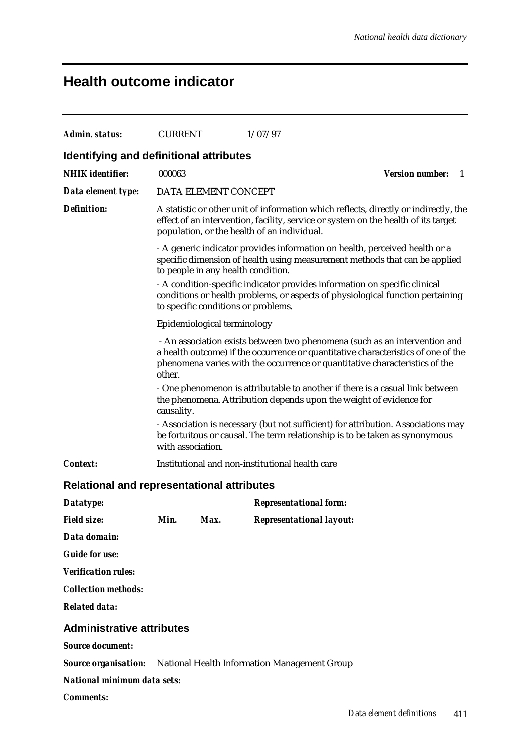## **Health outcome indicator**

| Admin. status:                             | <b>CURRENT</b>    |                                     | 1/07/97                                                                                                                                                                                                                                        |                        |    |
|--------------------------------------------|-------------------|-------------------------------------|------------------------------------------------------------------------------------------------------------------------------------------------------------------------------------------------------------------------------------------------|------------------------|----|
| Identifying and definitional attributes    |                   |                                     |                                                                                                                                                                                                                                                |                        |    |
| <b>NHIK</b> identifier:                    | 000063            |                                     |                                                                                                                                                                                                                                                | <b>Version number:</b> | -1 |
| Data element type:                         |                   | DATA ELEMENT CONCEPT                |                                                                                                                                                                                                                                                |                        |    |
| <b>Definition:</b>                         |                   |                                     | A statistic or other unit of information which reflects, directly or indirectly, the<br>effect of an intervention, facility, service or system on the health of its target<br>population, or the health of an individual.                      |                        |    |
|                                            |                   | to people in any health condition.  | - A generic indicator provides information on health, perceived health or a<br>specific dimension of health using measurement methods that can be applied                                                                                      |                        |    |
|                                            |                   | to specific conditions or problems. | - A condition-specific indicator provides information on specific clinical<br>conditions or health problems, or aspects of physiological function pertaining                                                                                   |                        |    |
|                                            |                   | Epidemiological terminology         |                                                                                                                                                                                                                                                |                        |    |
|                                            | other.            |                                     | - An association exists between two phenomena (such as an intervention and<br>a health outcome) if the occurrence or quantitative characteristics of one of the<br>phenomena varies with the occurrence or quantitative characteristics of the |                        |    |
|                                            | causality.        |                                     | - One phenomenon is attributable to another if there is a casual link between<br>the phenomena. Attribution depends upon the weight of evidence for                                                                                            |                        |    |
|                                            | with association. |                                     | - Association is necessary (but not sufficient) for attribution. Associations may<br>be fortuitous or causal. The term relationship is to be taken as synonymous                                                                               |                        |    |
| <b>Context:</b>                            |                   |                                     | Institutional and non-institutional health care                                                                                                                                                                                                |                        |    |
| Relational and representational attributes |                   |                                     |                                                                                                                                                                                                                                                |                        |    |
| Datatype:                                  |                   |                                     | <b>Representational form:</b>                                                                                                                                                                                                                  |                        |    |
| <b>Field size:</b>                         | Min.              | Max.                                | <b>Representational layout:</b>                                                                                                                                                                                                                |                        |    |
| Data domain:                               |                   |                                     |                                                                                                                                                                                                                                                |                        |    |
| <b>Guide for use:</b>                      |                   |                                     |                                                                                                                                                                                                                                                |                        |    |
| <b>Verification rules:</b>                 |                   |                                     |                                                                                                                                                                                                                                                |                        |    |
| <b>Collection methods:</b>                 |                   |                                     |                                                                                                                                                                                                                                                |                        |    |
| <b>Related data:</b>                       |                   |                                     |                                                                                                                                                                                                                                                |                        |    |
| <b>Administrative attributes</b>           |                   |                                     |                                                                                                                                                                                                                                                |                        |    |
| <b>Source document:</b>                    |                   |                                     |                                                                                                                                                                                                                                                |                        |    |
| <b>Source organisation:</b>                |                   |                                     | <b>National Health Information Management Group</b>                                                                                                                                                                                            |                        |    |
| National minimum data sets:                |                   |                                     |                                                                                                                                                                                                                                                |                        |    |
| <b>Comments:</b>                           |                   |                                     |                                                                                                                                                                                                                                                |                        |    |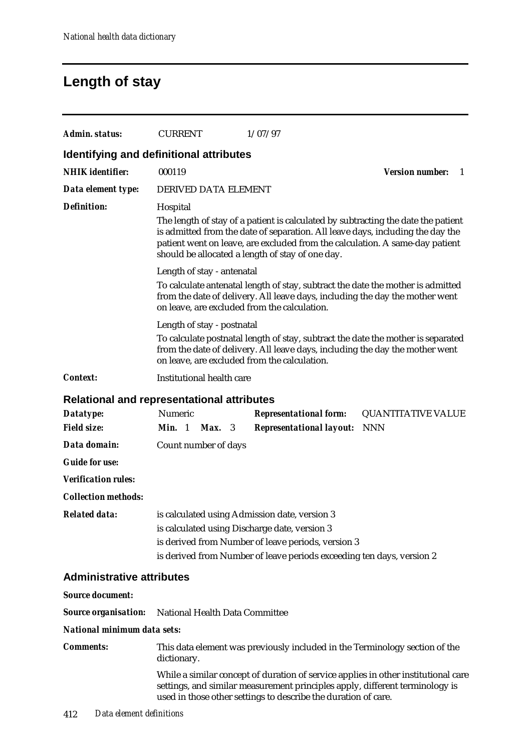## **Length of stay**

| Admin. status:                                    | <b>CURRENT</b>                 |                           | 1/07/97                                                                                                                                                                                                                                                                                                 |                                                                                    |  |
|---------------------------------------------------|--------------------------------|---------------------------|---------------------------------------------------------------------------------------------------------------------------------------------------------------------------------------------------------------------------------------------------------------------------------------------------------|------------------------------------------------------------------------------------|--|
| <b>Identifying and definitional attributes</b>    |                                |                           |                                                                                                                                                                                                                                                                                                         |                                                                                    |  |
| <b>NHIK</b> identifier:                           | 000119                         |                           |                                                                                                                                                                                                                                                                                                         | <b>Version number:</b><br>1                                                        |  |
| Data element type:                                | DERIVED DATA ELEMENT           |                           |                                                                                                                                                                                                                                                                                                         |                                                                                    |  |
| <b>Definition:</b>                                | Hospital                       |                           |                                                                                                                                                                                                                                                                                                         |                                                                                    |  |
|                                                   |                                |                           | The length of stay of a patient is calculated by subtracting the date the patient<br>is admitted from the date of separation. All leave days, including the day the<br>patient went on leave, are excluded from the calculation. A same-day patient<br>should be allocated a length of stay of one day. |                                                                                    |  |
|                                                   | Length of stay - antenatal     |                           |                                                                                                                                                                                                                                                                                                         |                                                                                    |  |
|                                                   |                                |                           | To calculate antenatal length of stay, subtract the date the mother is admitted<br>from the date of delivery. All leave days, including the day the mother went<br>on leave, are excluded from the calculation.                                                                                         |                                                                                    |  |
|                                                   | Length of stay - postnatal     |                           |                                                                                                                                                                                                                                                                                                         |                                                                                    |  |
|                                                   |                                |                           | To calculate postnatal length of stay, subtract the date the mother is separated<br>from the date of delivery. All leave days, including the day the mother went<br>on leave, are excluded from the calculation.                                                                                        |                                                                                    |  |
| Context:                                          |                                | Institutional health care |                                                                                                                                                                                                                                                                                                         |                                                                                    |  |
| <b>Relational and representational attributes</b> |                                |                           |                                                                                                                                                                                                                                                                                                         |                                                                                    |  |
| Datatype:                                         | Numeric                        |                           | <b>Representational form:</b>                                                                                                                                                                                                                                                                           | <b>QUANTITATIVE VALUE</b>                                                          |  |
| <b>Field size:</b>                                | Min. 1                         | Max.<br>- 3               | <b>Representational layout:</b>                                                                                                                                                                                                                                                                         | <b>NNN</b>                                                                         |  |
| Data domain:                                      | Count number of days           |                           |                                                                                                                                                                                                                                                                                                         |                                                                                    |  |
| <b>Guide for use:</b>                             |                                |                           |                                                                                                                                                                                                                                                                                                         |                                                                                    |  |
| <b>Verification rules:</b>                        |                                |                           |                                                                                                                                                                                                                                                                                                         |                                                                                    |  |
| <b>Collection methods:</b>                        |                                |                           |                                                                                                                                                                                                                                                                                                         |                                                                                    |  |
| Related data:                                     |                                |                           | is calculated using Admission date, version 3<br>is calculated using Discharge date, version 3<br>is derived from Number of leave periods, version 3<br>is derived from Number of leave periods exceeding ten days, version 2                                                                           |                                                                                    |  |
| <b>Administrative attributes</b>                  |                                |                           |                                                                                                                                                                                                                                                                                                         |                                                                                    |  |
| <b>Source document:</b>                           |                                |                           |                                                                                                                                                                                                                                                                                                         |                                                                                    |  |
| <b>Source organisation:</b>                       | National Health Data Committee |                           |                                                                                                                                                                                                                                                                                                         |                                                                                    |  |
| National minimum data sets:                       |                                |                           |                                                                                                                                                                                                                                                                                                         |                                                                                    |  |
| <b>Comments:</b>                                  | dictionary.                    |                           | This data element was previously included in the Terminology section of the                                                                                                                                                                                                                             |                                                                                    |  |
|                                                   |                                |                           | settings, and similar measurement principles apply, different terminology is<br>used in those other settings to describe the duration of care.                                                                                                                                                          | While a similar concept of duration of service applies in other institutional care |  |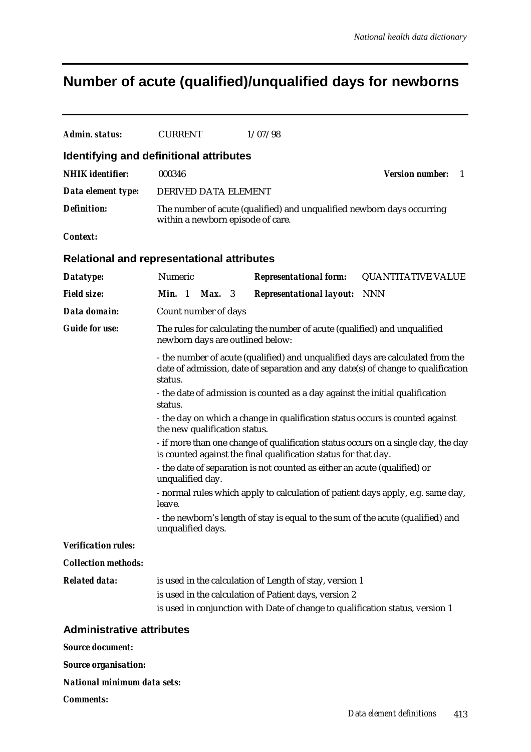## **Number of acute (qualified)/unqualified days for newborns**

| <b>Admin. status:</b>                             | <b>CURRENT</b>                                                                                                                                                                |                                   | 1/07/98                                                                         |                                                                                   |
|---------------------------------------------------|-------------------------------------------------------------------------------------------------------------------------------------------------------------------------------|-----------------------------------|---------------------------------------------------------------------------------|-----------------------------------------------------------------------------------|
| Identifying and definitional attributes           |                                                                                                                                                                               |                                   |                                                                                 |                                                                                   |
| <b>NHIK</b> identifier:                           | 000346                                                                                                                                                                        |                                   |                                                                                 | <b>Version number:</b><br>1                                                       |
| Data element type:                                |                                                                                                                                                                               | DERIVED DATA ELEMENT              |                                                                                 |                                                                                   |
| <b>Definition:</b>                                |                                                                                                                                                                               | within a newborn episode of care. | The number of acute (qualified) and unqualified newborn days occurring          |                                                                                   |
| Context:                                          |                                                                                                                                                                               |                                   |                                                                                 |                                                                                   |
| <b>Relational and representational attributes</b> |                                                                                                                                                                               |                                   |                                                                                 |                                                                                   |
| Datatype:                                         | Numeric                                                                                                                                                                       |                                   | <b>Representational form:</b>                                                   | <b>QUANTITATIVE VALUE</b>                                                         |
| <b>Field size:</b>                                | Min. 1                                                                                                                                                                        | Max. 3                            | <b>Representational layout:</b>                                                 | <b>NNN</b>                                                                        |
| Data domain:                                      |                                                                                                                                                                               | Count number of days              |                                                                                 |                                                                                   |
| <b>Guide for use:</b>                             | The rules for calculating the number of acute (qualified) and unqualified<br>newborn days are outlined below:                                                                 |                                   |                                                                                 |                                                                                   |
|                                                   | - the number of acute (qualified) and unqualified days are calculated from the<br>date of admission, date of separation and any date(s) of change to qualification<br>status. |                                   |                                                                                 |                                                                                   |
|                                                   | status.                                                                                                                                                                       |                                   | - the date of admission is counted as a day against the initial qualification   |                                                                                   |
|                                                   |                                                                                                                                                                               | the new qualification status.     | - the day on which a change in qualification status occurs is counted against   |                                                                                   |
|                                                   |                                                                                                                                                                               |                                   | is counted against the final qualification status for that day.                 | - if more than one change of qualification status occurs on a single day, the day |
|                                                   | unqualified day.                                                                                                                                                              |                                   | - the date of separation is not counted as either an acute (qualified) or       |                                                                                   |
|                                                   | leave.                                                                                                                                                                        |                                   | - normal rules which apply to calculation of patient days apply, e.g. same day, |                                                                                   |
|                                                   | unqualified days.                                                                                                                                                             |                                   | - the newborn's length of stay is equal to the sum of the acute (qualified) and |                                                                                   |
| <b>Verification rules:</b>                        |                                                                                                                                                                               |                                   |                                                                                 |                                                                                   |
| <b>Collection methods:</b>                        |                                                                                                                                                                               |                                   |                                                                                 |                                                                                   |
| <b>Related data:</b>                              |                                                                                                                                                                               |                                   | is used in the calculation of Length of stay, version 1                         |                                                                                   |
|                                                   |                                                                                                                                                                               |                                   | is used in the calculation of Patient days, version 2                           |                                                                                   |
|                                                   |                                                                                                                                                                               |                                   | is used in conjunction with Date of change to qualification status, version 1   |                                                                                   |
| <b>Administrative attributes</b>                  |                                                                                                                                                                               |                                   |                                                                                 |                                                                                   |
| <b>Source document:</b>                           |                                                                                                                                                                               |                                   |                                                                                 |                                                                                   |

*Source organisation:*

*National minimum data sets:*

*Comments:*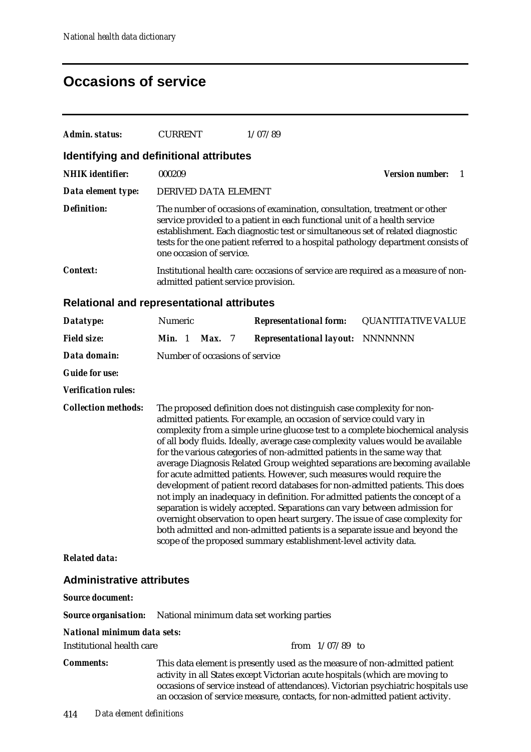## **Occasions of service**

| Admin. status:                                    | <b>CURRENT</b>                                                                                                                                                                                                                                                                                                                                                                                                                                                                                                                                                                                                                                                                                                                                                                                                                                                                                                                                                                                                                         | 1/07/89                                                                                                                                                                                                                                                                                                                         |                             |
|---------------------------------------------------|----------------------------------------------------------------------------------------------------------------------------------------------------------------------------------------------------------------------------------------------------------------------------------------------------------------------------------------------------------------------------------------------------------------------------------------------------------------------------------------------------------------------------------------------------------------------------------------------------------------------------------------------------------------------------------------------------------------------------------------------------------------------------------------------------------------------------------------------------------------------------------------------------------------------------------------------------------------------------------------------------------------------------------------|---------------------------------------------------------------------------------------------------------------------------------------------------------------------------------------------------------------------------------------------------------------------------------------------------------------------------------|-----------------------------|
| Identifying and definitional attributes           |                                                                                                                                                                                                                                                                                                                                                                                                                                                                                                                                                                                                                                                                                                                                                                                                                                                                                                                                                                                                                                        |                                                                                                                                                                                                                                                                                                                                 |                             |
| <b>NHIK</b> identifier:                           | 000209                                                                                                                                                                                                                                                                                                                                                                                                                                                                                                                                                                                                                                                                                                                                                                                                                                                                                                                                                                                                                                 |                                                                                                                                                                                                                                                                                                                                 | <b>Version number:</b><br>1 |
| Data element type:                                | DERIVED DATA ELEMENT                                                                                                                                                                                                                                                                                                                                                                                                                                                                                                                                                                                                                                                                                                                                                                                                                                                                                                                                                                                                                   |                                                                                                                                                                                                                                                                                                                                 |                             |
| <b>Definition:</b>                                | The number of occasions of examination, consultation, treatment or other<br>service provided to a patient in each functional unit of a health service<br>establishment. Each diagnostic test or simultaneous set of related diagnostic<br>tests for the one patient referred to a hospital pathology department consists of<br>one occasion of service.                                                                                                                                                                                                                                                                                                                                                                                                                                                                                                                                                                                                                                                                                |                                                                                                                                                                                                                                                                                                                                 |                             |
| <b>Context:</b>                                   | admitted patient service provision.                                                                                                                                                                                                                                                                                                                                                                                                                                                                                                                                                                                                                                                                                                                                                                                                                                                                                                                                                                                                    | Institutional health care: occasions of service are required as a measure of non-                                                                                                                                                                                                                                               |                             |
| <b>Relational and representational attributes</b> |                                                                                                                                                                                                                                                                                                                                                                                                                                                                                                                                                                                                                                                                                                                                                                                                                                                                                                                                                                                                                                        |                                                                                                                                                                                                                                                                                                                                 |                             |
| Datatype:                                         | Numeric                                                                                                                                                                                                                                                                                                                                                                                                                                                                                                                                                                                                                                                                                                                                                                                                                                                                                                                                                                                                                                | <b>Representational form:</b>                                                                                                                                                                                                                                                                                                   | <b>QUANTITATIVE VALUE</b>   |
| <b>Field size:</b>                                | Min. 1<br>Max.<br>-7                                                                                                                                                                                                                                                                                                                                                                                                                                                                                                                                                                                                                                                                                                                                                                                                                                                                                                                                                                                                                   | <b>Representational layout: NNNNNNN</b>                                                                                                                                                                                                                                                                                         |                             |
| Data domain:                                      | Number of occasions of service                                                                                                                                                                                                                                                                                                                                                                                                                                                                                                                                                                                                                                                                                                                                                                                                                                                                                                                                                                                                         |                                                                                                                                                                                                                                                                                                                                 |                             |
| <b>Guide for use:</b>                             |                                                                                                                                                                                                                                                                                                                                                                                                                                                                                                                                                                                                                                                                                                                                                                                                                                                                                                                                                                                                                                        |                                                                                                                                                                                                                                                                                                                                 |                             |
| <b>Verification rules:</b>                        |                                                                                                                                                                                                                                                                                                                                                                                                                                                                                                                                                                                                                                                                                                                                                                                                                                                                                                                                                                                                                                        |                                                                                                                                                                                                                                                                                                                                 |                             |
| <b>Collection methods:</b>                        | The proposed definition does not distinguish case complexity for non-<br>admitted patients. For example, an occasion of service could vary in<br>complexity from a simple urine glucose test to a complete biochemical analysis<br>of all body fluids. Ideally, average case complexity values would be available<br>for the various categories of non-admitted patients in the same way that<br>average Diagnosis Related Group weighted separations are becoming available<br>for acute admitted patients. However, such measures would require the<br>development of patient record databases for non-admitted patients. This does<br>not imply an inadequacy in definition. For admitted patients the concept of a<br>separation is widely accepted. Separations can vary between admission for<br>overnight observation to open heart surgery. The issue of case complexity for<br>both admitted and non-admitted patients is a separate issue and beyond the<br>scope of the proposed summary establishment-level activity data. |                                                                                                                                                                                                                                                                                                                                 |                             |
| <b>Related data:</b>                              |                                                                                                                                                                                                                                                                                                                                                                                                                                                                                                                                                                                                                                                                                                                                                                                                                                                                                                                                                                                                                                        |                                                                                                                                                                                                                                                                                                                                 |                             |
| <b>Administrative attributes</b>                  |                                                                                                                                                                                                                                                                                                                                                                                                                                                                                                                                                                                                                                                                                                                                                                                                                                                                                                                                                                                                                                        |                                                                                                                                                                                                                                                                                                                                 |                             |
| <b>Source document:</b>                           |                                                                                                                                                                                                                                                                                                                                                                                                                                                                                                                                                                                                                                                                                                                                                                                                                                                                                                                                                                                                                                        |                                                                                                                                                                                                                                                                                                                                 |                             |
| <b>Source organisation:</b>                       |                                                                                                                                                                                                                                                                                                                                                                                                                                                                                                                                                                                                                                                                                                                                                                                                                                                                                                                                                                                                                                        | National minimum data set working parties                                                                                                                                                                                                                                                                                       |                             |
| <b>National minimum data sets:</b>                |                                                                                                                                                                                                                                                                                                                                                                                                                                                                                                                                                                                                                                                                                                                                                                                                                                                                                                                                                                                                                                        |                                                                                                                                                                                                                                                                                                                                 |                             |
| <b>Institutional health care</b>                  |                                                                                                                                                                                                                                                                                                                                                                                                                                                                                                                                                                                                                                                                                                                                                                                                                                                                                                                                                                                                                                        | from $1/07/89$ to                                                                                                                                                                                                                                                                                                               |                             |
| <b>Comments:</b>                                  |                                                                                                                                                                                                                                                                                                                                                                                                                                                                                                                                                                                                                                                                                                                                                                                                                                                                                                                                                                                                                                        | This data element is presently used as the measure of non-admitted patient<br>activity in all States except Victorian acute hospitals (which are moving to<br>occasions of service instead of attendances). Victorian psychiatric hospitals use<br>an occasion of service measure, contacts, for non-admitted patient activity. |                             |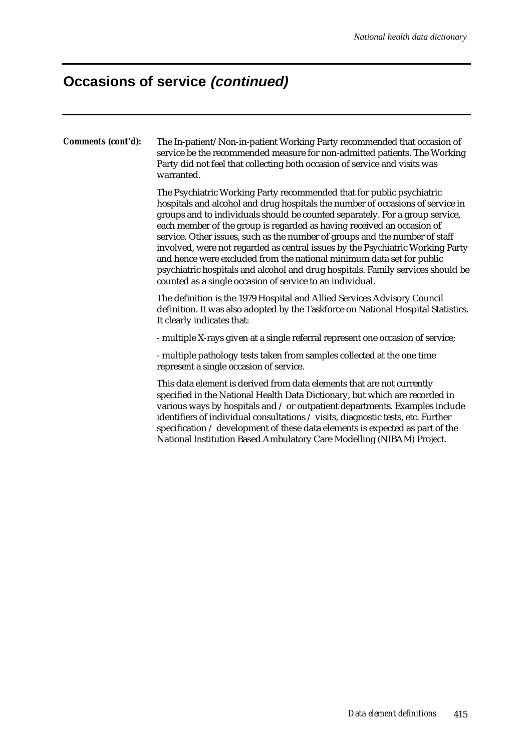### **Occasions of service (continued)**

### *Comments (cont'd):* The In-patient/Non-in-patient Working Party recommended that occasion of service be the recommended measure for non-admitted patients. The Working Party did not feel that collecting both occasion of service and visits was warranted. The Psychiatric Working Party recommended that for public psychiatric hospitals and alcohol and drug hospitals the number of occasions of service in groups and to individuals should be counted separately. For a group service, each member of the group is regarded as having received an occasion of service. Other issues, such as the number of groups and the number of staff involved, were not regarded as central issues by the Psychiatric Working Party and hence were excluded from the national minimum data set for public psychiatric hospitals and alcohol and drug hospitals. Family services should be counted as a single occasion of service to an individual. The definition is the 1979 Hospital and Allied Services Advisory Council definition. It was also adopted by the Taskforce on National Hospital Statistics. It clearly indicates that: - multiple X-rays given at a single referral represent one occasion of service;

- multiple pathology tests taken from samples collected at the one time represent a single occasion of service.

This data element is derived from data elements that are not currently specified in the National Health Data Dictionary, but which are recorded in various ways by hospitals and / or outpatient departments. Examples include identifiers of individual consultations / visits, diagnostic tests, etc. Further specification / development of these data elements is expected as part of the National Institution Based Ambulatory Care Modelling (NIBAM) Project.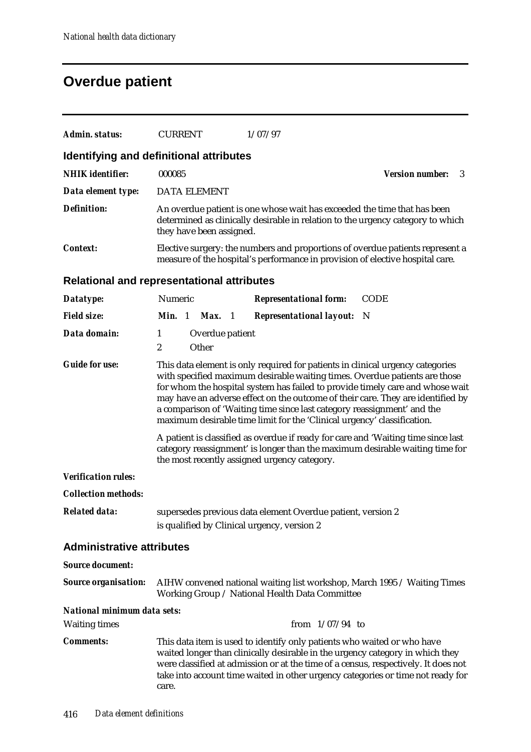## **Overdue patient**

| Admin. status:                                    | <b>CURRENT</b>                                                                                                                                                 |                          | 1/07/97                                                                                                                                                                                                                                                                                                            |                                                                                                                                                                       |  |
|---------------------------------------------------|----------------------------------------------------------------------------------------------------------------------------------------------------------------|--------------------------|--------------------------------------------------------------------------------------------------------------------------------------------------------------------------------------------------------------------------------------------------------------------------------------------------------------------|-----------------------------------------------------------------------------------------------------------------------------------------------------------------------|--|
| Identifying and definitional attributes           |                                                                                                                                                                |                          |                                                                                                                                                                                                                                                                                                                    |                                                                                                                                                                       |  |
| <b>NHIK</b> identifier:                           | 000085                                                                                                                                                         |                          |                                                                                                                                                                                                                                                                                                                    | <b>Version number:</b><br>3                                                                                                                                           |  |
| Data element type:                                | <b>DATA ELEMENT</b>                                                                                                                                            |                          |                                                                                                                                                                                                                                                                                                                    |                                                                                                                                                                       |  |
| <b>Definition:</b>                                |                                                                                                                                                                | they have been assigned. | An overdue patient is one whose wait has exceeded the time that has been                                                                                                                                                                                                                                           | determined as clinically desirable in relation to the urgency category to which                                                                                       |  |
| <b>Context:</b>                                   | Elective surgery: the numbers and proportions of overdue patients represent a<br>measure of the hospital's performance in provision of elective hospital care. |                          |                                                                                                                                                                                                                                                                                                                    |                                                                                                                                                                       |  |
| <b>Relational and representational attributes</b> |                                                                                                                                                                |                          |                                                                                                                                                                                                                                                                                                                    |                                                                                                                                                                       |  |
| Datatype:                                         | Numeric                                                                                                                                                        |                          | <b>Representational form:</b>                                                                                                                                                                                                                                                                                      | <b>CODE</b>                                                                                                                                                           |  |
| <b>Field size:</b>                                | Min. 1                                                                                                                                                         | <b>Max.</b> 1            | <b>Representational layout:</b>                                                                                                                                                                                                                                                                                    | - N                                                                                                                                                                   |  |
| Data domain:                                      | 1<br>$\boldsymbol{2}$                                                                                                                                          | Overdue patient<br>Other |                                                                                                                                                                                                                                                                                                                    |                                                                                                                                                                       |  |
| <b>Guide for use:</b>                             |                                                                                                                                                                |                          | This data element is only required for patients in clinical urgency categories<br>with specified maximum desirable waiting times. Overdue patients are those<br>a comparison of 'Waiting time since last category reassignment' and the<br>maximum desirable time limit for the 'Clinical urgency' classification. | for whom the hospital system has failed to provide timely care and whose wait<br>may have an adverse effect on the outcome of their care. They are identified by      |  |
|                                                   |                                                                                                                                                                |                          | the most recently assigned urgency category.                                                                                                                                                                                                                                                                       | A patient is classified as overdue if ready for care and 'Waiting time since last<br>category reassignment' is longer than the maximum desirable waiting time for     |  |
| <b>Verification rules:</b>                        |                                                                                                                                                                |                          |                                                                                                                                                                                                                                                                                                                    |                                                                                                                                                                       |  |
| <b>Collection methods:</b>                        |                                                                                                                                                                |                          |                                                                                                                                                                                                                                                                                                                    |                                                                                                                                                                       |  |
| <b>Related data:</b>                              | supersedes previous data element Overdue patient, version 2<br>is qualified by Clinical urgency, version 2                                                     |                          |                                                                                                                                                                                                                                                                                                                    |                                                                                                                                                                       |  |
| <b>Administrative attributes</b>                  |                                                                                                                                                                |                          |                                                                                                                                                                                                                                                                                                                    |                                                                                                                                                                       |  |
| <b>Source document:</b>                           |                                                                                                                                                                |                          |                                                                                                                                                                                                                                                                                                                    |                                                                                                                                                                       |  |
| Source organisation:                              |                                                                                                                                                                |                          | Working Group / National Health Data Committee                                                                                                                                                                                                                                                                     | AIHW convened national waiting list workshop, March 1995 / Waiting Times                                                                                              |  |
| National minimum data sets:                       |                                                                                                                                                                |                          |                                                                                                                                                                                                                                                                                                                    |                                                                                                                                                                       |  |
| <b>Waiting times</b>                              |                                                                                                                                                                |                          | from $1/07/94$ to                                                                                                                                                                                                                                                                                                  |                                                                                                                                                                       |  |
| <b>Comments:</b>                                  | care.                                                                                                                                                          |                          | This data item is used to identify only patients who waited or who have<br>waited longer than clinically desirable in the urgency category in which they                                                                                                                                                           | were classified at admission or at the time of a census, respectively. It does not<br>take into account time waited in other urgency categories or time not ready for |  |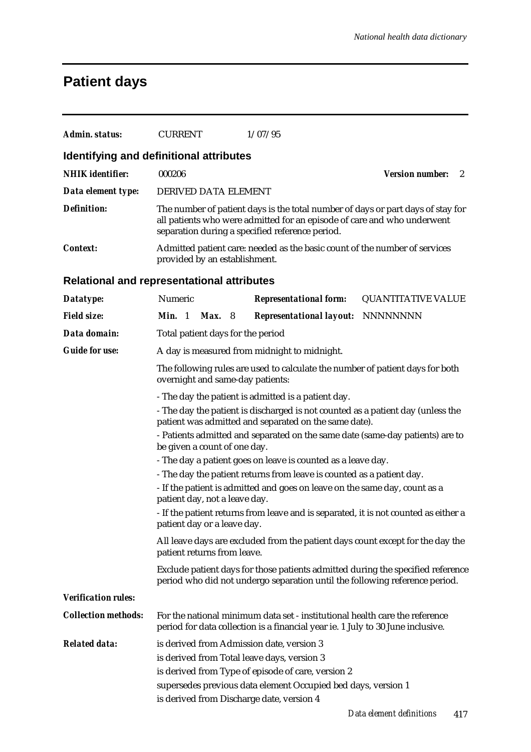# **Patient days**

| Admin. status:                                    | <b>CURRENT</b>                                                                                                                                                                                                                                                                                                                                                                   | 1/07/95                                                                                                                                                                                                       |                             |  |  |  |  |
|---------------------------------------------------|----------------------------------------------------------------------------------------------------------------------------------------------------------------------------------------------------------------------------------------------------------------------------------------------------------------------------------------------------------------------------------|---------------------------------------------------------------------------------------------------------------------------------------------------------------------------------------------------------------|-----------------------------|--|--|--|--|
| Identifying and definitional attributes           |                                                                                                                                                                                                                                                                                                                                                                                  |                                                                                                                                                                                                               |                             |  |  |  |  |
| <b>NHIK</b> identifier:                           | 000206                                                                                                                                                                                                                                                                                                                                                                           |                                                                                                                                                                                                               | <b>Version number:</b><br>2 |  |  |  |  |
| Data element type:                                | DERIVED DATA ELEMENT                                                                                                                                                                                                                                                                                                                                                             |                                                                                                                                                                                                               |                             |  |  |  |  |
| <b>Definition:</b>                                |                                                                                                                                                                                                                                                                                                                                                                                  | The number of patient days is the total number of days or part days of stay for<br>all patients who were admitted for an episode of care and who underwent<br>separation during a specified reference period. |                             |  |  |  |  |
| <b>Context:</b>                                   | Admitted patient care: needed as the basic count of the number of services<br>provided by an establishment.                                                                                                                                                                                                                                                                      |                                                                                                                                                                                                               |                             |  |  |  |  |
| <b>Relational and representational attributes</b> |                                                                                                                                                                                                                                                                                                                                                                                  |                                                                                                                                                                                                               |                             |  |  |  |  |
| Datatype:                                         | Numeric                                                                                                                                                                                                                                                                                                                                                                          | <b>Representational form:</b>                                                                                                                                                                                 | <b>QUANTITATIVE VALUE</b>   |  |  |  |  |
| <b>Field size:</b>                                | Min. 1<br><b>Max.</b> 8                                                                                                                                                                                                                                                                                                                                                          | <b>Representational layout: NNNNNNNN</b>                                                                                                                                                                      |                             |  |  |  |  |
| Data domain:                                      | Total patient days for the period                                                                                                                                                                                                                                                                                                                                                |                                                                                                                                                                                                               |                             |  |  |  |  |
| <b>Guide for use:</b>                             |                                                                                                                                                                                                                                                                                                                                                                                  | A day is measured from midnight to midnight.                                                                                                                                                                  |                             |  |  |  |  |
|                                                   | The following rules are used to calculate the number of patient days for both<br>overnight and same-day patients:                                                                                                                                                                                                                                                                |                                                                                                                                                                                                               |                             |  |  |  |  |
|                                                   | - The day the patient is admitted is a patient day.<br>- The day the patient is discharged is not counted as a patient day (unless the<br>patient was admitted and separated on the same date).<br>- Patients admitted and separated on the same date (same-day patients) are to<br>be given a count of one day.<br>- The day a patient goes on leave is counted as a leave day. |                                                                                                                                                                                                               |                             |  |  |  |  |
|                                                   |                                                                                                                                                                                                                                                                                                                                                                                  | - The day the patient returns from leave is counted as a patient day.                                                                                                                                         |                             |  |  |  |  |
|                                                   | patient day, not a leave day.                                                                                                                                                                                                                                                                                                                                                    | - If the patient is admitted and goes on leave on the same day, count as a                                                                                                                                    |                             |  |  |  |  |
|                                                   | patient day or a leave day.                                                                                                                                                                                                                                                                                                                                                      | - If the patient returns from leave and is separated, it is not counted as either a                                                                                                                           |                             |  |  |  |  |
|                                                   | patient returns from leave.                                                                                                                                                                                                                                                                                                                                                      | All leave days are excluded from the patient days count except for the day the                                                                                                                                |                             |  |  |  |  |
|                                                   |                                                                                                                                                                                                                                                                                                                                                                                  | Exclude patient days for those patients admitted during the specified reference<br>period who did not undergo separation until the following reference period.                                                |                             |  |  |  |  |
| <b>Verification rules:</b>                        |                                                                                                                                                                                                                                                                                                                                                                                  |                                                                                                                                                                                                               |                             |  |  |  |  |
| <b>Collection methods:</b>                        |                                                                                                                                                                                                                                                                                                                                                                                  | For the national minimum data set - institutional health care the reference<br>period for data collection is a financial year ie. 1 July to 30 June inclusive.                                                |                             |  |  |  |  |
| <b>Related data:</b>                              | is derived from Admission date, version 3<br>is derived from Total leave days, version 3<br>is derived from Discharge date, version 4                                                                                                                                                                                                                                            | is derived from Type of episode of care, version 2<br>supersedes previous data element Occupied bed days, version 1                                                                                           |                             |  |  |  |  |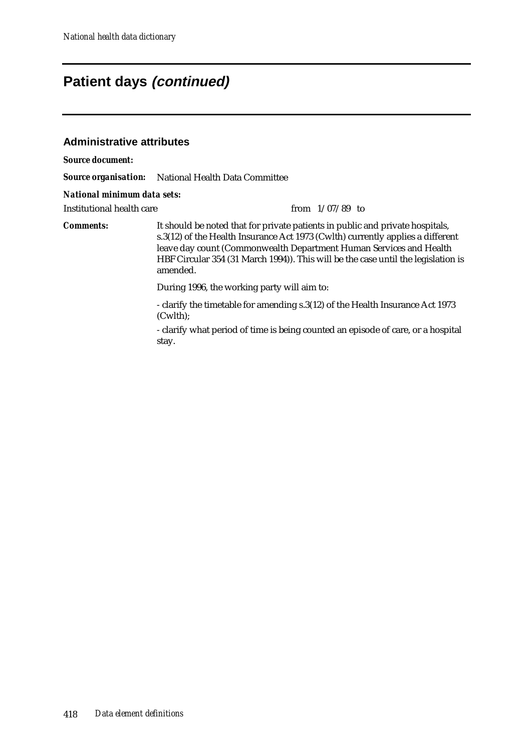### **Patient days (continued)**

#### **Administrative attributes**

*Source document:*

*Source organisation:* National Health Data Committee

*National minimum data sets:*

Institutional health care from 1/07/89 to

*Comments:* It should be noted that for private patients in public and private hospitals, s.3(12) of the Health Insurance Act 1973 (Cwlth) currently applies a different leave day count (Commonwealth Department Human Services and Health HBF Circular 354 (31 March 1994)). This will be the case until the legislation is amended.

During 1996, the working party will aim to:

- clarify the timetable for amending s.3(12) of the Health Insurance Act 1973 (Cwlth);

- clarify what period of time is being counted an episode of care, or a hospital stay.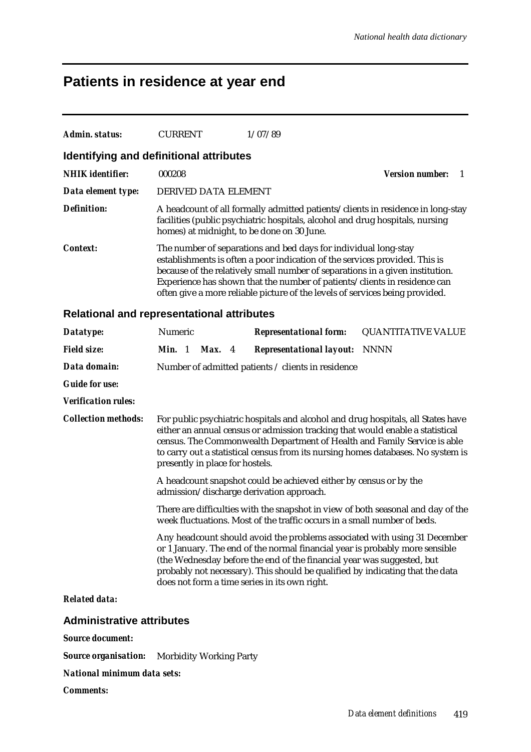# **Patients in residence at year end**

| <b>Admin. status:</b>                      | <b>CURRENT</b>                                                                                                                                                                                                                                                                                                                                                                               | 1/07/89                                                                                                                                                                                                                                                                                                                                                               |                              |  |  |
|--------------------------------------------|----------------------------------------------------------------------------------------------------------------------------------------------------------------------------------------------------------------------------------------------------------------------------------------------------------------------------------------------------------------------------------------------|-----------------------------------------------------------------------------------------------------------------------------------------------------------------------------------------------------------------------------------------------------------------------------------------------------------------------------------------------------------------------|------------------------------|--|--|
| Identifying and definitional attributes    |                                                                                                                                                                                                                                                                                                                                                                                              |                                                                                                                                                                                                                                                                                                                                                                       |                              |  |  |
| <b>NHIK</b> identifier:                    | 000208                                                                                                                                                                                                                                                                                                                                                                                       |                                                                                                                                                                                                                                                                                                                                                                       | <b>Version number:</b><br>-1 |  |  |
| Data element type:                         | DERIVED DATA ELEMENT                                                                                                                                                                                                                                                                                                                                                                         |                                                                                                                                                                                                                                                                                                                                                                       |                              |  |  |
| <b>Definition:</b>                         | A headcount of all formally admitted patients/clients in residence in long-stay<br>facilities (public psychiatric hospitals, alcohol and drug hospitals, nursing<br>homes) at midnight, to be done on 30 June.                                                                                                                                                                               |                                                                                                                                                                                                                                                                                                                                                                       |                              |  |  |
| <b>Context:</b>                            | The number of separations and bed days for individual long-stay<br>establishments is often a poor indication of the services provided. This is<br>because of the relatively small number of separations in a given institution.<br>Experience has shown that the number of patients/clients in residence can<br>often give a more reliable picture of the levels of services being provided. |                                                                                                                                                                                                                                                                                                                                                                       |                              |  |  |
| Relational and representational attributes |                                                                                                                                                                                                                                                                                                                                                                                              |                                                                                                                                                                                                                                                                                                                                                                       |                              |  |  |
| Datatype:                                  | Numeric                                                                                                                                                                                                                                                                                                                                                                                      | <b>Representational form:</b>                                                                                                                                                                                                                                                                                                                                         | <b>QUANTITATIVE VALUE</b>    |  |  |
| <b>Field size:</b>                         | Min. 1<br><b>Max.</b> 4                                                                                                                                                                                                                                                                                                                                                                      | <b>Representational layout: NNNN</b>                                                                                                                                                                                                                                                                                                                                  |                              |  |  |
| Data domain:                               |                                                                                                                                                                                                                                                                                                                                                                                              | Number of admitted patients / clients in residence                                                                                                                                                                                                                                                                                                                    |                              |  |  |
| <b>Guide for use:</b>                      |                                                                                                                                                                                                                                                                                                                                                                                              |                                                                                                                                                                                                                                                                                                                                                                       |                              |  |  |
| <b>Verification rules:</b>                 |                                                                                                                                                                                                                                                                                                                                                                                              |                                                                                                                                                                                                                                                                                                                                                                       |                              |  |  |
| <b>Collection methods:</b>                 | For public psychiatric hospitals and alcohol and drug hospitals, all States have<br>either an annual census or admission tracking that would enable a statistical<br>census. The Commonwealth Department of Health and Family Service is able<br>to carry out a statistical census from its nursing homes databases. No system is<br>presently in place for hostels.                         |                                                                                                                                                                                                                                                                                                                                                                       |                              |  |  |
|                                            | admission/discharge derivation approach.                                                                                                                                                                                                                                                                                                                                                     | A headcount snapshot could be achieved either by census or by the                                                                                                                                                                                                                                                                                                     |                              |  |  |
|                                            |                                                                                                                                                                                                                                                                                                                                                                                              | There are difficulties with the snapshot in view of both seasonal and day of the<br>week fluctuations. Most of the traffic occurs in a small number of beds.                                                                                                                                                                                                          |                              |  |  |
|                                            |                                                                                                                                                                                                                                                                                                                                                                                              | Any headcount should avoid the problems associated with using 31 December<br>or 1 January. The end of the normal financial year is probably more sensible<br>(the Wednesday before the end of the financial year was suggested, but<br>probably not necessary). This should be qualified by indicating that the data<br>does not form a time series in its own right. |                              |  |  |
| <b>Related data:</b>                       |                                                                                                                                                                                                                                                                                                                                                                                              |                                                                                                                                                                                                                                                                                                                                                                       |                              |  |  |
| <b>Administrative attributes</b>           |                                                                                                                                                                                                                                                                                                                                                                                              |                                                                                                                                                                                                                                                                                                                                                                       |                              |  |  |
| <b>Source document:</b>                    |                                                                                                                                                                                                                                                                                                                                                                                              |                                                                                                                                                                                                                                                                                                                                                                       |                              |  |  |
| <b>Source organisation:</b>                | <b>Morbidity Working Party</b>                                                                                                                                                                                                                                                                                                                                                               |                                                                                                                                                                                                                                                                                                                                                                       |                              |  |  |
| <b>National minimum data sets:</b>         |                                                                                                                                                                                                                                                                                                                                                                                              |                                                                                                                                                                                                                                                                                                                                                                       |                              |  |  |
| <b>Comments:</b>                           |                                                                                                                                                                                                                                                                                                                                                                                              |                                                                                                                                                                                                                                                                                                                                                                       |                              |  |  |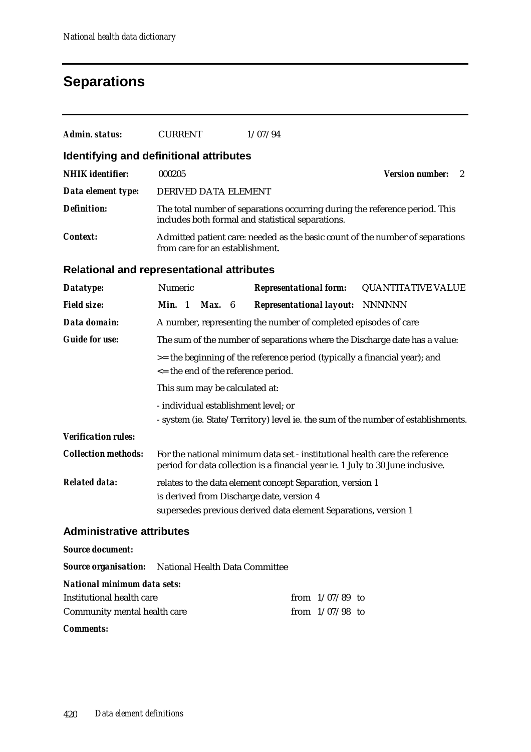# **Separations**

| Admin. status:                                             | <b>CURRENT</b>                                                                                                                                                            | 1/07/94                                                                                                                                                        |                             |
|------------------------------------------------------------|---------------------------------------------------------------------------------------------------------------------------------------------------------------------------|----------------------------------------------------------------------------------------------------------------------------------------------------------------|-----------------------------|
| Identifying and definitional attributes                    |                                                                                                                                                                           |                                                                                                                                                                |                             |
| <b>NHIK</b> identifier:                                    | 000205                                                                                                                                                                    |                                                                                                                                                                | <b>Version number:</b><br>2 |
| Data element type:                                         | <b>DERIVED DATA ELEMENT</b>                                                                                                                                               |                                                                                                                                                                |                             |
| <b>Definition:</b>                                         |                                                                                                                                                                           | The total number of separations occurring during the reference period. This<br>includes both formal and statistical separations.                               |                             |
| <b>Context:</b>                                            | from care for an establishment.                                                                                                                                           | Admitted patient care: needed as the basic count of the number of separations                                                                                  |                             |
| Relational and representational attributes                 |                                                                                                                                                                           |                                                                                                                                                                |                             |
| Datatype:                                                  | Numeric                                                                                                                                                                   | <b>Representational form:</b>                                                                                                                                  | <b>QUANTITATIVE VALUE</b>   |
| <b>Field size:</b>                                         | Min. 1<br>Max. 6                                                                                                                                                          | <b>Representational layout: NNNNNN</b>                                                                                                                         |                             |
| Data domain:                                               |                                                                                                                                                                           | A number, representing the number of completed episodes of care                                                                                                |                             |
| <b>Guide for use:</b>                                      |                                                                                                                                                                           | The sum of the number of separations where the Discharge date has a value:                                                                                     |                             |
|                                                            | > = the beginning of the reference period (typically a financial year); and<br><= the end of the reference period.                                                        |                                                                                                                                                                |                             |
|                                                            | This sum may be calculated at:                                                                                                                                            |                                                                                                                                                                |                             |
|                                                            | - individual establishment level; or                                                                                                                                      |                                                                                                                                                                |                             |
|                                                            |                                                                                                                                                                           | - system (ie. State/Territory) level ie. the sum of the number of establishments.                                                                              |                             |
| <b>Verification rules:</b>                                 |                                                                                                                                                                           |                                                                                                                                                                |                             |
| <b>Collection methods:</b>                                 |                                                                                                                                                                           | For the national minimum data set - institutional health care the reference<br>period for data collection is a financial year ie. 1 July to 30 June inclusive. |                             |
| <b>Related data:</b>                                       | relates to the data element concept Separation, version 1<br>is derived from Discharge date, version 4<br>supersedes previous derived data element Separations, version 1 |                                                                                                                                                                |                             |
| <b>Administrative attributes</b>                           |                                                                                                                                                                           |                                                                                                                                                                |                             |
| <b>Source document:</b>                                    |                                                                                                                                                                           |                                                                                                                                                                |                             |
| <b>Source organisation:</b> National Health Data Committee |                                                                                                                                                                           |                                                                                                                                                                |                             |
| <b>National minimum data sets:</b>                         |                                                                                                                                                                           |                                                                                                                                                                |                             |
| Institutional health care                                  |                                                                                                                                                                           | from $1/07/89$ to                                                                                                                                              |                             |
| Community mental health care                               |                                                                                                                                                                           | from $1/07/98$ to                                                                                                                                              |                             |
| <b>Comments:</b>                                           |                                                                                                                                                                           |                                                                                                                                                                |                             |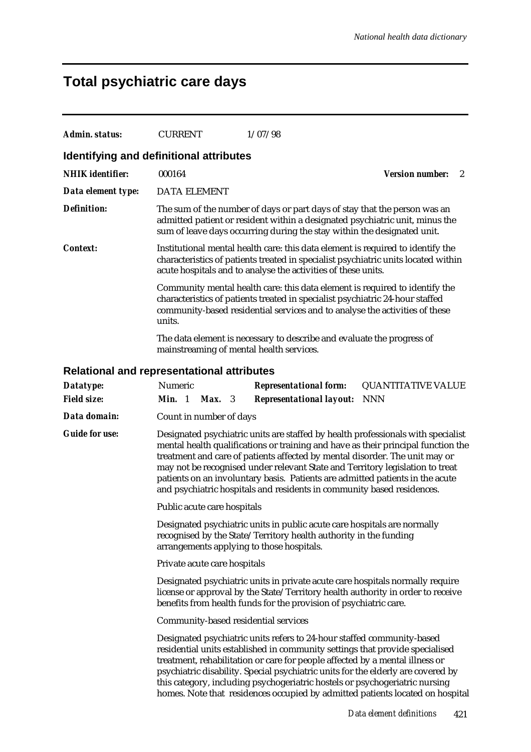# **Total psychiatric care days**

| Admin. status:                                    | <b>CURRENT</b>                            | 1/07/98                                                                                                                                                                                                                                                                                                                                                                                                                                                                                          |                                        |
|---------------------------------------------------|-------------------------------------------|--------------------------------------------------------------------------------------------------------------------------------------------------------------------------------------------------------------------------------------------------------------------------------------------------------------------------------------------------------------------------------------------------------------------------------------------------------------------------------------------------|----------------------------------------|
| Identifying and definitional attributes           |                                           |                                                                                                                                                                                                                                                                                                                                                                                                                                                                                                  |                                        |
| <b>NHIK</b> identifier:                           | 000164                                    |                                                                                                                                                                                                                                                                                                                                                                                                                                                                                                  | <b>Version number:</b><br>$\mathbf{2}$ |
| Data element type:                                | <b>DATA ELEMENT</b>                       |                                                                                                                                                                                                                                                                                                                                                                                                                                                                                                  |                                        |
| <b>Definition:</b>                                |                                           | The sum of the number of days or part days of stay that the person was an<br>admitted patient or resident within a designated psychiatric unit, minus the<br>sum of leave days occurring during the stay within the designated unit.                                                                                                                                                                                                                                                             |                                        |
| Context:                                          |                                           | Institutional mental health care: this data element is required to identify the<br>characteristics of patients treated in specialist psychiatric units located within<br>acute hospitals and to analyse the activities of these units.                                                                                                                                                                                                                                                           |                                        |
|                                                   | units.                                    | Community mental health care: this data element is required to identify the<br>characteristics of patients treated in specialist psychiatric 24-hour staffed<br>community-based residential services and to analyse the activities of these                                                                                                                                                                                                                                                      |                                        |
|                                                   | mainstreaming of mental health services.  | The data element is necessary to describe and evaluate the progress of                                                                                                                                                                                                                                                                                                                                                                                                                           |                                        |
| <b>Relational and representational attributes</b> |                                           |                                                                                                                                                                                                                                                                                                                                                                                                                                                                                                  |                                        |
| Datatype:                                         | Numeric                                   | <b>Representational form:</b>                                                                                                                                                                                                                                                                                                                                                                                                                                                                    | <b>QUANTITATIVE VALUE</b>              |
| <b>Field size:</b>                                | Min. 1<br>Max. 3                          | <b>Representational layout:</b>                                                                                                                                                                                                                                                                                                                                                                                                                                                                  | <b>NNN</b>                             |
| Data domain:                                      | Count in number of days                   |                                                                                                                                                                                                                                                                                                                                                                                                                                                                                                  |                                        |
| <b>Guide for use:</b>                             |                                           | Designated psychiatric units are staffed by health professionals with specialist<br>mental health qualifications or training and have as their principal function the<br>treatment and care of patients affected by mental disorder. The unit may or<br>may not be recognised under relevant State and Territory legislation to treat<br>patients on an involuntary basis. Patients are admitted patients in the acute<br>and psychiatric hospitals and residents in community based residences. |                                        |
|                                                   | Public acute care hospitals               |                                                                                                                                                                                                                                                                                                                                                                                                                                                                                                  |                                        |
|                                                   | arrangements applying to those hospitals. | Designated psychiatric units in public acute care hospitals are normally<br>recognised by the State/Territory health authority in the funding                                                                                                                                                                                                                                                                                                                                                    |                                        |
|                                                   | Private acute care hospitals              |                                                                                                                                                                                                                                                                                                                                                                                                                                                                                                  |                                        |
|                                                   |                                           | Designated psychiatric units in private acute care hospitals normally require<br>license or approval by the State/Territory health authority in order to receive<br>benefits from health funds for the provision of psychiatric care.                                                                                                                                                                                                                                                            |                                        |
|                                                   | Community-based residential services      |                                                                                                                                                                                                                                                                                                                                                                                                                                                                                                  |                                        |
|                                                   |                                           | Designated psychiatric units refers to 24-hour staffed community-based<br>residential units established in community settings that provide specialised<br>treatment, rehabilitation or care for people affected by a mental illness or<br>psychiatric disability. Special psychiatric units for the elderly are covered by<br>this category, including psychogeriatric hostels or psychogeriatric nursing<br>homes. Note that residences occupied by admitted patients located on hospital       |                                        |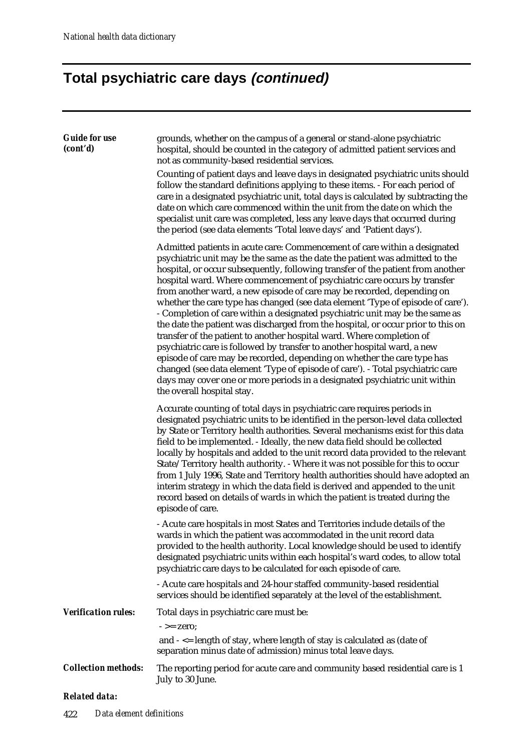# **Total psychiatric care days (continued)**

| <b>Guide for use</b><br>(cont'd) | grounds, whether on the campus of a general or stand-alone psychiatric<br>hospital, should be counted in the category of admitted patient services and<br>not as community-based residential services.<br>Counting of patient days and leave days in designated psychiatric units should<br>follow the standard definitions applying to these items. - For each period of<br>care in a designated psychiatric unit, total days is calculated by subtracting the<br>date on which care commenced within the unit from the date on which the<br>specialist unit care was completed, less any leave days that occurred during<br>the period (see data elements 'Total leave days' and 'Patient days').                                                                                                                                                                                                                                                                                                                                                                                     |
|----------------------------------|-----------------------------------------------------------------------------------------------------------------------------------------------------------------------------------------------------------------------------------------------------------------------------------------------------------------------------------------------------------------------------------------------------------------------------------------------------------------------------------------------------------------------------------------------------------------------------------------------------------------------------------------------------------------------------------------------------------------------------------------------------------------------------------------------------------------------------------------------------------------------------------------------------------------------------------------------------------------------------------------------------------------------------------------------------------------------------------------|
|                                  | Admitted patients in acute care: Commencement of care within a designated<br>psychiatric unit may be the same as the date the patient was admitted to the<br>hospital, or occur subsequently, following transfer of the patient from another<br>hospital ward. Where commencement of psychiatric care occurs by transfer<br>from another ward, a new episode of care may be recorded, depending on<br>whether the care type has changed (see data element 'Type of episode of care').<br>- Completion of care within a designated psychiatric unit may be the same as<br>the date the patient was discharged from the hospital, or occur prior to this on<br>transfer of the patient to another hospital ward. Where completion of<br>psychiatric care is followed by transfer to another hospital ward, a new<br>episode of care may be recorded, depending on whether the care type has<br>changed (see data element 'Type of episode of care'). - Total psychiatric care<br>days may cover one or more periods in a designated psychiatric unit within<br>the overall hospital stay. |
|                                  | Accurate counting of total days in psychiatric care requires periods in<br>designated psychiatric units to be identified in the person-level data collected<br>by State or Territory health authorities. Several mechanisms exist for this data<br>field to be implemented. - Ideally, the new data field should be collected<br>locally by hospitals and added to the unit record data provided to the relevant<br>State/Territory health authority. - Where it was not possible for this to occur<br>from 1 July 1996, State and Territory health authorities should have adopted an<br>interim strategy in which the data field is derived and appended to the unit<br>record based on details of wards in which the patient is treated during the<br>episode of care.                                                                                                                                                                                                                                                                                                               |
|                                  | - Acute care hospitals in most States and Territories include details of the<br>wards in which the patient was accommodated in the unit record data<br>provided to the health authority. Local knowledge should be used to identify<br>designated psychiatric units within each hospital's ward codes, to allow total<br>psychiatric care days to be calculated for each episode of care.                                                                                                                                                                                                                                                                                                                                                                                                                                                                                                                                                                                                                                                                                               |
|                                  | - Acute care hospitals and 24-hour staffed community-based residential<br>services should be identified separately at the level of the establishment.                                                                                                                                                                                                                                                                                                                                                                                                                                                                                                                                                                                                                                                                                                                                                                                                                                                                                                                                   |
| <b>Verification rules:</b>       | Total days in psychiatric care must be:<br>$\overline{\phantom{a}}$ = $\overline{\phantom{a}}$ = zero;<br>and $\overline{\phantom{a}}$ $\leq$ length of stay, where length of stay is calculated as (date of                                                                                                                                                                                                                                                                                                                                                                                                                                                                                                                                                                                                                                                                                                                                                                                                                                                                            |
|                                  | separation minus date of admission) minus total leave days.                                                                                                                                                                                                                                                                                                                                                                                                                                                                                                                                                                                                                                                                                                                                                                                                                                                                                                                                                                                                                             |
| <b>Collection methods:</b>       | The reporting period for acute care and community based residential care is 1<br>July to 30 June.                                                                                                                                                                                                                                                                                                                                                                                                                                                                                                                                                                                                                                                                                                                                                                                                                                                                                                                                                                                       |
| <b>Related data:</b>             |                                                                                                                                                                                                                                                                                                                                                                                                                                                                                                                                                                                                                                                                                                                                                                                                                                                                                                                                                                                                                                                                                         |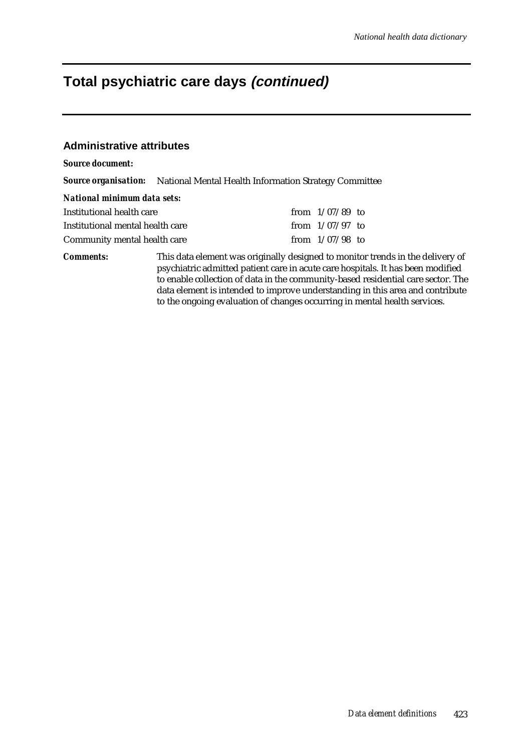## **Total psychiatric care days (continued)**

### **Administrative attributes**

#### *Source document:*

*Source organisation:* National Mental Health Information Strategy Committee

| National minimum data sets:      |                   |  |
|----------------------------------|-------------------|--|
| Institutional health care        | from $1/07/89$ to |  |
| Institutional mental health care | from $1/07/97$ to |  |
| Community mental health care     | from $1/07/98$ to |  |

#### *Comments:* This data element was originally designed to monitor trends in the delivery of psychiatric admitted patient care in acute care hospitals. It has been modified to enable collection of data in the community-based residential care sector. The data element is intended to improve understanding in this area and contribute to the ongoing evaluation of changes occurring in mental health services.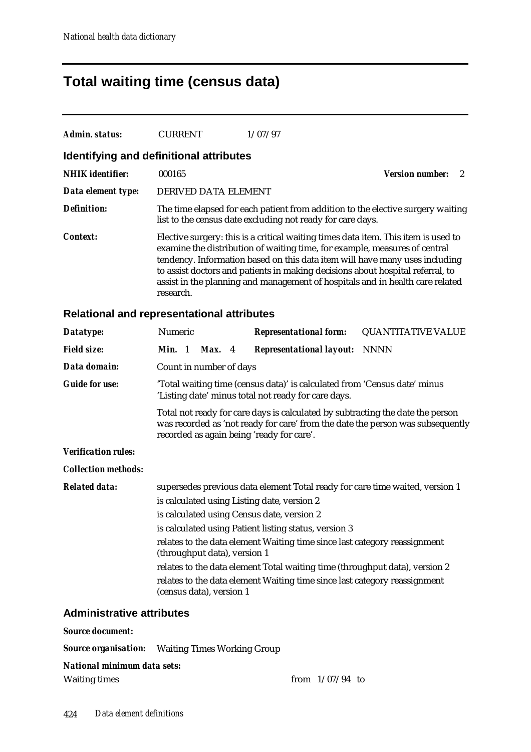### **Total waiting time (census data)**

| Admin. status:          | <b>CURRENT</b>                          | 1/07/97                                                                                                                                                                                                                                                                                                                                                                                                            |                        |
|-------------------------|-----------------------------------------|--------------------------------------------------------------------------------------------------------------------------------------------------------------------------------------------------------------------------------------------------------------------------------------------------------------------------------------------------------------------------------------------------------------------|------------------------|
|                         | Identifying and definitional attributes |                                                                                                                                                                                                                                                                                                                                                                                                                    |                        |
| <b>NHIK</b> identifier: | 000165                                  |                                                                                                                                                                                                                                                                                                                                                                                                                    | <b>Version number:</b> |
| Data element type:      | DERIVED DATA ELEMENT                    |                                                                                                                                                                                                                                                                                                                                                                                                                    |                        |
| Definition:             |                                         | The time elapsed for each patient from addition to the elective surgery waiting<br>list to the census date excluding not ready for care days.                                                                                                                                                                                                                                                                      |                        |
| <i>Context:</i>         | research.                               | Elective surgery: this is a critical waiting times data item. This item is used to<br>examine the distribution of waiting time, for example, measures of central<br>tendency. Information based on this data item will have many uses including<br>to assist doctors and patients in making decisions about hospital referral, to<br>assist in the planning and management of hospitals and in health care related |                        |

#### **Relational and representational attributes**

| Datatype:                  | Numeric                                                                                                                                                                                                                                                                                                                                           |               |  | <b>Representational form:</b>                                             | <b>QUANTITATIVE VALUE</b> |  |  |  |
|----------------------------|---------------------------------------------------------------------------------------------------------------------------------------------------------------------------------------------------------------------------------------------------------------------------------------------------------------------------------------------------|---------------|--|---------------------------------------------------------------------------|---------------------------|--|--|--|
| <b>Field size:</b>         | Min. 1                                                                                                                                                                                                                                                                                                                                            | <b>Max.</b> 4 |  | <b>Representational layout: NNNN</b>                                      |                           |  |  |  |
| Data domain:               | Count in number of days                                                                                                                                                                                                                                                                                                                           |               |  |                                                                           |                           |  |  |  |
| <b>Guide for use:</b>      | 'Total waiting time (census data)' is calculated from 'Census date' minus<br>'Listing date' minus total not ready for care days.<br>Total not ready for care days is calculated by subtracting the date the person<br>was recorded as 'not ready for care' from the date the person was subsequently<br>recorded as again being 'ready for care'. |               |  |                                                                           |                           |  |  |  |
|                            |                                                                                                                                                                                                                                                                                                                                                   |               |  |                                                                           |                           |  |  |  |
| <b>Verification rules:</b> |                                                                                                                                                                                                                                                                                                                                                   |               |  |                                                                           |                           |  |  |  |
| <b>Collection methods:</b> |                                                                                                                                                                                                                                                                                                                                                   |               |  |                                                                           |                           |  |  |  |
| <b>Related data:</b>       | supersedes previous data element Total ready for care time waited, version 1<br>is calculated using Listing date, version 2<br>is calculated using Census date, version 2                                                                                                                                                                         |               |  |                                                                           |                           |  |  |  |
|                            | is calculated using Patient listing status, version 3                                                                                                                                                                                                                                                                                             |               |  |                                                                           |                           |  |  |  |
|                            | relates to the data element Waiting time since last category reassignment<br>(throughput data), version 1                                                                                                                                                                                                                                         |               |  |                                                                           |                           |  |  |  |
|                            | relates to the data element Total waiting time (throughput data), version 2                                                                                                                                                                                                                                                                       |               |  |                                                                           |                           |  |  |  |
|                            | (census data), version 1                                                                                                                                                                                                                                                                                                                          |               |  | relates to the data element Waiting time since last category reassignment |                           |  |  |  |

### **Administrative attributes**

*Source document: Source organisation:* Waiting Times Working Group

#### *National minimum data sets:*

Waiting times from 1/07/94 to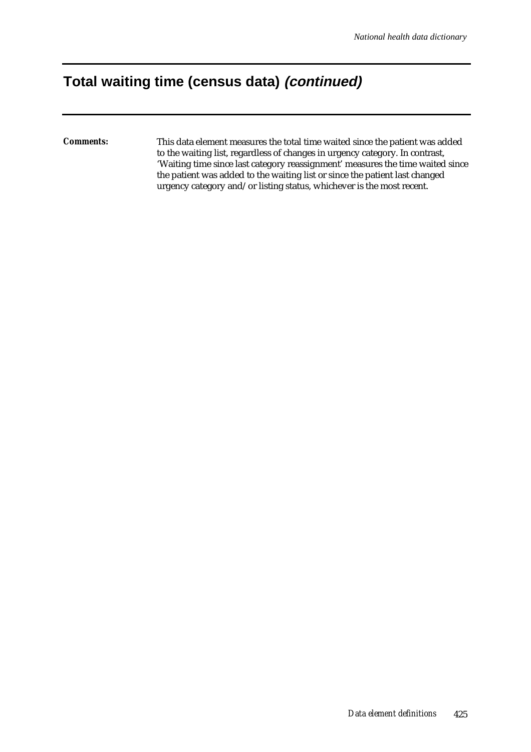### **Total waiting time (census data) (continued)**

*Comments:* This data element measures the total time waited since the patient was added to the waiting list, regardless of changes in urgency category. In contrast, 'Waiting time since last category reassignment' measures the time waited since the patient was added to the waiting list or since the patient last changed urgency category and/or listing status, whichever is the most recent.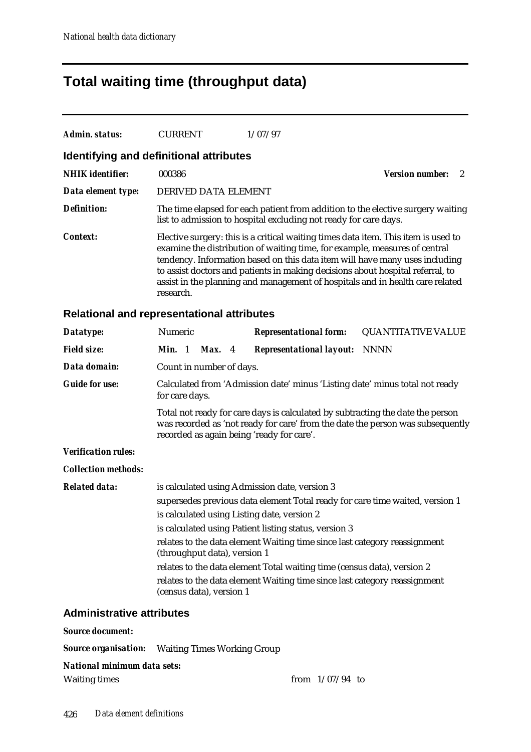## **Total waiting time (throughput data)**

| Admin. status:          | CURRENT                                 | 1/07/97                                                                                                                                                                                                                                                                                                                                                                                                            |                        |
|-------------------------|-----------------------------------------|--------------------------------------------------------------------------------------------------------------------------------------------------------------------------------------------------------------------------------------------------------------------------------------------------------------------------------------------------------------------------------------------------------------------|------------------------|
|                         | Identifying and definitional attributes |                                                                                                                                                                                                                                                                                                                                                                                                                    |                        |
| <b>NHIK</b> identifier: | 000386                                  |                                                                                                                                                                                                                                                                                                                                                                                                                    | <b>Version number:</b> |
| Data element type:      | DERIVED DATA ELEMENT                    |                                                                                                                                                                                                                                                                                                                                                                                                                    |                        |
| Definition:             |                                         | The time elapsed for each patient from addition to the elective surgery waiting<br>list to admission to hospital excluding not ready for care days.                                                                                                                                                                                                                                                                |                        |
| <i>Context:</i>         | research.                               | Elective surgery: this is a critical waiting times data item. This item is used to<br>examine the distribution of waiting time, for example, measures of central<br>tendency. Information based on this data item will have many uses including<br>to assist doctors and patients in making decisions about hospital referral, to<br>assist in the planning and management of hospitals and in health care related |                        |

### **Relational and representational attributes**

| Datatype:                  | Numeric                                                                                                   |  |  |  | <b>Representational form:</b>                                                                                               | <b>QUANTITATIVE VALUE</b>                                                      |  |  |
|----------------------------|-----------------------------------------------------------------------------------------------------------|--|--|--|-----------------------------------------------------------------------------------------------------------------------------|--------------------------------------------------------------------------------|--|--|
| <b>Field size:</b>         | <b>Min.</b> 1 <b>Max.</b> 4                                                                               |  |  |  | <b>Representational layout:</b> NNNN                                                                                        |                                                                                |  |  |
| Data domain:               | Count in number of days.                                                                                  |  |  |  |                                                                                                                             |                                                                                |  |  |
| <b>Guide for use:</b>      | for care days.                                                                                            |  |  |  | Calculated from 'Admission date' minus 'Listing date' minus total not ready                                                 |                                                                                |  |  |
|                            |                                                                                                           |  |  |  | Total not ready for care days is calculated by subtracting the date the person<br>recorded as again being 'ready for care'. | was recorded as 'not ready for care' from the date the person was subsequently |  |  |
| <b>Verification rules:</b> |                                                                                                           |  |  |  |                                                                                                                             |                                                                                |  |  |
| <b>Collection methods:</b> |                                                                                                           |  |  |  |                                                                                                                             |                                                                                |  |  |
| <b>Related data:</b>       |                                                                                                           |  |  |  | is calculated using Admission date, version 3                                                                               |                                                                                |  |  |
|                            | supersedes previous data element Total ready for care time waited, version 1                              |  |  |  |                                                                                                                             |                                                                                |  |  |
|                            | is calculated using Listing date, version 2                                                               |  |  |  |                                                                                                                             |                                                                                |  |  |
|                            | is calculated using Patient listing status, version 3                                                     |  |  |  |                                                                                                                             |                                                                                |  |  |
|                            | relates to the data element Waiting time since last category reassignment<br>(throughput data), version 1 |  |  |  |                                                                                                                             |                                                                                |  |  |
|                            | relates to the data element Total waiting time (census data), version 2                                   |  |  |  |                                                                                                                             |                                                                                |  |  |
|                            | (census data), version 1                                                                                  |  |  |  | relates to the data element Waiting time since last category reassignment                                                   |                                                                                |  |  |

### **Administrative attributes**

*Source document: Source organisation:* Waiting Times Working Group

#### *National minimum data sets:*

Waiting times from 1/07/94 to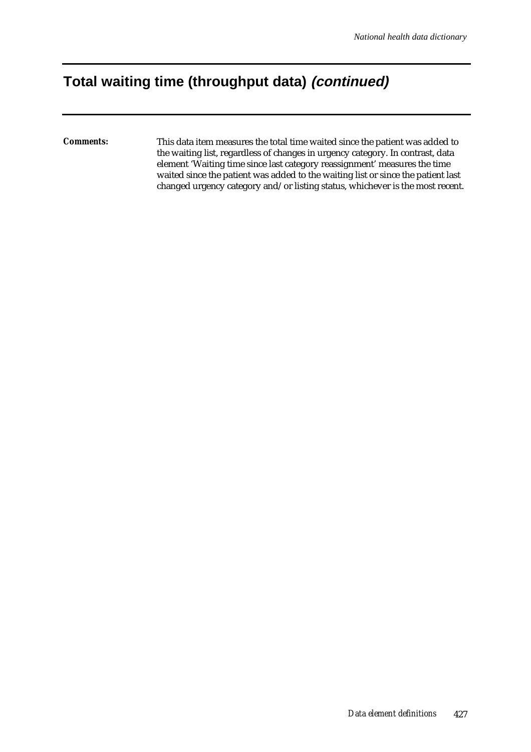### **Total waiting time (throughput data) (continued)**

*Comments:* This data item measures the total time waited since the patient was added to the waiting list, regardless of changes in urgency category. In contrast, data element 'Waiting time since last category reassignment' measures the time waited since the patient was added to the waiting list or since the patient last changed urgency category and/or listing status, whichever is the most recent.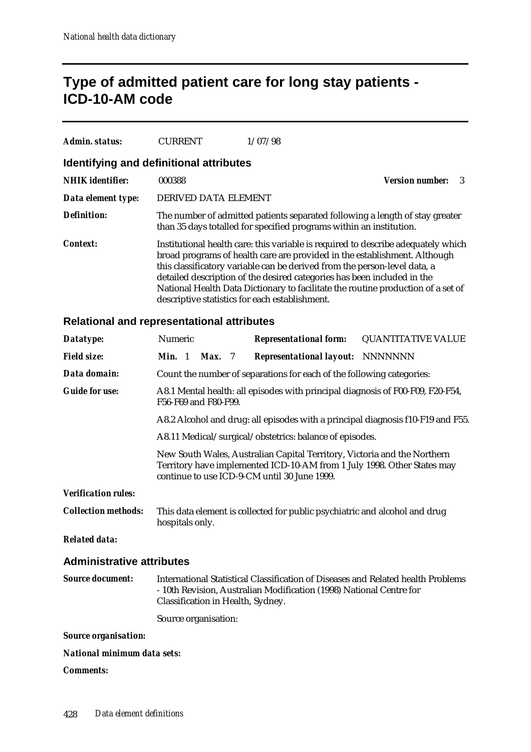## **Type of admitted patient care for long stay patients - ICD-10-AM code**

| Admin. status:          | <b>CURRENT</b>                          | 1/07/98                                                                                                                                                                                                                                                                                                                                                                                                                                                      |                        |    |
|-------------------------|-----------------------------------------|--------------------------------------------------------------------------------------------------------------------------------------------------------------------------------------------------------------------------------------------------------------------------------------------------------------------------------------------------------------------------------------------------------------------------------------------------------------|------------------------|----|
|                         | Identifying and definitional attributes |                                                                                                                                                                                                                                                                                                                                                                                                                                                              |                        |    |
| <b>NHIK</b> identifier: | 000388                                  |                                                                                                                                                                                                                                                                                                                                                                                                                                                              | <b>Version number:</b> | -3 |
| Data element type:      | DERIVED DATA ELEMENT                    |                                                                                                                                                                                                                                                                                                                                                                                                                                                              |                        |    |
| <b>Definition:</b>      |                                         | The number of admitted patients separated following a length of stay greater<br>than 35 days totalled for specified programs within an institution.                                                                                                                                                                                                                                                                                                          |                        |    |
| Context:                |                                         | Institutional health care: this variable is required to describe adequately which<br>broad programs of health care are provided in the establishment. Although<br>this classificatory variable can be derived from the person-level data, a<br>detailed description of the desired categories has been included in the<br>National Health Data Dictionary to facilitate the routine production of a set of<br>descriptive statistics for each establishment. |                        |    |

| Datatype:                          | Numeric                                                                                                |  |                      |  | <b>Representational form:</b>                                                                                                                                                                       | <b>QUANTITATIVE VALUE</b> |
|------------------------------------|--------------------------------------------------------------------------------------------------------|--|----------------------|--|-----------------------------------------------------------------------------------------------------------------------------------------------------------------------------------------------------|---------------------------|
| <b>Field size:</b>                 | Min. 1                                                                                                 |  | <b>Max.</b> 7        |  | <b>Representational layout: NNNNNNN</b>                                                                                                                                                             |                           |
| Data domain:                       |                                                                                                        |  |                      |  | Count the number of separations for each of the following categories:                                                                                                                               |                           |
| <b>Guide for use:</b>              | A8.1 Mental health: all episodes with principal diagnosis of F00-F09, F20-F54,<br>F56-F69 and F80-F99. |  |                      |  |                                                                                                                                                                                                     |                           |
|                                    |                                                                                                        |  |                      |  | A8.2 Alcohol and drug: all episodes with a principal diagnosis f10-F19 and F55.                                                                                                                     |                           |
|                                    | A8.11 Medical/surgical/obstetrics: balance of episodes.                                                |  |                      |  |                                                                                                                                                                                                     |                           |
|                                    |                                                                                                        |  |                      |  | New South Wales, Australian Capital Territory, Victoria and the Northern<br>Territory have implemented ICD-10-AM from 1 July 1998. Other States may<br>continue to use ICD-9-CM until 30 June 1999. |                           |
| <b>Verification rules:</b>         |                                                                                                        |  |                      |  |                                                                                                                                                                                                     |                           |
| <b>Collection methods:</b>         | hospitals only.                                                                                        |  |                      |  | This data element is collected for public psychiatric and alcohol and drug                                                                                                                          |                           |
| <b>Related data:</b>               |                                                                                                        |  |                      |  |                                                                                                                                                                                                     |                           |
| <b>Administrative attributes</b>   |                                                                                                        |  |                      |  |                                                                                                                                                                                                     |                           |
| <b>Source document:</b>            |                                                                                                        |  |                      |  | International Statistical Classification of Diseases and Related health Problems<br>- 10th Revision, Australian Modification (1998) National Centre for<br>Classification in Health, Sydney.        |                           |
|                                    |                                                                                                        |  | Source organisation: |  |                                                                                                                                                                                                     |                           |
| <b>Source organisation:</b>        |                                                                                                        |  |                      |  |                                                                                                                                                                                                     |                           |
| <b>National minimum data sets:</b> |                                                                                                        |  |                      |  |                                                                                                                                                                                                     |                           |
| <b>Comments:</b>                   |                                                                                                        |  |                      |  |                                                                                                                                                                                                     |                           |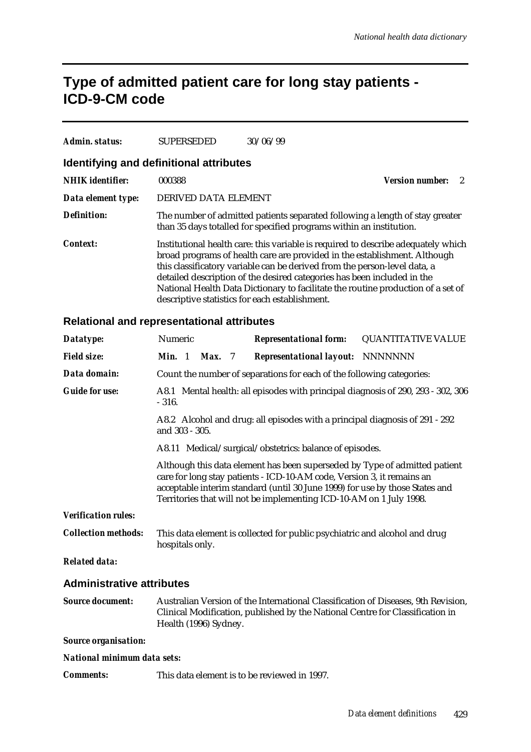### **Type of admitted patient care for long stay patients - ICD-9-CM code**

| Admin. status:          | <b>SUPERSEDED</b>                       | 30/06/99                                                                                                                                                                                                                                                                                                                                                                                                                                                     |  |
|-------------------------|-----------------------------------------|--------------------------------------------------------------------------------------------------------------------------------------------------------------------------------------------------------------------------------------------------------------------------------------------------------------------------------------------------------------------------------------------------------------------------------------------------------------|--|
|                         | Identifying and definitional attributes |                                                                                                                                                                                                                                                                                                                                                                                                                                                              |  |
| <b>NHIK</b> identifier: | 000388                                  | <b>Version number:</b>                                                                                                                                                                                                                                                                                                                                                                                                                                       |  |
| Data element type:      | DERIVED DATA ELEMENT                    |                                                                                                                                                                                                                                                                                                                                                                                                                                                              |  |
| <b>Definition:</b>      |                                         | The number of admitted patients separated following a length of stay greater<br>than 35 days totalled for specified programs within an institution.                                                                                                                                                                                                                                                                                                          |  |
| Context:                |                                         | Institutional health care: this variable is required to describe adequately which<br>broad programs of health care are provided in the establishment. Although<br>this classificatory variable can be derived from the person-level data, a<br>detailed description of the desired categories has been included in the<br>National Health Data Dictionary to facilitate the routine production of a set of<br>descriptive statistics for each establishment. |  |

| Datatype:                          | Numeric                                                                                                                                                                                                                                                                                                     |  |                       |  | <b>Representational form:</b>                                                 | <b>QUANTITATIVE VALUE</b>                                                         |  |  |
|------------------------------------|-------------------------------------------------------------------------------------------------------------------------------------------------------------------------------------------------------------------------------------------------------------------------------------------------------------|--|-----------------------|--|-------------------------------------------------------------------------------|-----------------------------------------------------------------------------------|--|--|
| <b>Field size:</b>                 | Min. 1                                                                                                                                                                                                                                                                                                      |  | <b>Max.</b> 7         |  | <b>Representational layout: NNNNNNN</b>                                       |                                                                                   |  |  |
| Data domain:                       | Count the number of separations for each of the following categories:                                                                                                                                                                                                                                       |  |                       |  |                                                                               |                                                                                   |  |  |
| <b>Guide for use:</b>              | A8.1 Mental health: all episodes with principal diagnosis of 290, 293 - 302, 306<br>$-316.$                                                                                                                                                                                                                 |  |                       |  |                                                                               |                                                                                   |  |  |
|                                    | and 303 - 305.                                                                                                                                                                                                                                                                                              |  |                       |  | A8.2 Alcohol and drug: all episodes with a principal diagnosis of 291 - 292   |                                                                                   |  |  |
|                                    | A8.11 Medical/surgical/obstetrics: balance of episodes.                                                                                                                                                                                                                                                     |  |                       |  |                                                                               |                                                                                   |  |  |
|                                    | Although this data element has been superseded by Type of admitted patient<br>care for long stay patients - ICD-10-AM code, Version 3, it remains an<br>acceptable interim standard (until 30 June 1999) for use by those States and<br>Territories that will not be implementing ICD-10-AM on 1 July 1998. |  |                       |  |                                                                               |                                                                                   |  |  |
| <b>Verification rules:</b>         |                                                                                                                                                                                                                                                                                                             |  |                       |  |                                                                               |                                                                                   |  |  |
| <b>Collection methods:</b>         | hospitals only.                                                                                                                                                                                                                                                                                             |  |                       |  | This data element is collected for public psychiatric and alcohol and drug    |                                                                                   |  |  |
| <b>Related data:</b>               |                                                                                                                                                                                                                                                                                                             |  |                       |  |                                                                               |                                                                                   |  |  |
| <b>Administrative attributes</b>   |                                                                                                                                                                                                                                                                                                             |  |                       |  |                                                                               |                                                                                   |  |  |
| <b>Source document:</b>            |                                                                                                                                                                                                                                                                                                             |  | Health (1996) Sydney. |  | Clinical Modification, published by the National Centre for Classification in | Australian Version of the International Classification of Diseases, 9th Revision, |  |  |
| <b>Source organisation:</b>        |                                                                                                                                                                                                                                                                                                             |  |                       |  |                                                                               |                                                                                   |  |  |
| <b>National minimum data sets:</b> |                                                                                                                                                                                                                                                                                                             |  |                       |  |                                                                               |                                                                                   |  |  |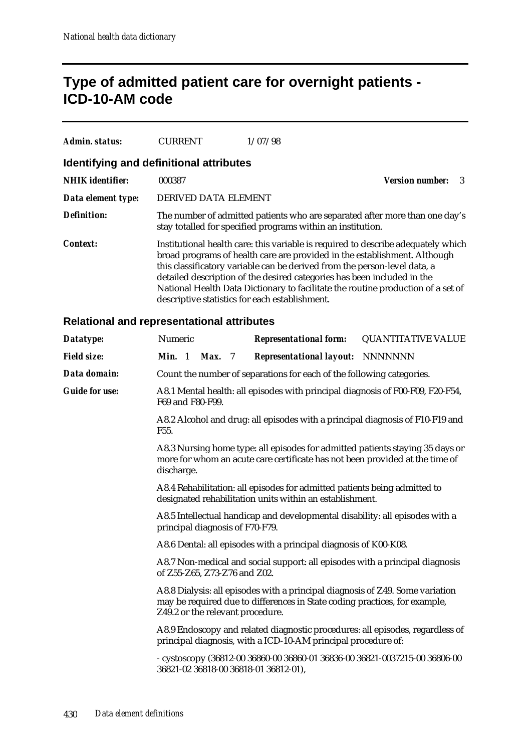## **Type of admitted patient care for overnight patients - ICD-10-AM code**

| Admin. status:                          | <b>CURRENT</b>       | 1/07/98                                                     |                                                                                                                                                                                                                                                                                                                                                                                                            |
|-----------------------------------------|----------------------|-------------------------------------------------------------|------------------------------------------------------------------------------------------------------------------------------------------------------------------------------------------------------------------------------------------------------------------------------------------------------------------------------------------------------------------------------------------------------------|
| Identifying and definitional attributes |                      |                                                             |                                                                                                                                                                                                                                                                                                                                                                                                            |
| <b>NHIK</b> identifier:                 | 000387               |                                                             | <b>Version number:</b><br>$\mathcal{R}$                                                                                                                                                                                                                                                                                                                                                                    |
| Data element type:                      | DERIVED DATA ELEMENT |                                                             |                                                                                                                                                                                                                                                                                                                                                                                                            |
| <b>Definition:</b>                      |                      | stay totalled for specified programs within an institution. | The number of admitted patients who are separated after more than one day's                                                                                                                                                                                                                                                                                                                                |
| Context:                                |                      | descriptive statistics for each establishment.              | Institutional health care: this variable is required to describe adequately which<br>broad programs of health care are provided in the establishment. Although<br>this classificatory variable can be derived from the person-level data, a<br>detailed description of the desired categories has been included in the<br>National Health Data Dictionary to facilitate the routine production of a set of |

| Datatype:             | Numeric                                                                                                                                                                                         | <b>Representational form:</b>                                                                                                                                 | <b>QUANTITATIVE VALUE</b>                                                     |  |  |  |  |  |  |  |
|-----------------------|-------------------------------------------------------------------------------------------------------------------------------------------------------------------------------------------------|---------------------------------------------------------------------------------------------------------------------------------------------------------------|-------------------------------------------------------------------------------|--|--|--|--|--|--|--|
| <b>Field size:</b>    | Min. 1<br><b>Max.</b> 7                                                                                                                                                                         | <b>Representational layout: NNNNNNN</b>                                                                                                                       |                                                                               |  |  |  |  |  |  |  |
| Data domain:          |                                                                                                                                                                                                 | Count the number of separations for each of the following categories.                                                                                         |                                                                               |  |  |  |  |  |  |  |
| <b>Guide for use:</b> | F69 and F80-F99.                                                                                                                                                                                | A8.1 Mental health: all episodes with principal diagnosis of F00-F09, F20-F54,                                                                                |                                                                               |  |  |  |  |  |  |  |
|                       | F55.                                                                                                                                                                                            |                                                                                                                                                               | A8.2 Alcohol and drug: all episodes with a principal diagnosis of F10-F19 and |  |  |  |  |  |  |  |
|                       | discharge.                                                                                                                                                                                      | A8.3 Nursing home type: all episodes for admitted patients staying 35 days or<br>more for whom an acute care certificate has not been provided at the time of |                                                                               |  |  |  |  |  |  |  |
|                       | A8.4 Rehabilitation: all episodes for admitted patients being admitted to<br>designated rehabilitation units within an establishment.                                                           |                                                                                                                                                               |                                                                               |  |  |  |  |  |  |  |
|                       | A8.5 Intellectual handicap and developmental disability: all episodes with a<br>principal diagnosis of F70-F79.                                                                                 |                                                                                                                                                               |                                                                               |  |  |  |  |  |  |  |
|                       | A8.6 Dental: all episodes with a principal diagnosis of K00-K08.                                                                                                                                |                                                                                                                                                               |                                                                               |  |  |  |  |  |  |  |
|                       | A8.7 Non-medical and social support: all episodes with a principal diagnosis<br>of Z55-Z65, Z73-Z76 and Z02.                                                                                    |                                                                                                                                                               |                                                                               |  |  |  |  |  |  |  |
|                       | A8.8 Dialysis: all episodes with a principal diagnosis of Z49. Some variation<br>may be required due to differences in State coding practices, for example,<br>Z49.2 or the relevant procedure. |                                                                                                                                                               |                                                                               |  |  |  |  |  |  |  |
|                       | A8.9 Endoscopy and related diagnostic procedures: all episodes, regardless of<br>principal diagnosis, with a ICD-10-AM principal procedure of:                                                  |                                                                                                                                                               |                                                                               |  |  |  |  |  |  |  |
|                       | 36821-02 36818-00 36818-01 36812-01),                                                                                                                                                           | - cystoscopy (36812-00 36860-00 36860-01 36836-00 36821-0037215-00 36806-00                                                                                   |                                                                               |  |  |  |  |  |  |  |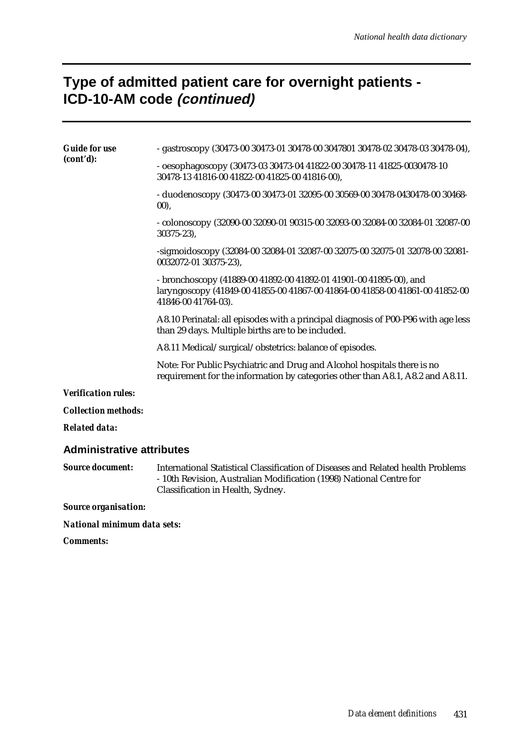## **Type of admitted patient care for overnight patients - ICD-10-AM code (continued)**

| <b>Guide for use</b>             | - gastroscopy (30473-00 30473-01 30478-00 3047801 30478-02 30478-03 30478-04),                                                                                                               |  |  |  |  |
|----------------------------------|----------------------------------------------------------------------------------------------------------------------------------------------------------------------------------------------|--|--|--|--|
| (cont'd):                        | - oesophagoscopy (30473-03 30473-04 41822-00 30478-11 41825-0030478-10<br>30478-13 41816-00 41822-00 41825-00 41816-00),                                                                     |  |  |  |  |
|                                  | - duodenoscopy (30473-00 30473-01 32095-00 30569-00 30478-0430478-00 30468-<br>(00),                                                                                                         |  |  |  |  |
|                                  | - colonoscopy (32090-00 32090-01 90315-00 32093-00 32084-00 32084-01 32087-00<br>$30375 - 23$ ,                                                                                              |  |  |  |  |
|                                  | -sigmoidoscopy (32084-00 32084-01 32087-00 32075-00 32075-01 32078-00 32081-<br>0032072-01 30375-23),                                                                                        |  |  |  |  |
|                                  | - bronchoscopy (41889-00 41892-00 41892-01 41901-00 41895-00), and<br>laryngoscopy (41849-00 41855-00 41867-00 41864-00 41858-00 41861-00 41852-00<br>41846-00 41764-03).                    |  |  |  |  |
|                                  | A8.10 Perinatal: all episodes with a principal diagnosis of P00-P96 with age less<br>than 29 days. Multiple births are to be included.                                                       |  |  |  |  |
|                                  | A8.11 Medical/surgical/obstetrics: balance of episodes.                                                                                                                                      |  |  |  |  |
|                                  | Note: For Public Psychiatric and Drug and Alcohol hospitals there is no<br>requirement for the information by categories other than A8.1, A8.2 and A8.11.                                    |  |  |  |  |
| <b>Verification rules:</b>       |                                                                                                                                                                                              |  |  |  |  |
| <b>Collection methods:</b>       |                                                                                                                                                                                              |  |  |  |  |
| <b>Related data:</b>             |                                                                                                                                                                                              |  |  |  |  |
| <b>Administrative attributes</b> |                                                                                                                                                                                              |  |  |  |  |
| <b>Source document:</b>          | International Statistical Classification of Diseases and Related health Problems<br>- 10th Revision, Australian Modification (1998) National Centre for<br>Classification in Health, Sydney. |  |  |  |  |
| <b>Source organisation:</b>      |                                                                                                                                                                                              |  |  |  |  |
| National minimum data sets:      |                                                                                                                                                                                              |  |  |  |  |

*Comments:*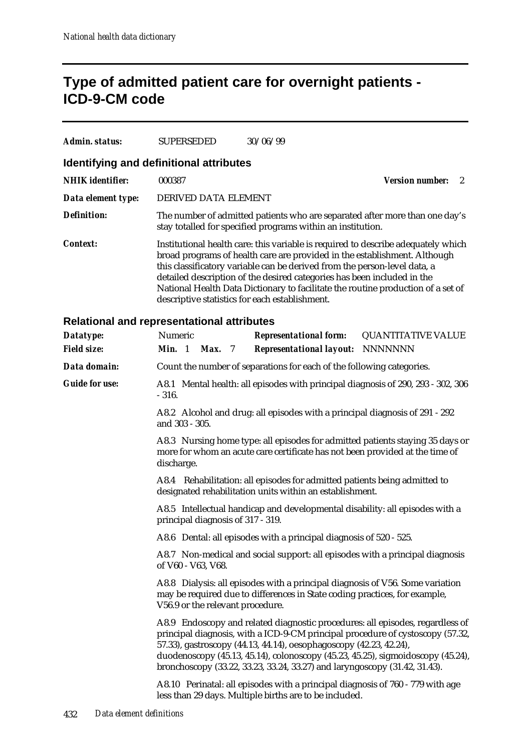## **Type of admitted patient care for overnight patients - ICD-9-CM code**

| Admin. status:          | <b>SUPERSEDED</b>                              | 30/06/99                                                                                                                                                                                                                                                                                                                                                                                                   |                              |
|-------------------------|------------------------------------------------|------------------------------------------------------------------------------------------------------------------------------------------------------------------------------------------------------------------------------------------------------------------------------------------------------------------------------------------------------------------------------------------------------------|------------------------------|
|                         | Identifying and definitional attributes        |                                                                                                                                                                                                                                                                                                                                                                                                            |                              |
| <b>NHIK</b> identifier: | 000387                                         |                                                                                                                                                                                                                                                                                                                                                                                                            | <b>Version number:</b><br>-2 |
| Data element type:      | DERIVED DATA ELEMENT                           |                                                                                                                                                                                                                                                                                                                                                                                                            |                              |
| Definition:             |                                                | The number of admitted patients who are separated after more than one day's<br>stay totalled for specified programs within an institution.                                                                                                                                                                                                                                                                 |                              |
| Context:                | descriptive statistics for each establishment. | Institutional health care: this variable is required to describe adequately which<br>broad programs of health care are provided in the establishment. Although<br>this classificatory variable can be derived from the person-level data, a<br>detailed description of the desired categories has been included in the<br>National Health Data Dictionary to facilitate the routine production of a set of |                              |

| Datatype:             | Numeric                                                                                                                                                                     |  |               |  | <b>Representational form:</b>                                                                                                                                                                                                                                                                                                                                                                          | <b>QUANTITATIVE VALUE</b> |  |  |  |
|-----------------------|-----------------------------------------------------------------------------------------------------------------------------------------------------------------------------|--|---------------|--|--------------------------------------------------------------------------------------------------------------------------------------------------------------------------------------------------------------------------------------------------------------------------------------------------------------------------------------------------------------------------------------------------------|---------------------------|--|--|--|
| <b>Field size:</b>    | Min. 1                                                                                                                                                                      |  | <b>Max.</b> 7 |  | <b>Representational layout:</b>                                                                                                                                                                                                                                                                                                                                                                        | <b>NNNNNNN</b>            |  |  |  |
| Data domain:          | Count the number of separations for each of the following categories.                                                                                                       |  |               |  |                                                                                                                                                                                                                                                                                                                                                                                                        |                           |  |  |  |
| <b>Guide for use:</b> | $-316.$                                                                                                                                                                     |  |               |  | A8.1 Mental health: all episodes with principal diagnosis of 290, 293 - 302, 306                                                                                                                                                                                                                                                                                                                       |                           |  |  |  |
|                       | and 303 - 305.                                                                                                                                                              |  |               |  | A8.2 Alcohol and drug: all episodes with a principal diagnosis of 291 - 292                                                                                                                                                                                                                                                                                                                            |                           |  |  |  |
|                       | A8.3 Nursing home type: all episodes for admitted patients staying 35 days or<br>more for whom an acute care certificate has not been provided at the time of<br>discharge. |  |               |  |                                                                                                                                                                                                                                                                                                                                                                                                        |                           |  |  |  |
|                       | A8.4 Rehabilitation: all episodes for admitted patients being admitted to<br>designated rehabilitation units within an establishment.                                       |  |               |  |                                                                                                                                                                                                                                                                                                                                                                                                        |                           |  |  |  |
|                       | A8.5 Intellectual handicap and developmental disability: all episodes with a<br>principal diagnosis of 317 - 319.                                                           |  |               |  |                                                                                                                                                                                                                                                                                                                                                                                                        |                           |  |  |  |
|                       | A8.6 Dental: all episodes with a principal diagnosis of 520 - 525.                                                                                                          |  |               |  |                                                                                                                                                                                                                                                                                                                                                                                                        |                           |  |  |  |
|                       | A8.7 Non-medical and social support: all episodes with a principal diagnosis<br>of V60 - V63, V68.                                                                          |  |               |  |                                                                                                                                                                                                                                                                                                                                                                                                        |                           |  |  |  |
|                       |                                                                                                                                                                             |  |               |  | A8.8 Dialysis: all episodes with a principal diagnosis of V56. Some variation<br>may be required due to differences in State coding practices, for example,<br>V56.9 or the relevant procedure.                                                                                                                                                                                                        |                           |  |  |  |
|                       |                                                                                                                                                                             |  |               |  | A8.9 Endoscopy and related diagnostic procedures: all episodes, regardless of<br>principal diagnosis, with a ICD-9-CM principal procedure of cystoscopy (57.32,<br>57.33), gastroscopy (44.13, 44.14), oesophagoscopy (42.23, 42.24),<br>duodenoscopy (45.13, 45.14), colonoscopy (45.23, 45.25), sigmoidoscopy (45.24),<br>bronchoscopy (33.22, 33.23, 33.24, 33.27) and laryngoscopy (31.42, 31.43). |                           |  |  |  |
|                       |                                                                                                                                                                             |  |               |  | A8.10 Perinatal: all episodes with a principal diagnosis of 760 - 779 with age<br>less than 29 days. Multiple births are to be included.                                                                                                                                                                                                                                                               |                           |  |  |  |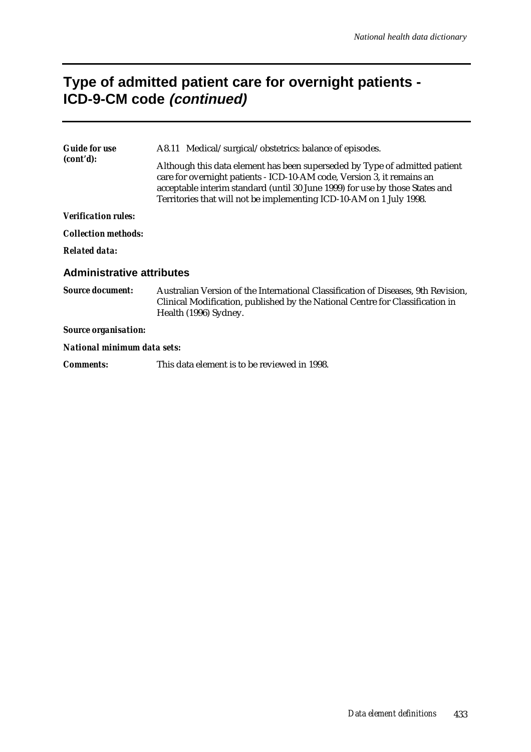## **Type of admitted patient care for overnight patients - ICD-9-CM code (continued)**

| <b>Guide for use</b>             | A8.11 Medical/surgical/obstetrics: balance of episodes.                                                                                                                                                                                                                                                     |
|----------------------------------|-------------------------------------------------------------------------------------------------------------------------------------------------------------------------------------------------------------------------------------------------------------------------------------------------------------|
| (cont'd):                        | Although this data element has been superseded by Type of admitted patient<br>care for overnight patients - ICD-10-AM code, Version 3, it remains an<br>acceptable interim standard (until 30 June 1999) for use by those States and<br>Territories that will not be implementing ICD-10-AM on 1 July 1998. |
| <b>Verification rules:</b>       |                                                                                                                                                                                                                                                                                                             |
| <b>Collection methods:</b>       |                                                                                                                                                                                                                                                                                                             |
| <b>Related data:</b>             |                                                                                                                                                                                                                                                                                                             |
| <b>Administrative attributes</b> |                                                                                                                                                                                                                                                                                                             |
| <b>Source document:</b>          | Australian Version of the International Classification of Diseases, 9th Revision,<br>Clinical Modification, published by the National Centre for Classification in<br>Health (1996) Sydney.                                                                                                                 |
| <b>Source organisation:</b>      |                                                                                                                                                                                                                                                                                                             |
| National minimum data sets:      |                                                                                                                                                                                                                                                                                                             |
| <b>Comments:</b>                 | This data element is to be reviewed in 1998.                                                                                                                                                                                                                                                                |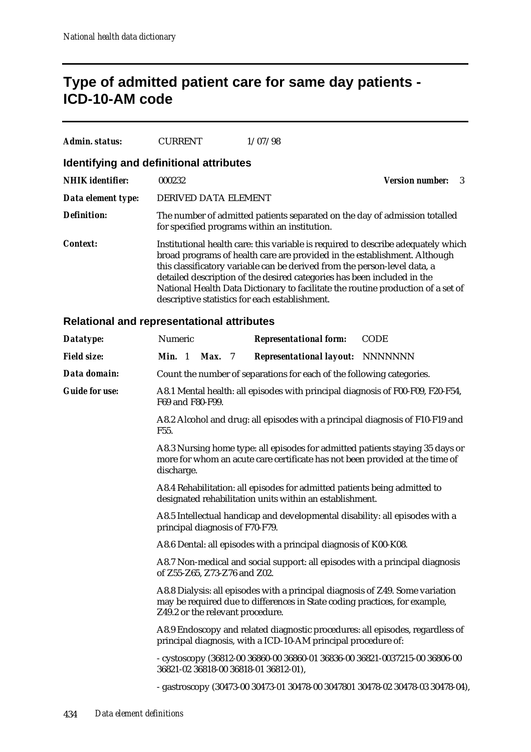## **Type of admitted patient care for same day patients - ICD-10-AM code**

| Admin. status:          | <b>CURRENT</b>                          | 1/07/98                                                                                                                                                                                                                                                                                                                                                                                                                                                      |  |
|-------------------------|-----------------------------------------|--------------------------------------------------------------------------------------------------------------------------------------------------------------------------------------------------------------------------------------------------------------------------------------------------------------------------------------------------------------------------------------------------------------------------------------------------------------|--|
|                         | Identifying and definitional attributes |                                                                                                                                                                                                                                                                                                                                                                                                                                                              |  |
| <b>NHIK</b> identifier: | 000232                                  | <b>Version number:</b><br>3                                                                                                                                                                                                                                                                                                                                                                                                                                  |  |
| Data element type:      | DERIVED DATA ELEMENT                    |                                                                                                                                                                                                                                                                                                                                                                                                                                                              |  |
| <b>Definition:</b>      |                                         | The number of admitted patients separated on the day of admission totalled<br>for specified programs within an institution.                                                                                                                                                                                                                                                                                                                                  |  |
| Context:                |                                         | Institutional health care: this variable is required to describe adequately which<br>broad programs of health care are provided in the establishment. Although<br>this classificatory variable can be derived from the person-level data, a<br>detailed description of the desired categories has been included in the<br>National Health Data Dictionary to facilitate the routine production of a set of<br>descriptive statistics for each establishment. |  |

| Datatype:             | Numeric                                                                                                                                                                                         |  |               |  | <b>Representational form:</b>                                                                                        | <b>CODE</b>                                                                    |  |  |  |
|-----------------------|-------------------------------------------------------------------------------------------------------------------------------------------------------------------------------------------------|--|---------------|--|----------------------------------------------------------------------------------------------------------------------|--------------------------------------------------------------------------------|--|--|--|
| <b>Field size:</b>    | Min. 1                                                                                                                                                                                          |  | <b>Max.</b> 7 |  | Representational layout: NNNNNNN                                                                                     |                                                                                |  |  |  |
| Data domain:          | Count the number of separations for each of the following categories.                                                                                                                           |  |               |  |                                                                                                                      |                                                                                |  |  |  |
| <b>Guide for use:</b> | F69 and F80-F99.                                                                                                                                                                                |  |               |  | A8.1 Mental health: all episodes with principal diagnosis of F00-F09, F20-F54,                                       |                                                                                |  |  |  |
|                       | F <sub>55</sub> .                                                                                                                                                                               |  |               |  | A8.2 Alcohol and drug: all episodes with a principal diagnosis of F10-F19 and                                        |                                                                                |  |  |  |
|                       | A8.3 Nursing home type: all episodes for admitted patients staying 35 days or<br>more for whom an acute care certificate has not been provided at the time of<br>discharge.                     |  |               |  |                                                                                                                      |                                                                                |  |  |  |
|                       | A8.4 Rehabilitation: all episodes for admitted patients being admitted to<br>designated rehabilitation units within an establishment.                                                           |  |               |  |                                                                                                                      |                                                                                |  |  |  |
|                       | A8.5 Intellectual handicap and developmental disability: all episodes with a<br>principal diagnosis of F70-F79.                                                                                 |  |               |  |                                                                                                                      |                                                                                |  |  |  |
|                       | A8.6 Dental: all episodes with a principal diagnosis of K00-K08.                                                                                                                                |  |               |  |                                                                                                                      |                                                                                |  |  |  |
|                       | A8.7 Non-medical and social support: all episodes with a principal diagnosis<br>of Z55-Z65, Z73-Z76 and Z02.                                                                                    |  |               |  |                                                                                                                      |                                                                                |  |  |  |
|                       | A8.8 Dialysis: all episodes with a principal diagnosis of Z49. Some variation<br>may be required due to differences in State coding practices, for example,<br>Z49.2 or the relevant procedure. |  |               |  |                                                                                                                      |                                                                                |  |  |  |
|                       | A8.9 Endoscopy and related diagnostic procedures: all episodes, regardless of<br>principal diagnosis, with a ICD-10-AM principal procedure of:                                                  |  |               |  |                                                                                                                      |                                                                                |  |  |  |
|                       |                                                                                                                                                                                                 |  |               |  | - cystoscopy (36812-00 36860-00 36860-01 36836-00 36821-0037215-00 36806-00<br>36821-02 36818-00 36818-01 36812-01), |                                                                                |  |  |  |
|                       |                                                                                                                                                                                                 |  |               |  |                                                                                                                      | - gastroscopy (30473-00 30473-01 30478-00 3047801 30478-02 30478-03 30478-04), |  |  |  |
|                       |                                                                                                                                                                                                 |  |               |  |                                                                                                                      |                                                                                |  |  |  |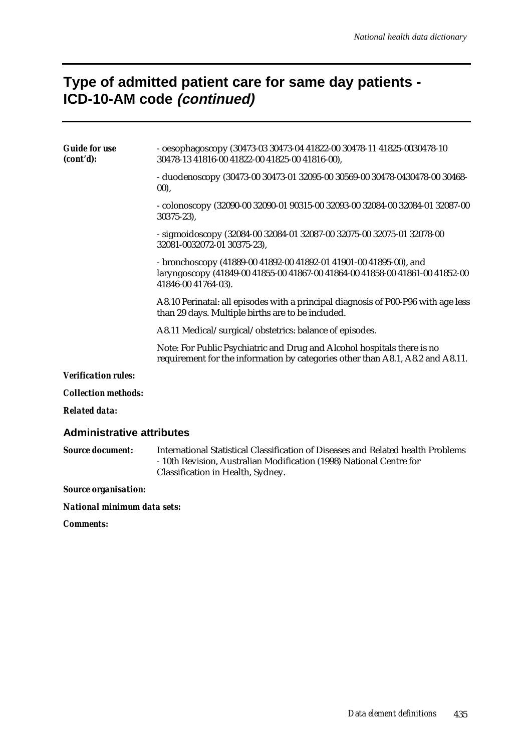### **Type of admitted patient care for same day patients - ICD-10-AM code (continued)**

| <b>Guide for use</b><br>(cont'd): | - oesophagoscopy (30473-03 30473-04 41822-00 30478-11 41825-0030478-10<br>30478-13 41816-00 41822-00 41825-00 41816-00),                                                  |
|-----------------------------------|---------------------------------------------------------------------------------------------------------------------------------------------------------------------------|
|                                   | - duodenoscopy (30473-00 30473-01 32095-00 30569-00 30478-0430478-00 30468-<br>(00),                                                                                      |
|                                   | - colonoscopy (32090-00 32090-01 90315-00 32093-00 32084-00 32084-01 32087-00<br>$30375 - 23$ ,                                                                           |
|                                   | - sigmoidoscopy (32084-00 32084-01 32087-00 32075-00 32075-01 32078-00<br>32081-0032072-01 30375-23),                                                                     |
|                                   | - bronchoscopy (41889-00 41892-00 41892-01 41901-00 41895-00), and<br>laryngoscopy (41849-00 41855-00 41867-00 41864-00 41858-00 41861-00 41852-00<br>41846-00 41764-03). |
|                                   | A8.10 Perinatal: all episodes with a principal diagnosis of P00-P96 with age less<br>than 29 days. Multiple births are to be included.                                    |
|                                   | A8.11 Medical/surgical/obstetrics: balance of episodes.                                                                                                                   |
|                                   | Note: For Public Psychiatric and Drug and Alcohol hospitals there is no<br>requirement for the information by categories other than A8.1, A8.2 and A8.11.                 |
| <b>Verification rules:</b>        |                                                                                                                                                                           |
| <b>Collection methods:</b>        |                                                                                                                                                                           |
| <b>Related data:</b>              |                                                                                                                                                                           |
| <b>Administrative attributes</b>  |                                                                                                                                                                           |
| <b>Source document:</b>           | <b>International Statistical Classification of Diseases and Related health Problems</b>                                                                                   |

- 10th Revision, Australian Modification (1998) National Centre for Classification in Health, Sydney.

*Source organisation:*

*National minimum data sets:*

*Comments:*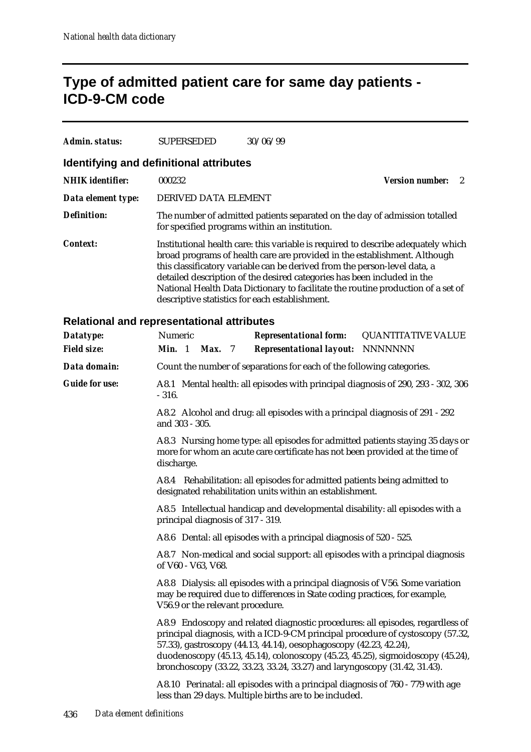## **Type of admitted patient care for same day patients - ICD-9-CM code**

| Admin. status:                          | <b>SUPERSEDED</b>                              | 30/06/99                                                                                                                                                                                                                                                                                                                                                                                                   |                        |  |
|-----------------------------------------|------------------------------------------------|------------------------------------------------------------------------------------------------------------------------------------------------------------------------------------------------------------------------------------------------------------------------------------------------------------------------------------------------------------------------------------------------------------|------------------------|--|
| Identifying and definitional attributes |                                                |                                                                                                                                                                                                                                                                                                                                                                                                            |                        |  |
| <b>NHIK</b> identifier:                 | 000232                                         |                                                                                                                                                                                                                                                                                                                                                                                                            | <b>Version number:</b> |  |
| Data element type:                      | DERIVED DATA ELEMENT                           |                                                                                                                                                                                                                                                                                                                                                                                                            |                        |  |
| <b>Definition:</b>                      | for specified programs within an institution.  | The number of admitted patients separated on the day of admission totalled                                                                                                                                                                                                                                                                                                                                 |                        |  |
| <i>Context:</i>                         | descriptive statistics for each establishment. | Institutional health care: this variable is required to describe adequately which<br>broad programs of health care are provided in the establishment. Although<br>this classificatory variable can be derived from the person-level data, a<br>detailed description of the desired categories has been included in the<br>National Health Data Dictionary to facilitate the routine production of a set of |                        |  |

| Datatype:<br><b>Field size:</b> | Numeric<br>Min. 1                                                                                                                                                           |  | <b>Max.</b> 7 |  | <b>Representational form:</b><br><b>Representational layout:</b>                                                                                                                                                                                                                                                                                                                                       | <b>QUANTITATIVE VALUE</b><br><b>NNNNNNN</b> |  |  |  |
|---------------------------------|-----------------------------------------------------------------------------------------------------------------------------------------------------------------------------|--|---------------|--|--------------------------------------------------------------------------------------------------------------------------------------------------------------------------------------------------------------------------------------------------------------------------------------------------------------------------------------------------------------------------------------------------------|---------------------------------------------|--|--|--|
| Data domain:                    | Count the number of separations for each of the following categories.                                                                                                       |  |               |  |                                                                                                                                                                                                                                                                                                                                                                                                        |                                             |  |  |  |
| <b>Guide for use:</b>           | $-316.$                                                                                                                                                                     |  |               |  | A8.1 Mental health: all episodes with principal diagnosis of 290, 293 - 302, 306                                                                                                                                                                                                                                                                                                                       |                                             |  |  |  |
|                                 | and 303 - 305.                                                                                                                                                              |  |               |  | A8.2 Alcohol and drug: all episodes with a principal diagnosis of 291 - 292                                                                                                                                                                                                                                                                                                                            |                                             |  |  |  |
|                                 | A8.3 Nursing home type: all episodes for admitted patients staying 35 days or<br>more for whom an acute care certificate has not been provided at the time of<br>discharge. |  |               |  |                                                                                                                                                                                                                                                                                                                                                                                                        |                                             |  |  |  |
|                                 | A8.4 Rehabilitation: all episodes for admitted patients being admitted to<br>designated rehabilitation units within an establishment.                                       |  |               |  |                                                                                                                                                                                                                                                                                                                                                                                                        |                                             |  |  |  |
|                                 | A8.5 Intellectual handicap and developmental disability: all episodes with a<br>principal diagnosis of 317 - 319.                                                           |  |               |  |                                                                                                                                                                                                                                                                                                                                                                                                        |                                             |  |  |  |
|                                 | A8.6 Dental: all episodes with a principal diagnosis of 520 - 525.                                                                                                          |  |               |  |                                                                                                                                                                                                                                                                                                                                                                                                        |                                             |  |  |  |
|                                 | A8.7 Non-medical and social support: all episodes with a principal diagnosis<br>of V60 - V63, V68.                                                                          |  |               |  |                                                                                                                                                                                                                                                                                                                                                                                                        |                                             |  |  |  |
|                                 |                                                                                                                                                                             |  |               |  | A8.8 Dialysis: all episodes with a principal diagnosis of V56. Some variation<br>may be required due to differences in State coding practices, for example,<br>V56.9 or the relevant procedure.                                                                                                                                                                                                        |                                             |  |  |  |
|                                 |                                                                                                                                                                             |  |               |  | A8.9 Endoscopy and related diagnostic procedures: all episodes, regardless of<br>principal diagnosis, with a ICD-9-CM principal procedure of cystoscopy (57.32,<br>57.33), gastroscopy (44.13, 44.14), oesophagoscopy (42.23, 42.24),<br>duodenoscopy (45.13, 45.14), colonoscopy (45.23, 45.25), sigmoidoscopy (45.24),<br>bronchoscopy (33.22, 33.23, 33.24, 33.27) and laryngoscopy (31.42, 31.43). |                                             |  |  |  |
|                                 |                                                                                                                                                                             |  |               |  | A8.10 Perinatal: all episodes with a principal diagnosis of 760 - 779 with age<br>less than 29 days. Multiple births are to be included.                                                                                                                                                                                                                                                               |                                             |  |  |  |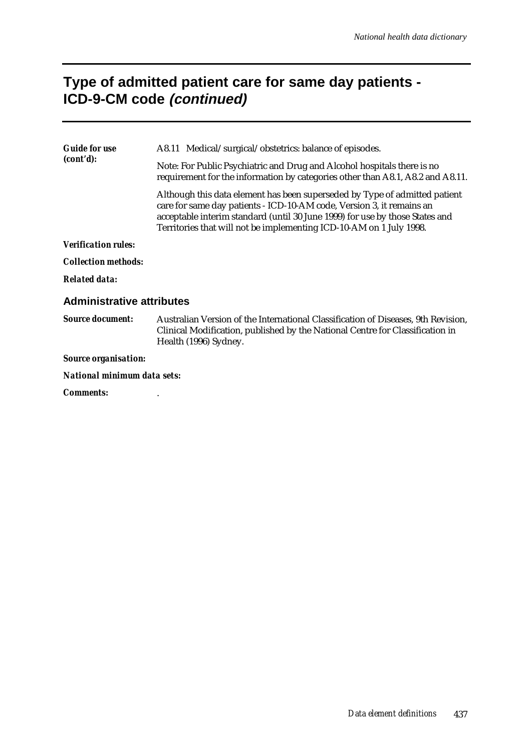## **Type of admitted patient care for same day patients - ICD-9-CM code (continued)**

| <b>Guide for use</b>             | A8.11 Medical/surgical/obstetrics: balance of episodes.                                                                                                                                                                                                                                                    |  |  |  |  |  |
|----------------------------------|------------------------------------------------------------------------------------------------------------------------------------------------------------------------------------------------------------------------------------------------------------------------------------------------------------|--|--|--|--|--|
| (cont'd):                        | Note: For Public Psychiatric and Drug and Alcohol hospitals there is no<br>requirement for the information by categories other than A8.1, A8.2 and A8.11.                                                                                                                                                  |  |  |  |  |  |
|                                  | Although this data element has been superseded by Type of admitted patient<br>care for same day patients - ICD-10-AM code, Version 3, it remains an<br>acceptable interim standard (until 30 June 1999) for use by those States and<br>Territories that will not be implementing ICD-10-AM on 1 July 1998. |  |  |  |  |  |
| <b>Verification rules:</b>       |                                                                                                                                                                                                                                                                                                            |  |  |  |  |  |
| <b>Collection methods:</b>       |                                                                                                                                                                                                                                                                                                            |  |  |  |  |  |
| <b>Related data:</b>             |                                                                                                                                                                                                                                                                                                            |  |  |  |  |  |
| <b>Administrative attributes</b> |                                                                                                                                                                                                                                                                                                            |  |  |  |  |  |
| <b>Source document:</b>          | Australian Version of the International Classification of Diseases, 9th Revision,<br>Clinical Modification, published by the National Centre for Classification in<br>Health (1996) Sydney.                                                                                                                |  |  |  |  |  |
| <b>Source organisation:</b>      |                                                                                                                                                                                                                                                                                                            |  |  |  |  |  |
| National minimum data sets:      |                                                                                                                                                                                                                                                                                                            |  |  |  |  |  |
| <b>Comments:</b>                 |                                                                                                                                                                                                                                                                                                            |  |  |  |  |  |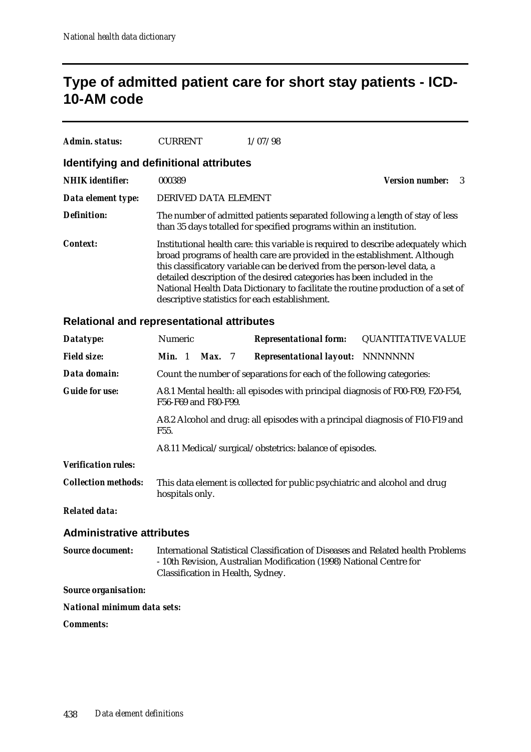## **Type of admitted patient care for short stay patients - ICD-10-AM code**

| Admin. status:          | <b>CURRENT</b>                          | 1/07/98                                                                                                                                                                                                                                                                                                                                                                                                                                                      |                              |  |
|-------------------------|-----------------------------------------|--------------------------------------------------------------------------------------------------------------------------------------------------------------------------------------------------------------------------------------------------------------------------------------------------------------------------------------------------------------------------------------------------------------------------------------------------------------|------------------------------|--|
|                         | Identifying and definitional attributes |                                                                                                                                                                                                                                                                                                                                                                                                                                                              |                              |  |
| <b>NHIK</b> identifier: | 000389                                  |                                                                                                                                                                                                                                                                                                                                                                                                                                                              | <b>Version number:</b><br>-3 |  |
| Data element type:      | DERIVED DATA ELEMENT                    |                                                                                                                                                                                                                                                                                                                                                                                                                                                              |                              |  |
| <b>Definition:</b>      |                                         | The number of admitted patients separated following a length of stay of less<br>than 35 days totalled for specified programs within an institution.                                                                                                                                                                                                                                                                                                          |                              |  |
| Context:                |                                         | Institutional health care: this variable is required to describe adequately which<br>broad programs of health care are provided in the establishment. Although<br>this classificatory variable can be derived from the person-level data, a<br>detailed description of the desired categories has been included in the<br>National Health Data Dictionary to facilitate the routine production of a set of<br>descriptive statistics for each establishment. |                              |  |

### **Relational and representational attributes**

| Datatype:                        | <b>Numeric</b>                                                                                         |                                                                       |  | <b>Representational form:</b>                                                                                                                           | <b>QUANTITATIVE VALUE</b> |  |
|----------------------------------|--------------------------------------------------------------------------------------------------------|-----------------------------------------------------------------------|--|---------------------------------------------------------------------------------------------------------------------------------------------------------|---------------------------|--|
| <b>Field size:</b>               | <b>Min.</b> 1 <b>Max.</b> 7                                                                            |                                                                       |  | <b>Representational layout: NNNNNNN</b>                                                                                                                 |                           |  |
| Data domain:                     |                                                                                                        | Count the number of separations for each of the following categories: |  |                                                                                                                                                         |                           |  |
| <b>Guide for use:</b>            | A8.1 Mental health: all episodes with principal diagnosis of F00-F09, F20-F54,<br>F56-F69 and F80-F99. |                                                                       |  |                                                                                                                                                         |                           |  |
|                                  | A8.2 Alcohol and drug: all episodes with a principal diagnosis of F10-F19 and<br>F55.                  |                                                                       |  |                                                                                                                                                         |                           |  |
|                                  | A8.11 Medical/surgical/obstetrics: balance of episodes.                                                |                                                                       |  |                                                                                                                                                         |                           |  |
| <b>Verification rules:</b>       |                                                                                                        |                                                                       |  |                                                                                                                                                         |                           |  |
| <b>Collection methods:</b>       | hospitals only.                                                                                        |                                                                       |  | This data element is collected for public psychiatric and alcohol and drug                                                                              |                           |  |
| <b>Related data:</b>             |                                                                                                        |                                                                       |  |                                                                                                                                                         |                           |  |
| <b>Administrative attributes</b> |                                                                                                        |                                                                       |  |                                                                                                                                                         |                           |  |
| <b>Source document:</b>          | Classification in Health, Sydney.                                                                      |                                                                       |  | International Statistical Classification of Diseases and Related health Problems<br>- 10th Revision, Australian Modification (1998) National Centre for |                           |  |

#### *Source organisation:*

*National minimum data sets:*

*Comments:*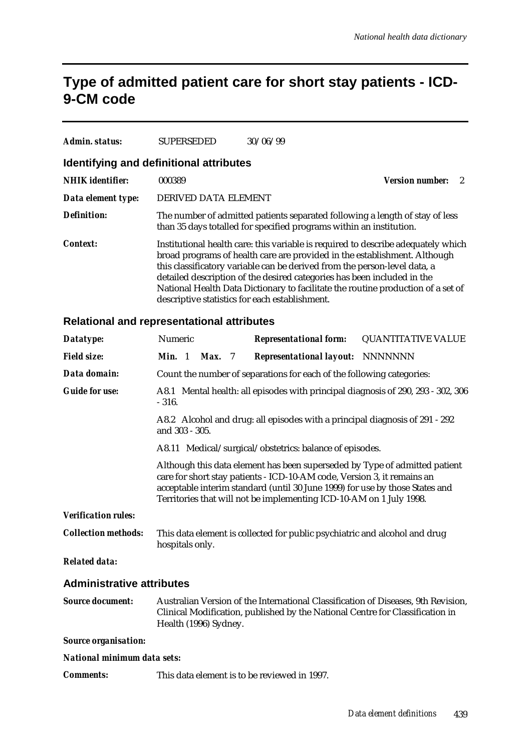### **Type of admitted patient care for short stay patients - ICD-9-CM code**

| Admin. status:          | <b>SUPERSEDED</b>                       | 30/06/99                                                                                                                                                                                                                                                                                                                                                                                                                                                     |
|-------------------------|-----------------------------------------|--------------------------------------------------------------------------------------------------------------------------------------------------------------------------------------------------------------------------------------------------------------------------------------------------------------------------------------------------------------------------------------------------------------------------------------------------------------|
|                         | Identifying and definitional attributes |                                                                                                                                                                                                                                                                                                                                                                                                                                                              |
| <b>NHIK</b> identifier: | 000389                                  | <b>Version number:</b>                                                                                                                                                                                                                                                                                                                                                                                                                                       |
| Data element type:      | DERIVED DATA ELEMENT                    |                                                                                                                                                                                                                                                                                                                                                                                                                                                              |
| Definition:             |                                         | The number of admitted patients separated following a length of stay of less<br>than 35 days totalled for specified programs within an institution.                                                                                                                                                                                                                                                                                                          |
| Context:                |                                         | Institutional health care: this variable is required to describe adequately which<br>broad programs of health care are provided in the establishment. Although<br>this classificatory variable can be derived from the person-level data, a<br>detailed description of the desired categories has been included in the<br>National Health Data Dictionary to facilitate the routine production of a set of<br>descriptive statistics for each establishment. |

### **Relational and representational attributes**

| Datatype:                        | Numeric                                                                                                                                                                                                                                                                                                      |  |                       |  | <b>Representational form:</b>                                                 | <b>QUANTITATIVE VALUE</b>                                                         |
|----------------------------------|--------------------------------------------------------------------------------------------------------------------------------------------------------------------------------------------------------------------------------------------------------------------------------------------------------------|--|-----------------------|--|-------------------------------------------------------------------------------|-----------------------------------------------------------------------------------|
| <b>Field size:</b>               | Min. 1                                                                                                                                                                                                                                                                                                       |  | <b>Max.</b> 7         |  | <b>Representational layout: NNNNNNN</b>                                       |                                                                                   |
| Data domain:                     |                                                                                                                                                                                                                                                                                                              |  |                       |  | Count the number of separations for each of the following categories:         |                                                                                   |
| <b>Guide for use:</b>            | A8.1 Mental health: all episodes with principal diagnosis of 290, 293 - 302, 306<br>$-316.$                                                                                                                                                                                                                  |  |                       |  |                                                                               |                                                                                   |
|                                  | and 303 - 305.                                                                                                                                                                                                                                                                                               |  |                       |  | A8.2 Alcohol and drug: all episodes with a principal diagnosis of 291 - 292   |                                                                                   |
|                                  |                                                                                                                                                                                                                                                                                                              |  |                       |  | A8.11 Medical/surgical/obstetrics: balance of episodes.                       |                                                                                   |
|                                  | Although this data element has been superseded by Type of admitted patient<br>care for short stay patients - ICD-10-AM code, Version 3, it remains an<br>acceptable interim standard (until 30 June 1999) for use by those States and<br>Territories that will not be implementing ICD-10-AM on 1 July 1998. |  |                       |  |                                                                               |                                                                                   |
| <b>Verification rules:</b>       |                                                                                                                                                                                                                                                                                                              |  |                       |  |                                                                               |                                                                                   |
| <b>Collection methods:</b>       | hospitals only.                                                                                                                                                                                                                                                                                              |  |                       |  | This data element is collected for public psychiatric and alcohol and drug    |                                                                                   |
| <b>Related data:</b>             |                                                                                                                                                                                                                                                                                                              |  |                       |  |                                                                               |                                                                                   |
| <b>Administrative attributes</b> |                                                                                                                                                                                                                                                                                                              |  |                       |  |                                                                               |                                                                                   |
| <b>Source document:</b>          |                                                                                                                                                                                                                                                                                                              |  | Health (1996) Sydney. |  | Clinical Modification, published by the National Centre for Classification in | Australian Version of the International Classification of Diseases, 9th Revision, |
| <b>Source organisation:</b>      |                                                                                                                                                                                                                                                                                                              |  |                       |  |                                                                               |                                                                                   |
| National minimum data sets:      |                                                                                                                                                                                                                                                                                                              |  |                       |  |                                                                               |                                                                                   |

*Comments:* This data element is to be reviewed in 1997.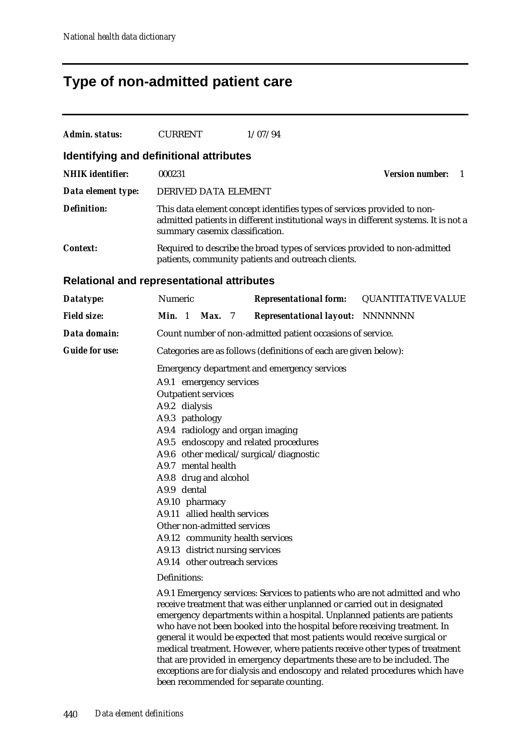# **Type of non-admitted patient care**

| Admin. status:          | <b>CURRENT</b>                                                                                                                                                                                                                                                                                                                                                                                                                                                                                                                                                                                                                                                                                                                                                                                                                                                                                                                                                                                                                                                                                         | 1/07/94                                                                                                                         |                               |  |  |  |
|-------------------------|--------------------------------------------------------------------------------------------------------------------------------------------------------------------------------------------------------------------------------------------------------------------------------------------------------------------------------------------------------------------------------------------------------------------------------------------------------------------------------------------------------------------------------------------------------------------------------------------------------------------------------------------------------------------------------------------------------------------------------------------------------------------------------------------------------------------------------------------------------------------------------------------------------------------------------------------------------------------------------------------------------------------------------------------------------------------------------------------------------|---------------------------------------------------------------------------------------------------------------------------------|-------------------------------|--|--|--|
|                         | <b>Identifying and definitional attributes</b>                                                                                                                                                                                                                                                                                                                                                                                                                                                                                                                                                                                                                                                                                                                                                                                                                                                                                                                                                                                                                                                         |                                                                                                                                 |                               |  |  |  |
| <b>NHIK</b> identifier: | 000231                                                                                                                                                                                                                                                                                                                                                                                                                                                                                                                                                                                                                                                                                                                                                                                                                                                                                                                                                                                                                                                                                                 |                                                                                                                                 | <b>Version number:</b><br>- 1 |  |  |  |
| Data element type:      | DERIVED DATA ELEMENT                                                                                                                                                                                                                                                                                                                                                                                                                                                                                                                                                                                                                                                                                                                                                                                                                                                                                                                                                                                                                                                                                   |                                                                                                                                 |                               |  |  |  |
| <b>Definition:</b>      | This data element concept identifies types of services provided to non-<br>admitted patients in different institutional ways in different systems. It is not a<br>summary casemix classification.                                                                                                                                                                                                                                                                                                                                                                                                                                                                                                                                                                                                                                                                                                                                                                                                                                                                                                      |                                                                                                                                 |                               |  |  |  |
| <b>Context:</b>         |                                                                                                                                                                                                                                                                                                                                                                                                                                                                                                                                                                                                                                                                                                                                                                                                                                                                                                                                                                                                                                                                                                        | Required to describe the broad types of services provided to non-admitted<br>patients, community patients and outreach clients. |                               |  |  |  |
|                         | <b>Relational and representational attributes</b>                                                                                                                                                                                                                                                                                                                                                                                                                                                                                                                                                                                                                                                                                                                                                                                                                                                                                                                                                                                                                                                      |                                                                                                                                 |                               |  |  |  |
| Datatype:               | Numeric                                                                                                                                                                                                                                                                                                                                                                                                                                                                                                                                                                                                                                                                                                                                                                                                                                                                                                                                                                                                                                                                                                | <b>Representational form:</b>                                                                                                   | <b>QUANTITATIVE VALUE</b>     |  |  |  |
| <b>Field size:</b>      | Min. 1<br><b>Max.</b> 7                                                                                                                                                                                                                                                                                                                                                                                                                                                                                                                                                                                                                                                                                                                                                                                                                                                                                                                                                                                                                                                                                | <b>Representational layout: NNNNNNN</b>                                                                                         |                               |  |  |  |
| Data domain:            |                                                                                                                                                                                                                                                                                                                                                                                                                                                                                                                                                                                                                                                                                                                                                                                                                                                                                                                                                                                                                                                                                                        | Count number of non-admitted patient occasions of service.                                                                      |                               |  |  |  |
| <b>Guide for use:</b>   |                                                                                                                                                                                                                                                                                                                                                                                                                                                                                                                                                                                                                                                                                                                                                                                                                                                                                                                                                                                                                                                                                                        | Categories are as follows (definitions of each are given below):                                                                |                               |  |  |  |
|                         | <b>Emergency department and emergency services</b><br>A9.1 emergency services<br><b>Outpatient services</b><br>A9.2 dialysis<br>A9.3 pathology<br>A9.4 radiology and organ imaging<br>A9.5 endoscopy and related procedures<br>A9.6 other medical/surgical/diagnostic<br>A9.7 mental health<br>A9.8 drug and alcohol<br>A9.9 dental<br>A9.10 pharmacy<br>A9.11 allied health services<br>Other non-admitted services<br>A9.12 community health services<br>A9.13 district nursing services<br>A9.14 other outreach services<br>Definitions:<br>A9.1 Emergency services: Services to patients who are not admitted and who<br>receive treatment that was either unplanned or carried out in designated<br>emergency departments within a hospital. Unplanned patients are patients<br>who have not been booked into the hospital before receiving treatment. In<br>general it would be expected that most patients would receive surgical or<br>medical treatment. However, where patients receive other types of treatment<br>that are provided in emergency departments these are to be included. The |                                                                                                                                 |                               |  |  |  |

been recommended for separate counting.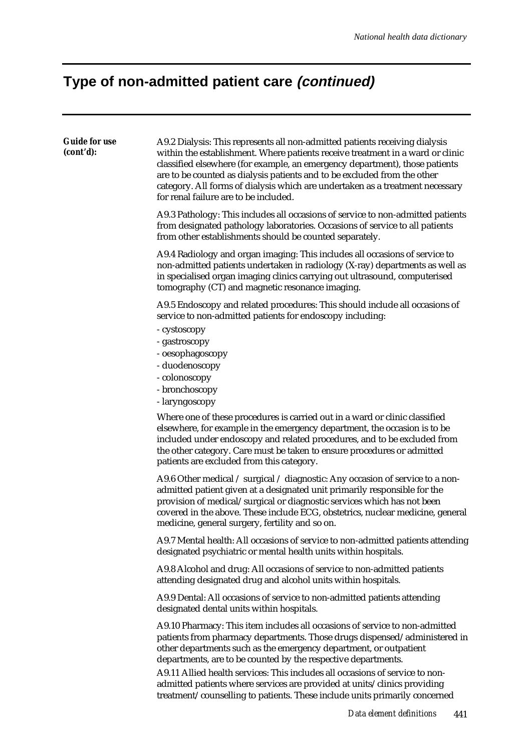### **Type of non-admitted patient care (continued)**

| <b>Guide for use</b><br>(cont'd): | A9.2 Dialysis: This represents all non-admitted patients receiving dialysis<br>within the establishment. Where patients receive treatment in a ward or clinic<br>classified elsewhere (for example, an emergency department), those patients<br>are to be counted as dialysis patients and to be excluded from the other<br>category. All forms of dialysis which are undertaken as a treatment necessary<br>for renal failure are to be included. |  |  |  |
|-----------------------------------|----------------------------------------------------------------------------------------------------------------------------------------------------------------------------------------------------------------------------------------------------------------------------------------------------------------------------------------------------------------------------------------------------------------------------------------------------|--|--|--|
|                                   | A9.3 Pathology: This includes all occasions of service to non-admitted patients<br>from designated pathology laboratories. Occasions of service to all patients<br>from other establishments should be counted separately.                                                                                                                                                                                                                         |  |  |  |
|                                   | A9.4 Radiology and organ imaging: This includes all occasions of service to<br>non-admitted patients undertaken in radiology (X-ray) departments as well as<br>in specialised organ imaging clinics carrying out ultrasound, computerised<br>tomography (CT) and magnetic resonance imaging.                                                                                                                                                       |  |  |  |
|                                   | A9.5 Endoscopy and related procedures: This should include all occasions of<br>service to non-admitted patients for endoscopy including:                                                                                                                                                                                                                                                                                                           |  |  |  |
|                                   | - cystoscopy<br>- gastroscopy<br>- oesophagoscopy<br>- duodenoscopy<br>- colonoscopy<br>- bronchoscopy<br>- laryngoscopy                                                                                                                                                                                                                                                                                                                           |  |  |  |
|                                   | Where one of these procedures is carried out in a ward or clinic classified<br>elsewhere, for example in the emergency department, the occasion is to be<br>included under endoscopy and related procedures, and to be excluded from<br>the other category. Care must be taken to ensure procedures or admitted<br>patients are excluded from this category.                                                                                       |  |  |  |
|                                   | A9.6 Other medical / surgical / diagnostic: Any occasion of service to a non-<br>admitted patient given at a designated unit primarily responsible for the<br>provision of medical/surgical or diagnostic services which has not been<br>covered in the above. These include ECG, obstetrics, nuclear medicine, general<br>medicine, general surgery, fertility and so on.                                                                         |  |  |  |
|                                   | A9.7 Mental health: All occasions of service to non-admitted patients attending<br>designated psychiatric or mental health units within hospitals.                                                                                                                                                                                                                                                                                                 |  |  |  |
|                                   | A9.8 Alcohol and drug: All occasions of service to non-admitted patients<br>attending designated drug and alcohol units within hospitals.                                                                                                                                                                                                                                                                                                          |  |  |  |
|                                   | A9.9 Dental: All occasions of service to non-admitted patients attending<br>designated dental units within hospitals.                                                                                                                                                                                                                                                                                                                              |  |  |  |
|                                   | A9.10 Pharmacy: This item includes all occasions of service to non-admitted                                                                                                                                                                                                                                                                                                                                                                        |  |  |  |

patients from pharmacy departments. Those drugs dispensed/administered in other departments such as the emergency department, or outpatient departments, are to be counted by the respective departments.

A9.11 Allied health services: This includes all occasions of service to nonadmitted patients where services are provided at units/clinics providing treatment/counselling to patients. These include units primarily concerned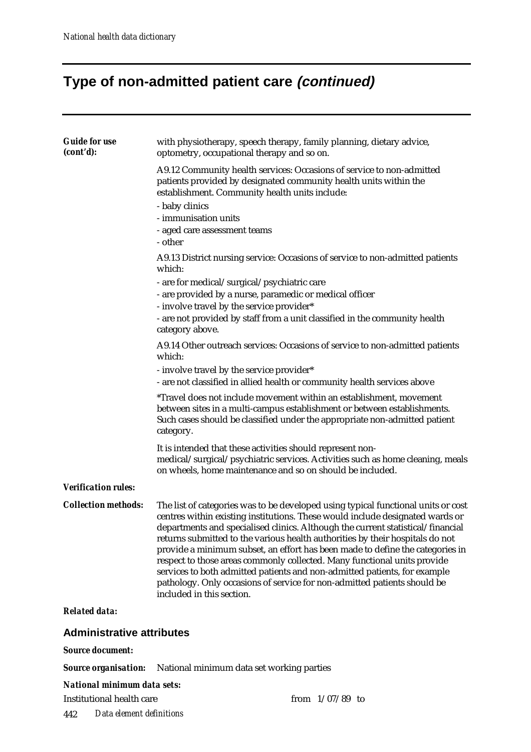# **Type of non-admitted patient care (continued)**

| <b>Guide for use</b><br>(cont'd): | with physiotherapy, speech therapy, family planning, dietary advice,<br>optometry, occupational therapy and so on.                                                                                                                                                                                                                                                                                                                                                                                                                                                                                                                                                                        |
|-----------------------------------|-------------------------------------------------------------------------------------------------------------------------------------------------------------------------------------------------------------------------------------------------------------------------------------------------------------------------------------------------------------------------------------------------------------------------------------------------------------------------------------------------------------------------------------------------------------------------------------------------------------------------------------------------------------------------------------------|
|                                   | A9.12 Community health services: Occasions of service to non-admitted<br>patients provided by designated community health units within the<br>establishment. Community health units include:                                                                                                                                                                                                                                                                                                                                                                                                                                                                                              |
|                                   | - baby clinics                                                                                                                                                                                                                                                                                                                                                                                                                                                                                                                                                                                                                                                                            |
|                                   | - immunisation units                                                                                                                                                                                                                                                                                                                                                                                                                                                                                                                                                                                                                                                                      |
|                                   | - aged care assessment teams<br>- other                                                                                                                                                                                                                                                                                                                                                                                                                                                                                                                                                                                                                                                   |
|                                   | A9.13 District nursing service: Occasions of service to non-admitted patients<br>which:                                                                                                                                                                                                                                                                                                                                                                                                                                                                                                                                                                                                   |
|                                   | - are for medical/surgical/psychiatric care                                                                                                                                                                                                                                                                                                                                                                                                                                                                                                                                                                                                                                               |
|                                   | - are provided by a nurse, paramedic or medical officer                                                                                                                                                                                                                                                                                                                                                                                                                                                                                                                                                                                                                                   |
|                                   | - involve travel by the service provider*                                                                                                                                                                                                                                                                                                                                                                                                                                                                                                                                                                                                                                                 |
|                                   | - are not provided by staff from a unit classified in the community health<br>category above.                                                                                                                                                                                                                                                                                                                                                                                                                                                                                                                                                                                             |
|                                   | A9.14 Other outreach services: Occasions of service to non-admitted patients<br>which:                                                                                                                                                                                                                                                                                                                                                                                                                                                                                                                                                                                                    |
|                                   | - involve travel by the service provider*                                                                                                                                                                                                                                                                                                                                                                                                                                                                                                                                                                                                                                                 |
|                                   | - are not classified in allied health or community health services above                                                                                                                                                                                                                                                                                                                                                                                                                                                                                                                                                                                                                  |
|                                   | *Travel does not include movement within an establishment, movement<br>between sites in a multi-campus establishment or between establishments.<br>Such cases should be classified under the appropriate non-admitted patient<br>category.                                                                                                                                                                                                                                                                                                                                                                                                                                                |
|                                   | It is intended that these activities should represent non-<br>medical/surgical/psychiatric services. Activities such as home cleaning, meals<br>on wheels, home maintenance and so on should be included.                                                                                                                                                                                                                                                                                                                                                                                                                                                                                 |
| <b>Verification rules:</b>        |                                                                                                                                                                                                                                                                                                                                                                                                                                                                                                                                                                                                                                                                                           |
| <b>Collection methods:</b>        | The list of categories was to be developed using typical functional units or cost<br>centres within existing institutions. These would include designated wards or<br>departments and specialised clinics. Although the current statistical/financial<br>returns submitted to the various health authorities by their hospitals do not<br>provide a minimum subset, an effort has been made to define the categories in<br>respect to those areas commonly collected. Many functional units provide<br>services to both admitted patients and non-admitted patients, for example<br>pathology. Only occasions of service for non-admitted patients should be<br>included in this section. |
| <b>Related data:</b>              |                                                                                                                                                                                                                                                                                                                                                                                                                                                                                                                                                                                                                                                                                           |
| <b>Administrative attributes</b>  |                                                                                                                                                                                                                                                                                                                                                                                                                                                                                                                                                                                                                                                                                           |
| <b>Source document:</b>           |                                                                                                                                                                                                                                                                                                                                                                                                                                                                                                                                                                                                                                                                                           |
| <b>Source organisation:</b>       | National minimum data set working parties                                                                                                                                                                                                                                                                                                                                                                                                                                                                                                                                                                                                                                                 |
|                                   |                                                                                                                                                                                                                                                                                                                                                                                                                                                                                                                                                                                                                                                                                           |

*National minimum data sets:*

Institutional health care from  $1/07/89$  to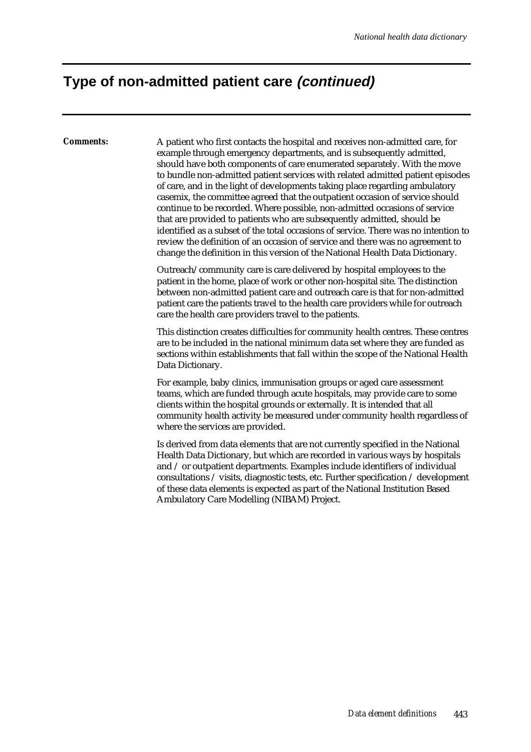### **Type of non-admitted patient care (continued)**

*Comments:* A patient who first contacts the hospital and receives non-admitted care, for example through emergency departments, and is subsequently admitted, should have both components of care enumerated separately. With the move to bundle non-admitted patient services with related admitted patient episodes of care, and in the light of developments taking place regarding ambulatory casemix, the committee agreed that the outpatient occasion of service should continue to be recorded. Where possible, non-admitted occasions of service that are provided to patients who are subsequently admitted, should be identified as a subset of the total occasions of service. There was no intention to review the definition of an occasion of service and there was no agreement to change the definition in this version of the National Health Data Dictionary.

> Outreach/community care is care delivered by hospital employees to the patient in the home, place of work or other non-hospital site. The distinction between non-admitted patient care and outreach care is that for non-admitted patient care the patients travel to the health care providers while for outreach care the health care providers travel to the patients.

This distinction creates difficulties for community health centres. These centres are to be included in the national minimum data set where they are funded as sections within establishments that fall within the scope of the National Health Data Dictionary.

For example, baby clinics, immunisation groups or aged care assessment teams, which are funded through acute hospitals, may provide care to some clients within the hospital grounds or externally. It is intended that all community health activity be measured under community health regardless of where the services are provided.

Is derived from data elements that are not currently specified in the National Health Data Dictionary, but which are recorded in various ways by hospitals and / or outpatient departments. Examples include identifiers of individual consultations / visits, diagnostic tests, etc. Further specification / development of these data elements is expected as part of the National Institution Based Ambulatory Care Modelling (NIBAM) Project.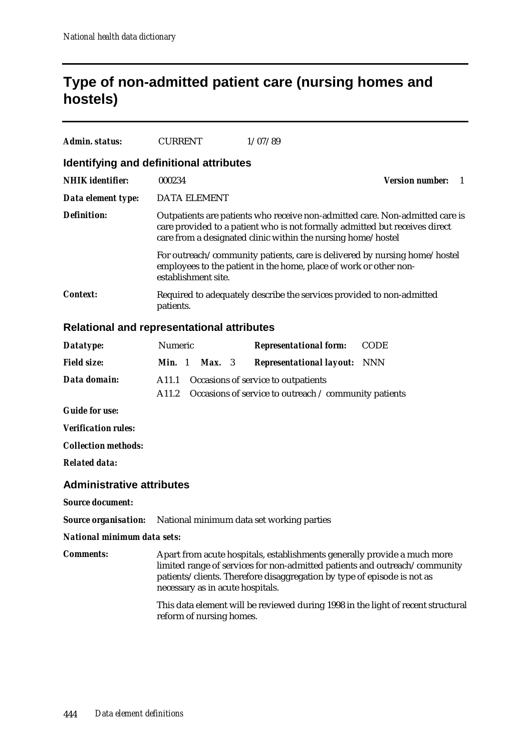### **Type of non-admitted patient care (nursing homes and hostels)**

| Admin. status:          | <b>CURRENT</b>                          | 1/07/89                                                                                                                                                                                                                     |                        |
|-------------------------|-----------------------------------------|-----------------------------------------------------------------------------------------------------------------------------------------------------------------------------------------------------------------------------|------------------------|
|                         | Identifying and definitional attributes |                                                                                                                                                                                                                             |                        |
| <b>NHIK</b> identifier: | 000234                                  |                                                                                                                                                                                                                             | <b>Version number:</b> |
| Data element type:      | <b>DATA ELEMENT</b>                     |                                                                                                                                                                                                                             |                        |
| Definition:             |                                         | Outpatients are patients who receive non-admitted care. Non-admitted care is<br>care provided to a patient who is not formally admitted but receives direct<br>care from a designated clinic within the nursing home/hostel |                        |
|                         | establishment site.                     | For outreach/community patients, care is delivered by nursing home/hostel<br>employees to the patient in the home, place of work or other non-                                                                              |                        |
| <i>Context:</i>         | patients.                               | Required to adequately describe the services provided to non-admitted                                                                                                                                                       |                        |

### **Relational and representational attributes**

| Datatype:          | Numeric                                   | <b>Representational form:</b> CODE                          |  |
|--------------------|-------------------------------------------|-------------------------------------------------------------|--|
| <b>Field size:</b> | <b>Min.</b> 1 <b>Max.</b> 3               | <b>Representational layout:</b> NNN                         |  |
| Data domain:       | A11.1 Occasions of service to outpatients | A11.2 Occasions of service to outreach / community patients |  |

*Guide for use:*

*Verification rules:*

*Collection methods:*

*Related data:*

#### **Administrative attributes**

*Source document:*

*Source organisation:* National minimum data set working parties

*National minimum data sets:*

**Comments:** Apart from acute hospitals, establishments generally provide a much more limited range of services for non-admitted patients and outreach/community patients/clients. Therefore disaggregation by type of episode is not as necessary as in acute hospitals.

> This data element will be reviewed during 1998 in the light of recent structural reform of nursing homes.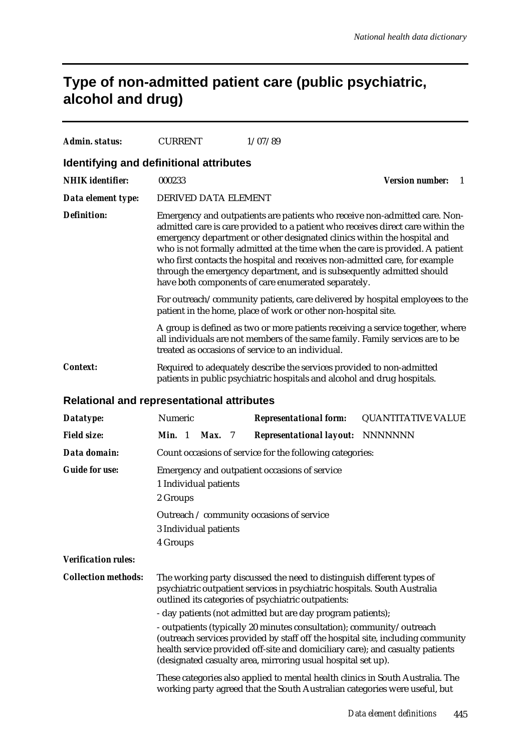## **Type of non-admitted patient care (public psychiatric, alcohol and drug)**

| Admin. status:                                    | <b>CURRENT</b>                                                                                                                                                                                                                                                                                                                                                                                                                                                                                                                            | 1/07/89                                                                                                                                                                                                              |                           |  |  |  |  |
|---------------------------------------------------|-------------------------------------------------------------------------------------------------------------------------------------------------------------------------------------------------------------------------------------------------------------------------------------------------------------------------------------------------------------------------------------------------------------------------------------------------------------------------------------------------------------------------------------------|----------------------------------------------------------------------------------------------------------------------------------------------------------------------------------------------------------------------|---------------------------|--|--|--|--|
|                                                   | <b>Identifying and definitional attributes</b>                                                                                                                                                                                                                                                                                                                                                                                                                                                                                            |                                                                                                                                                                                                                      |                           |  |  |  |  |
| <b>NHIK</b> identifier:                           | 000233<br><b>Version number:</b><br>1                                                                                                                                                                                                                                                                                                                                                                                                                                                                                                     |                                                                                                                                                                                                                      |                           |  |  |  |  |
| Data element type:                                | DERIVED DATA ELEMENT                                                                                                                                                                                                                                                                                                                                                                                                                                                                                                                      |                                                                                                                                                                                                                      |                           |  |  |  |  |
| <b>Definition:</b>                                | Emergency and outpatients are patients who receive non-admitted care. Non-<br>admitted care is care provided to a patient who receives direct care within the<br>emergency department or other designated clinics within the hospital and<br>who is not formally admitted at the time when the care is provided. A patient<br>who first contacts the hospital and receives non-admitted care, for example<br>through the emergency department, and is subsequently admitted should<br>have both components of care enumerated separately. |                                                                                                                                                                                                                      |                           |  |  |  |  |
|                                                   |                                                                                                                                                                                                                                                                                                                                                                                                                                                                                                                                           | For outreach/community patients, care delivered by hospital employees to the<br>patient in the home, place of work or other non-hospital site.                                                                       |                           |  |  |  |  |
|                                                   |                                                                                                                                                                                                                                                                                                                                                                                                                                                                                                                                           | A group is defined as two or more patients receiving a service together, where<br>all individuals are not members of the same family. Family services are to be<br>treated as occasions of service to an individual. |                           |  |  |  |  |
| Context:                                          | Required to adequately describe the services provided to non-admitted<br>patients in public psychiatric hospitals and alcohol and drug hospitals.                                                                                                                                                                                                                                                                                                                                                                                         |                                                                                                                                                                                                                      |                           |  |  |  |  |
| <b>Relational and representational attributes</b> |                                                                                                                                                                                                                                                                                                                                                                                                                                                                                                                                           |                                                                                                                                                                                                                      |                           |  |  |  |  |
| Datatype:                                         | Numeric                                                                                                                                                                                                                                                                                                                                                                                                                                                                                                                                   | <b>Representational form:</b>                                                                                                                                                                                        | <b>QUANTITATIVE VALUE</b> |  |  |  |  |
| <b>Field size:</b>                                | Min. 1<br>Max.<br>- 7                                                                                                                                                                                                                                                                                                                                                                                                                                                                                                                     | <b>Representational layout: NNNNNNN</b>                                                                                                                                                                              |                           |  |  |  |  |
| Data domain:                                      |                                                                                                                                                                                                                                                                                                                                                                                                                                                                                                                                           | Count occasions of service for the following categories:                                                                                                                                                             |                           |  |  |  |  |
| <b>Guide for use:</b>                             | Emergency and outpatient occasions of service<br>1 Individual patients<br>2 Groups                                                                                                                                                                                                                                                                                                                                                                                                                                                        |                                                                                                                                                                                                                      |                           |  |  |  |  |
|                                                   | Outreach / community occasions of service                                                                                                                                                                                                                                                                                                                                                                                                                                                                                                 |                                                                                                                                                                                                                      |                           |  |  |  |  |
|                                                   | 3 Individual patients<br>4 Groups                                                                                                                                                                                                                                                                                                                                                                                                                                                                                                         |                                                                                                                                                                                                                      |                           |  |  |  |  |
| <b>Verification rules:</b>                        |                                                                                                                                                                                                                                                                                                                                                                                                                                                                                                                                           |                                                                                                                                                                                                                      |                           |  |  |  |  |
| <b>Collection methods:</b>                        | The working party discussed the need to distinguish different types of<br>psychiatric outpatient services in psychiatric hospitals. South Australia<br>outlined its categories of psychiatric outpatients:<br>- day patients (not admitted but are day program patients);<br>- outpatients (typically 20 minutes consultation); community/outreach<br>(outreach services provided by staff off the hospital site, including community<br>health service provided off-site and domiciliary care); and casualty patients                    |                                                                                                                                                                                                                      |                           |  |  |  |  |
|                                                   | (designated casualty area, mirroring usual hospital set up).<br>These categories also applied to mental health clinics in South Australia. The<br>working party agreed that the South Australian categories were useful, but                                                                                                                                                                                                                                                                                                              |                                                                                                                                                                                                                      |                           |  |  |  |  |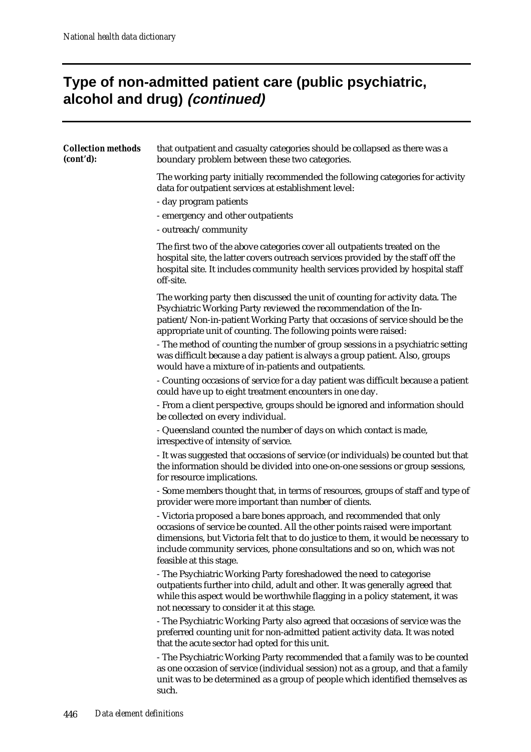## **Type of non-admitted patient care (public psychiatric, alcohol and drug) (continued)**

| <b>Collection methods</b> | that outpatient and casualty categories should be collapsed as there was a                                                                                                                                                                                                                                                                       |
|---------------------------|--------------------------------------------------------------------------------------------------------------------------------------------------------------------------------------------------------------------------------------------------------------------------------------------------------------------------------------------------|
| (cont'd):                 | boundary problem between these two categories.                                                                                                                                                                                                                                                                                                   |
|                           | The working party initially recommended the following categories for activity<br>data for outpatient services at establishment level:                                                                                                                                                                                                            |
|                           | - day program patients                                                                                                                                                                                                                                                                                                                           |
|                           | - emergency and other outpatients                                                                                                                                                                                                                                                                                                                |
|                           | - outreach/community                                                                                                                                                                                                                                                                                                                             |
|                           | The first two of the above categories cover all outpatients treated on the<br>hospital site, the latter covers outreach services provided by the staff off the<br>hospital site. It includes community health services provided by hospital staff<br>off-site.                                                                                   |
|                           | The working party then discussed the unit of counting for activity data. The<br>Psychiatric Working Party reviewed the recommendation of the In-<br>patient/Non-in-patient Working Party that occasions of service should be the<br>appropriate unit of counting. The following points were raised:                                              |
|                           | - The method of counting the number of group sessions in a psychiatric setting<br>was difficult because a day patient is always a group patient. Also, groups<br>would have a mixture of in-patients and outpatients.                                                                                                                            |
|                           | - Counting occasions of service for a day patient was difficult because a patient<br>could have up to eight treatment encounters in one day.                                                                                                                                                                                                     |
|                           | - From a client perspective, groups should be ignored and information should<br>be collected on every individual.                                                                                                                                                                                                                                |
|                           | - Queensland counted the number of days on which contact is made,<br>irrespective of intensity of service.                                                                                                                                                                                                                                       |
|                           | - It was suggested that occasions of service (or individuals) be counted but that<br>the information should be divided into one-on-one sessions or group sessions,<br>for resource implications.                                                                                                                                                 |
|                           | - Some members thought that, in terms of resources, groups of staff and type of<br>provider were more important than number of clients.                                                                                                                                                                                                          |
|                           | - Victoria proposed a bare bones approach, and recommended that only<br>occasions of service be counted. All the other points raised were important<br>dimensions, but Victoria felt that to do justice to them, it would be necessary to<br>include community services, phone consultations and so on, which was not<br>feasible at this stage. |
|                           | - The Psychiatric Working Party foreshadowed the need to categorise<br>outpatients further into child, adult and other. It was generally agreed that<br>while this aspect would be worthwhile flagging in a policy statement, it was<br>not necessary to consider it at this stage.                                                              |
|                           | - The Psychiatric Working Party also agreed that occasions of service was the<br>preferred counting unit for non-admitted patient activity data. It was noted<br>that the acute sector had opted for this unit.                                                                                                                                  |
|                           | - The Psychiatric Working Party recommended that a family was to be counted<br>as one occasion of service (individual session) not as a group, and that a family<br>unit was to be determined as a group of people which identified themselves as<br>such.                                                                                       |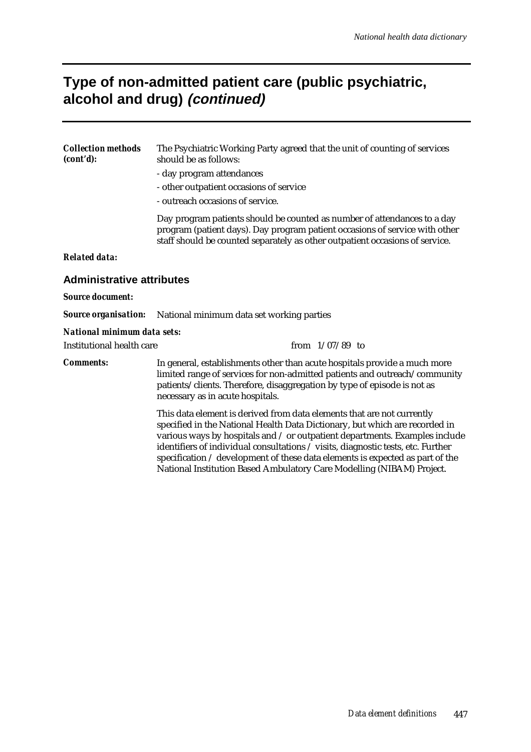## **Type of non-admitted patient care (public psychiatric, alcohol and drug) (continued)**

| The Psychiatric Working Party agreed that the unit of counting of services<br>should be as follows:<br>- day program attendances<br>- other outpatient occasions of service<br>- outreach occasions of service.<br>Day program patients should be counted as number of attendances to a day<br>program (patient days). Day program patient occasions of service with other<br>staff should be counted separately as other outpatient occasions of service.                         |  |  |  |
|------------------------------------------------------------------------------------------------------------------------------------------------------------------------------------------------------------------------------------------------------------------------------------------------------------------------------------------------------------------------------------------------------------------------------------------------------------------------------------|--|--|--|
|                                                                                                                                                                                                                                                                                                                                                                                                                                                                                    |  |  |  |
|                                                                                                                                                                                                                                                                                                                                                                                                                                                                                    |  |  |  |
|                                                                                                                                                                                                                                                                                                                                                                                                                                                                                    |  |  |  |
| <b>Source organisation:</b> National minimum data set working parties                                                                                                                                                                                                                                                                                                                                                                                                              |  |  |  |
|                                                                                                                                                                                                                                                                                                                                                                                                                                                                                    |  |  |  |
| from $1/07/89$ to                                                                                                                                                                                                                                                                                                                                                                                                                                                                  |  |  |  |
| In general, establishments other than acute hospitals provide a much more<br>limited range of services for non-admitted patients and outreach/community<br>patients/clients. Therefore, disaggregation by type of episode is not as<br>necessary as in acute hospitals.                                                                                                                                                                                                            |  |  |  |
| This data element is derived from data elements that are not currently<br>specified in the National Health Data Dictionary, but which are recorded in<br>various ways by hospitals and / or outpatient departments. Examples include<br>identifiers of individual consultations / visits, diagnostic tests, etc. Further<br>specification / development of these data elements is expected as part of the<br>National Institution Based Ambulatory Care Modelling (NIBAM) Project. |  |  |  |
|                                                                                                                                                                                                                                                                                                                                                                                                                                                                                    |  |  |  |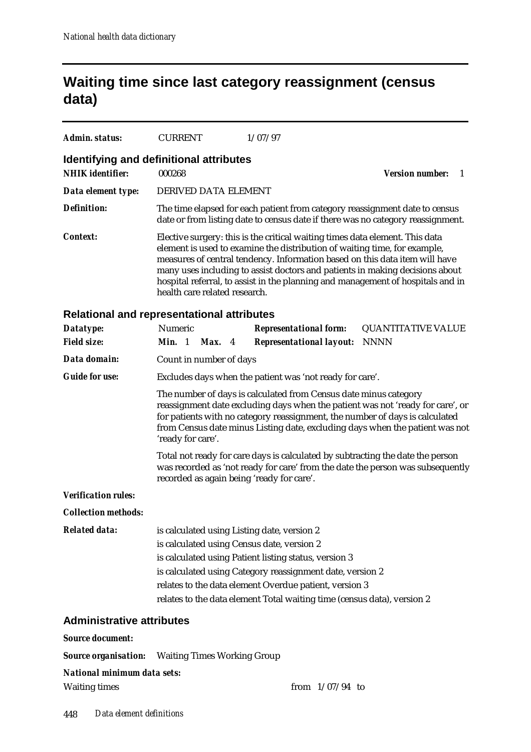## **Waiting time since last category reassignment (census data)**

| Admin. status:                                                     | <b>CURRENT</b>                                                                                                                                                                                                                                                                                                                                                                                                                               |                                                                                                                                                                                                               | 1/07/97 |                                                          |  |                             |  |  |
|--------------------------------------------------------------------|----------------------------------------------------------------------------------------------------------------------------------------------------------------------------------------------------------------------------------------------------------------------------------------------------------------------------------------------------------------------------------------------------------------------------------------------|---------------------------------------------------------------------------------------------------------------------------------------------------------------------------------------------------------------|---------|----------------------------------------------------------|--|-----------------------------|--|--|
| Identifying and definitional attributes<br><b>NHIK</b> identifier: | 000268                                                                                                                                                                                                                                                                                                                                                                                                                                       |                                                                                                                                                                                                               |         |                                                          |  | <b>Version number:</b><br>1 |  |  |
| Data element type:                                                 | DERIVED DATA ELEMENT                                                                                                                                                                                                                                                                                                                                                                                                                         |                                                                                                                                                                                                               |         |                                                          |  |                             |  |  |
| <b>Definition:</b>                                                 |                                                                                                                                                                                                                                                                                                                                                                                                                                              | The time elapsed for each patient from category reassignment date to census<br>date or from listing date to census date if there was no category reassignment.                                                |         |                                                          |  |                             |  |  |
| <b>Context:</b>                                                    | Elective surgery: this is the critical waiting times data element. This data<br>element is used to examine the distribution of waiting time, for example,<br>measures of central tendency. Information based on this data item will have<br>many uses including to assist doctors and patients in making decisions about<br>hospital referral, to assist in the planning and management of hospitals and in<br>health care related research. |                                                                                                                                                                                                               |         |                                                          |  |                             |  |  |
| <b>Relational and representational attributes</b>                  |                                                                                                                                                                                                                                                                                                                                                                                                                                              |                                                                                                                                                                                                               |         |                                                          |  |                             |  |  |
| Datatype:                                                          | Numeric                                                                                                                                                                                                                                                                                                                                                                                                                                      |                                                                                                                                                                                                               |         | <b>Representational form:</b>                            |  | <b>QUANTITATIVE VALUE</b>   |  |  |
| <b>Field size:</b>                                                 | Min. 1                                                                                                                                                                                                                                                                                                                                                                                                                                       | <b>Max.</b> 4                                                                                                                                                                                                 |         | <b>Representational layout:</b>                          |  | <b>NNNN</b>                 |  |  |
| Data domain:                                                       | Count in number of days                                                                                                                                                                                                                                                                                                                                                                                                                      |                                                                                                                                                                                                               |         |                                                          |  |                             |  |  |
| <b>Guide for use:</b>                                              |                                                                                                                                                                                                                                                                                                                                                                                                                                              |                                                                                                                                                                                                               |         | Excludes days when the patient was 'not ready for care'. |  |                             |  |  |
|                                                                    | The number of days is calculated from Census date minus category<br>reassignment date excluding days when the patient was not 'ready for care', or<br>for patients with no category reassignment, the number of days is calculated<br>from Census date minus Listing date, excluding days when the patient was not<br>'ready for care'.                                                                                                      |                                                                                                                                                                                                               |         |                                                          |  |                             |  |  |
|                                                                    |                                                                                                                                                                                                                                                                                                                                                                                                                                              | Total not ready for care days is calculated by subtracting the date the person<br>was recorded as 'not ready for care' from the date the person was subsequently<br>recorded as again being 'ready for care'. |         |                                                          |  |                             |  |  |
| <b>Verification rules:</b>                                         |                                                                                                                                                                                                                                                                                                                                                                                                                                              |                                                                                                                                                                                                               |         |                                                          |  |                             |  |  |
| <b>Collection methods:</b>                                         |                                                                                                                                                                                                                                                                                                                                                                                                                                              |                                                                                                                                                                                                               |         |                                                          |  |                             |  |  |
| <b>Related data:</b>                                               | is calculated using Listing date, version 2<br>is calculated using Census date, version 2<br>is calculated using Patient listing status, version 3<br>is calculated using Category reassignment date, version 2<br>relates to the data element Overdue patient, version 3<br>relates to the data element Total waiting time (census data), version 2                                                                                         |                                                                                                                                                                                                               |         |                                                          |  |                             |  |  |
| <b>Administrative attributes</b>                                   |                                                                                                                                                                                                                                                                                                                                                                                                                                              |                                                                                                                                                                                                               |         |                                                          |  |                             |  |  |
| <b>Source document:</b>                                            |                                                                                                                                                                                                                                                                                                                                                                                                                                              |                                                                                                                                                                                                               |         |                                                          |  |                             |  |  |
| <b>Source organisation:</b>                                        | <b>Waiting Times Working Group</b>                                                                                                                                                                                                                                                                                                                                                                                                           |                                                                                                                                                                                                               |         |                                                          |  |                             |  |  |

### *National minimum data sets:*

Waiting times from  $1/07/94$  to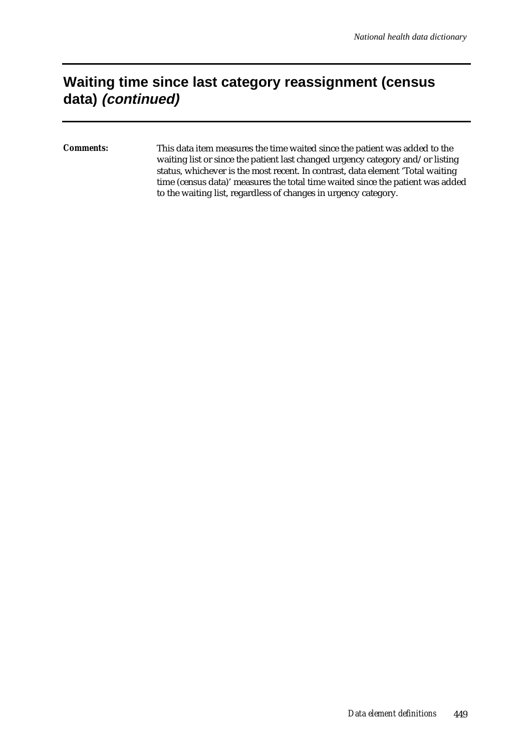### **Waiting time since last category reassignment (census data) (continued)**

*Comments:* This data item measures the time waited since the patient was added to the waiting list or since the patient last changed urgency category and/or listing status, whichever is the most recent. In contrast, data element 'Total waiting time (census data)' measures the total time waited since the patient was added to the waiting list, regardless of changes in urgency category.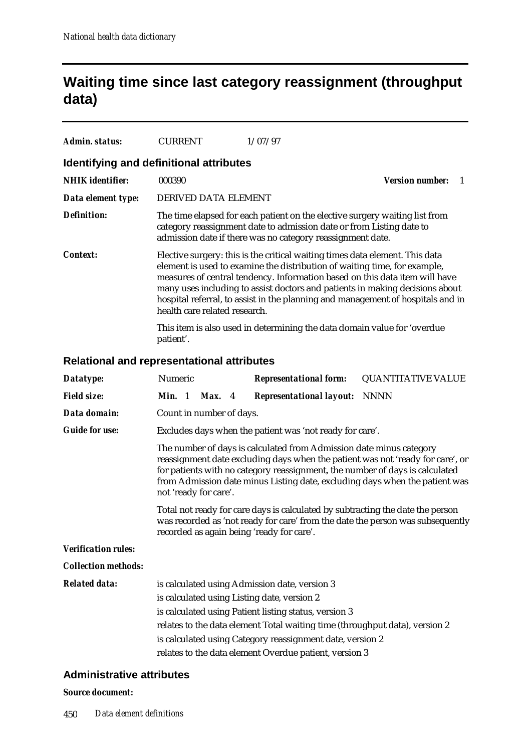## **Waiting time since last category reassignment (throughput data)**

| Admin. status:          | <b>CURRENT</b>                          | 1/07/97                                                                                                                                                                                                                                                                                                                                                                                                     |                        |  |
|-------------------------|-----------------------------------------|-------------------------------------------------------------------------------------------------------------------------------------------------------------------------------------------------------------------------------------------------------------------------------------------------------------------------------------------------------------------------------------------------------------|------------------------|--|
|                         | Identifying and definitional attributes |                                                                                                                                                                                                                                                                                                                                                                                                             |                        |  |
| <b>NHIK</b> identifier: | 000390                                  |                                                                                                                                                                                                                                                                                                                                                                                                             | <b>Version number:</b> |  |
| Data element type:      | DERIVED DATA ELEMENT                    |                                                                                                                                                                                                                                                                                                                                                                                                             |                        |  |
| <b>Definition:</b>      |                                         | The time elapsed for each patient on the elective surgery waiting list from<br>category reassignment date to admission date or from Listing date to<br>admission date if there was no category reassignment date.                                                                                                                                                                                           |                        |  |
| Context:                | health care related research.           | Elective surgery: this is the critical waiting times data element. This data<br>element is used to examine the distribution of waiting time, for example,<br>measures of central tendency. Information based on this data item will have<br>many uses including to assist doctors and patients in making decisions about<br>hospital referral, to assist in the planning and management of hospitals and in |                        |  |
|                         | patient'.                               | This item is also used in determining the data domain value for 'overdue                                                                                                                                                                                                                                                                                                                                    |                        |  |

### **Relational and representational attributes**

| Datatype:                  | Numeric                                                                                                                                                                                                       |        |  | <b>Representational form:</b>                                                                                                                                                                                                                                                                                                                               | <b>QUANTITATIVE VALUE</b>                                                                                                                                     |
|----------------------------|---------------------------------------------------------------------------------------------------------------------------------------------------------------------------------------------------------------|--------|--|-------------------------------------------------------------------------------------------------------------------------------------------------------------------------------------------------------------------------------------------------------------------------------------------------------------------------------------------------------------|---------------------------------------------------------------------------------------------------------------------------------------------------------------|
| <b>Field size:</b>         | Min. 1                                                                                                                                                                                                        | Max. 4 |  | <b>Representational layout:</b>                                                                                                                                                                                                                                                                                                                             | <b>NNNN</b>                                                                                                                                                   |
| Data domain:               | Count in number of days.                                                                                                                                                                                      |        |  |                                                                                                                                                                                                                                                                                                                                                             |                                                                                                                                                               |
| <b>Guide for use:</b>      | Excludes days when the patient was 'not ready for care'.                                                                                                                                                      |        |  |                                                                                                                                                                                                                                                                                                                                                             |                                                                                                                                                               |
|                            | not 'ready for care'.                                                                                                                                                                                         |        |  | The number of days is calculated from Admission date minus category<br>for patients with no category reassignment, the number of days is calculated                                                                                                                                                                                                         | reassignment date excluding days when the patient was not 'ready for care', or<br>from Admission date minus Listing date, excluding days when the patient was |
|                            | Total not ready for care days is calculated by subtracting the date the person<br>was recorded as 'not ready for care' from the date the person was subsequently<br>recorded as again being 'ready for care'. |        |  |                                                                                                                                                                                                                                                                                                                                                             |                                                                                                                                                               |
| <b>Verification rules:</b> |                                                                                                                                                                                                               |        |  |                                                                                                                                                                                                                                                                                                                                                             |                                                                                                                                                               |
| <b>Collection methods:</b> |                                                                                                                                                                                                               |        |  |                                                                                                                                                                                                                                                                                                                                                             |                                                                                                                                                               |
| <b>Related data:</b>       |                                                                                                                                                                                                               |        |  | is calculated using Admission date, version 3<br>is calculated using Listing date, version 2<br>is calculated using Patient listing status, version 3<br>relates to the data element Total waiting time (throughput data), version 2<br>is calculated using Category reassignment date, version 2<br>relates to the data element Overdue patient, version 3 |                                                                                                                                                               |

### **Administrative attributes**

*Source document:*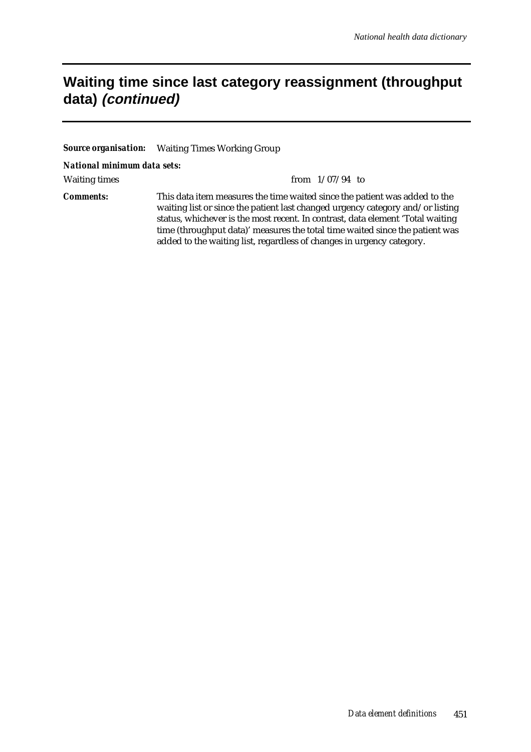### **Waiting time since last category reassignment (throughput data) (continued)**

#### *Source organisation:* Waiting Times Working Group

#### *National minimum data sets:*

Waiting times from 1/07/94 to *Comments:* This data item measures the time waited since the patient was added to the waiting list or since the patient last changed urgency category and/or listing status, whichever is the most recent. In contrast, data element 'Total waiting time (throughput data)' measures the total time waited since the patient was added to the waiting list, regardless of changes in urgency category.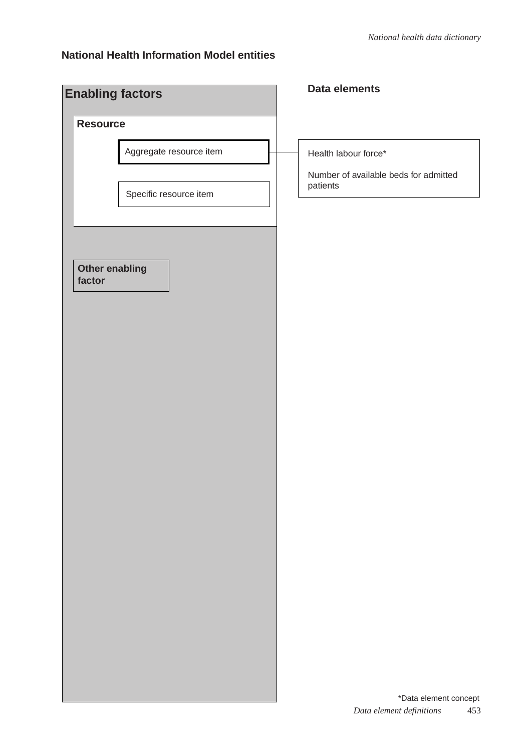### **National Health Information Model entities**

| <b>Enabling factors</b>         | Data elements                                     |
|---------------------------------|---------------------------------------------------|
| <b>Resource</b>                 |                                                   |
| Aggregate resource item         | Health labour force*                              |
| Specific resource item          | Number of available beds for admitted<br>patients |
| <b>Other enabling</b><br>factor |                                                   |
|                                 |                                                   |
|                                 |                                                   |
|                                 |                                                   |
|                                 |                                                   |
|                                 |                                                   |
|                                 |                                                   |
|                                 | *Data element concept                             |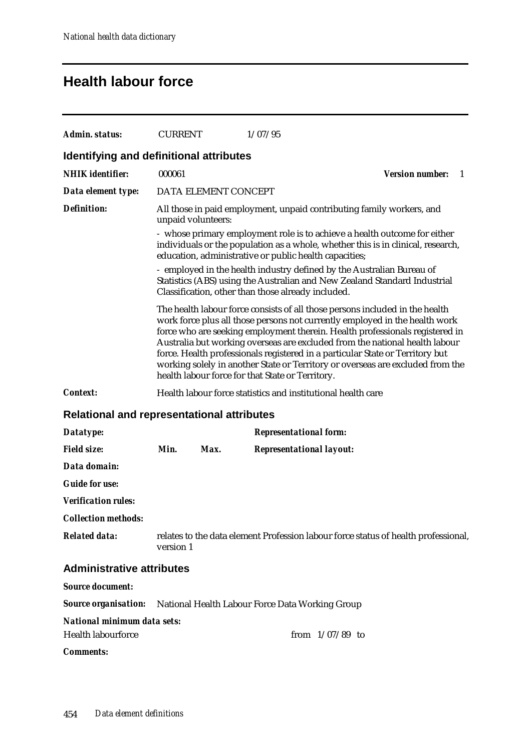## **Health labour force**

| Admin. status:                                                              | <b>CURRENT</b>     |                      | 1/07/95                                                      |                                 |                                                                                                                                                                                                                                                                                                                                                                                                                                                                                               |    |
|-----------------------------------------------------------------------------|--------------------|----------------------|--------------------------------------------------------------|---------------------------------|-----------------------------------------------------------------------------------------------------------------------------------------------------------------------------------------------------------------------------------------------------------------------------------------------------------------------------------------------------------------------------------------------------------------------------------------------------------------------------------------------|----|
| Identifying and definitional attributes                                     |                    |                      |                                                              |                                 |                                                                                                                                                                                                                                                                                                                                                                                                                                                                                               |    |
| <b>NHIK</b> identifier:                                                     | 000061             |                      |                                                              |                                 | <b>Version number:</b>                                                                                                                                                                                                                                                                                                                                                                                                                                                                        | -1 |
| Data element type:                                                          |                    | DATA ELEMENT CONCEPT |                                                              |                                 |                                                                                                                                                                                                                                                                                                                                                                                                                                                                                               |    |
| <b>Definition:</b>                                                          | unpaid volunteers: |                      |                                                              |                                 | All those in paid employment, unpaid contributing family workers, and                                                                                                                                                                                                                                                                                                                                                                                                                         |    |
|                                                                             |                    |                      | education, administrative or public health capacities;       |                                 | - whose primary employment role is to achieve a health outcome for either<br>individuals or the population as a whole, whether this is in clinical, research,                                                                                                                                                                                                                                                                                                                                 |    |
|                                                                             |                    |                      | Classification, other than those already included.           |                                 | - employed in the health industry defined by the Australian Bureau of<br>Statistics (ABS) using the Australian and New Zealand Standard Industrial                                                                                                                                                                                                                                                                                                                                            |    |
|                                                                             |                    |                      | health labour force for that State or Territory.             |                                 | The health labour force consists of all those persons included in the health<br>work force plus all those persons not currently employed in the health work<br>force who are seeking employment therein. Health professionals registered in<br>Australia but working overseas are excluded from the national health labour<br>force. Health professionals registered in a particular State or Territory but<br>working solely in another State or Territory or overseas are excluded from the |    |
| <b>Context:</b>                                                             |                    |                      | Health labour force statistics and institutional health care |                                 |                                                                                                                                                                                                                                                                                                                                                                                                                                                                                               |    |
| <b>Relational and representational attributes</b>                           |                    |                      |                                                              |                                 |                                                                                                                                                                                                                                                                                                                                                                                                                                                                                               |    |
| Datatype:                                                                   |                    |                      |                                                              | <b>Representational form:</b>   |                                                                                                                                                                                                                                                                                                                                                                                                                                                                                               |    |
| <b>Field size:</b>                                                          | Min.               | Max.                 |                                                              | <b>Representational layout:</b> |                                                                                                                                                                                                                                                                                                                                                                                                                                                                                               |    |
| Data domain:                                                                |                    |                      |                                                              |                                 |                                                                                                                                                                                                                                                                                                                                                                                                                                                                                               |    |
| <b>Guide for use:</b>                                                       |                    |                      |                                                              |                                 |                                                                                                                                                                                                                                                                                                                                                                                                                                                                                               |    |
| <b>Verification rules:</b>                                                  |                    |                      |                                                              |                                 |                                                                                                                                                                                                                                                                                                                                                                                                                                                                                               |    |
| <b>Collection methods:</b>                                                  |                    |                      |                                                              |                                 |                                                                                                                                                                                                                                                                                                                                                                                                                                                                                               |    |
| <b>Related data:</b>                                                        | version 1          |                      |                                                              |                                 | relates to the data element Profession labour force status of health professional,                                                                                                                                                                                                                                                                                                                                                                                                            |    |
| <b>Administrative attributes</b>                                            |                    |                      |                                                              |                                 |                                                                                                                                                                                                                                                                                                                                                                                                                                                                                               |    |
| <b>Source document:</b>                                                     |                    |                      |                                                              |                                 |                                                                                                                                                                                                                                                                                                                                                                                                                                                                                               |    |
| <b>Source organisation:</b> National Health Labour Force Data Working Group |                    |                      |                                                              |                                 |                                                                                                                                                                                                                                                                                                                                                                                                                                                                                               |    |
| National minimum data sets:                                                 |                    |                      |                                                              |                                 |                                                                                                                                                                                                                                                                                                                                                                                                                                                                                               |    |
| Health labourforce                                                          |                    |                      |                                                              | from $1/07/89$ to               |                                                                                                                                                                                                                                                                                                                                                                                                                                                                                               |    |
| <b>Comments:</b>                                                            |                    |                      |                                                              |                                 |                                                                                                                                                                                                                                                                                                                                                                                                                                                                                               |    |
|                                                                             |                    |                      |                                                              |                                 |                                                                                                                                                                                                                                                                                                                                                                                                                                                                                               |    |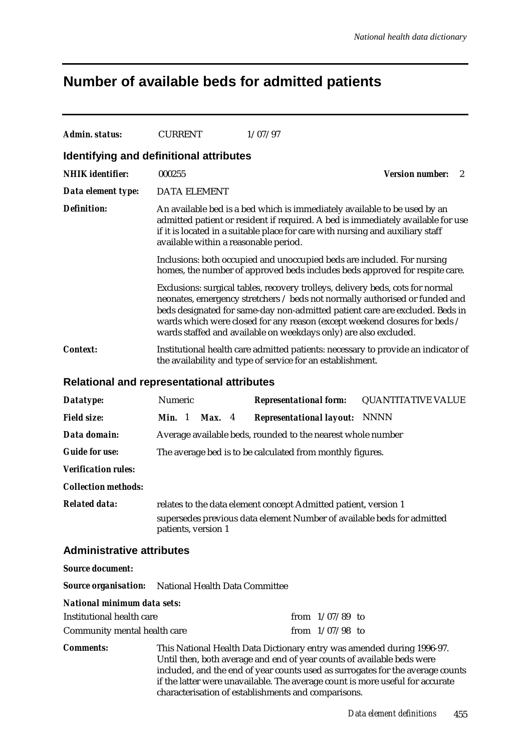### **Number of available beds for admitted patients**

| Admin. status:                          | <b>CURRENT</b>                                                                                                                                                                                                                                                                           | 1/07/97                                                                                                                                                                                                                                                                                                                                                                                         |                             |  |
|-----------------------------------------|------------------------------------------------------------------------------------------------------------------------------------------------------------------------------------------------------------------------------------------------------------------------------------------|-------------------------------------------------------------------------------------------------------------------------------------------------------------------------------------------------------------------------------------------------------------------------------------------------------------------------------------------------------------------------------------------------|-----------------------------|--|
| Identifying and definitional attributes |                                                                                                                                                                                                                                                                                          |                                                                                                                                                                                                                                                                                                                                                                                                 |                             |  |
| <b>NHIK</b> identifier:                 | 000255                                                                                                                                                                                                                                                                                   |                                                                                                                                                                                                                                                                                                                                                                                                 | <b>Version number:</b><br>2 |  |
| Data element type:                      | <b>DATA ELEMENT</b>                                                                                                                                                                                                                                                                      |                                                                                                                                                                                                                                                                                                                                                                                                 |                             |  |
| <b>Definition:</b>                      | An available bed is a bed which is immediately available to be used by an<br>admitted patient or resident if required. A bed is immediately available for use<br>if it is located in a suitable place for care with nursing and auxiliary staff<br>available within a reasonable period. |                                                                                                                                                                                                                                                                                                                                                                                                 |                             |  |
|                                         | Inclusions: both occupied and unoccupied beds are included. For nursing<br>homes, the number of approved beds includes beds approved for respite care.                                                                                                                                   |                                                                                                                                                                                                                                                                                                                                                                                                 |                             |  |
|                                         |                                                                                                                                                                                                                                                                                          | Exclusions: surgical tables, recovery trolleys, delivery beds, cots for normal<br>neonates, emergency stretchers / beds not normally authorised or funded and<br>beds designated for same-day non-admitted patient care are excluded. Beds in<br>wards which were closed for any reason (except weekend closures for beds /<br>wards staffed and available on weekdays only) are also excluded. |                             |  |
| <b>Context:</b>                         | Institutional health care admitted patients: necessary to provide an indicator of<br>the availability and type of service for an establishment.                                                                                                                                          |                                                                                                                                                                                                                                                                                                                                                                                                 |                             |  |
|                                         | <b>Relational and representational attributes</b>                                                                                                                                                                                                                                        |                                                                                                                                                                                                                                                                                                                                                                                                 |                             |  |
| Datatype:                               | Numeric                                                                                                                                                                                                                                                                                  | <b>Representational form:</b>                                                                                                                                                                                                                                                                                                                                                                   | <b>QUANTITATIVE VALUE</b>   |  |

### **Administrative attributes**

*Verification rules:*

*Source document:*

*Collection methods:*

*Source organisation:* National Health Data Committee

patients, version 1

#### *National minimum data sets:*

| Institutional health care    | from $1/07/89$ to |  |
|------------------------------|-------------------|--|
| Community mental health care | from $1/07/98$ to |  |

*Field size: Min.* 1 *Max.* 4 *Representational layout:* NNNN

*Guide for use:* The average bed is to be calculated from monthly figures.

*Data domain:* Average available beds, rounded to the nearest whole number

*Related data:* relates to the data element concept Admitted patient, version 1

*Comments:* This National Health Data Dictionary entry was amended during 1996-97. Until then, both average and end of year counts of available beds were included, and the end of year counts used as surrogates for the average counts if the latter were unavailable. The average count is more useful for accurate characterisation of establishments and comparisons.

supersedes previous data element Number of available beds for admitted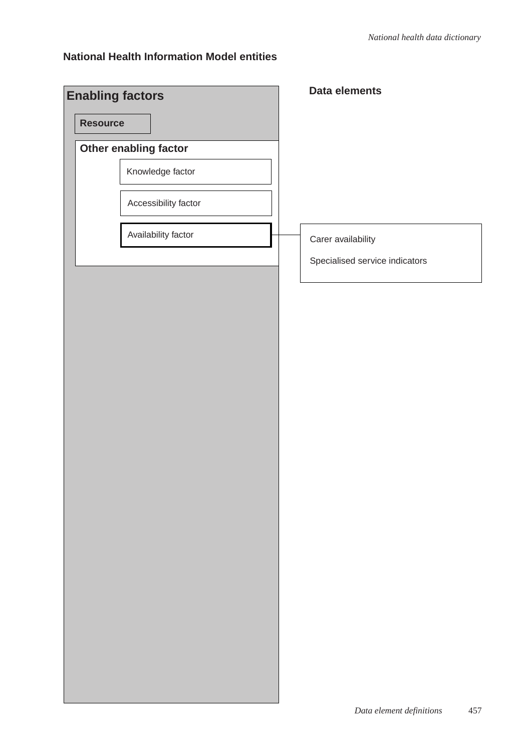### **National Health Information Model entities**

| <b>Enabling factors</b> |                       | Data elements                  |
|-------------------------|-----------------------|--------------------------------|
| <b>Resource</b>         |                       |                                |
|                         | Other enabling factor |                                |
|                         | Knowledge factor      |                                |
|                         | Accessibility factor  |                                |
|                         | Availability factor   | Carer availability             |
|                         |                       | Specialised service indicators |
|                         |                       |                                |
|                         |                       |                                |
|                         |                       |                                |
|                         |                       |                                |
|                         |                       |                                |
|                         |                       |                                |
|                         |                       |                                |
|                         |                       |                                |
|                         |                       |                                |
|                         |                       |                                |
|                         |                       |                                |
|                         |                       |                                |
|                         |                       |                                |
|                         |                       |                                |
|                         |                       |                                |
|                         |                       |                                |
|                         |                       |                                |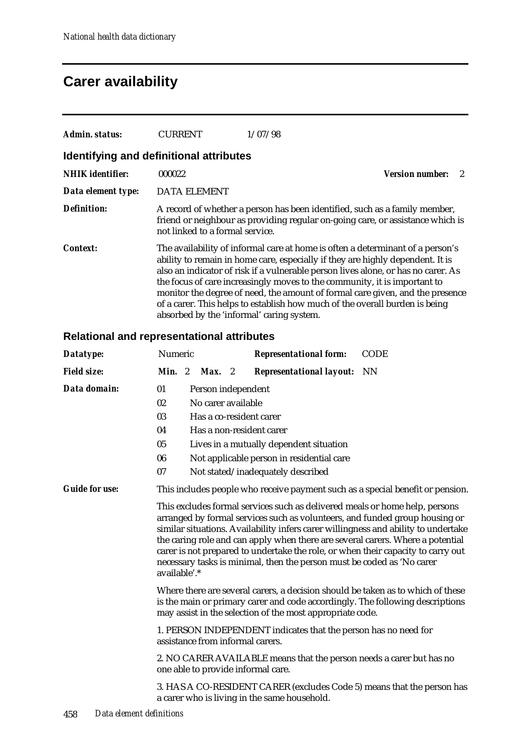# **Carer availability**

| Admin. status:                          | <b>CURRENT</b>                  | 1/07/98                                                                                                                                                                                                                                                                                                                                                                                                                                                                                                                                         |                        |
|-----------------------------------------|---------------------------------|-------------------------------------------------------------------------------------------------------------------------------------------------------------------------------------------------------------------------------------------------------------------------------------------------------------------------------------------------------------------------------------------------------------------------------------------------------------------------------------------------------------------------------------------------|------------------------|
| Identifying and definitional attributes |                                 |                                                                                                                                                                                                                                                                                                                                                                                                                                                                                                                                                 |                        |
| <b>NHIK</b> identifier:                 | 000022                          |                                                                                                                                                                                                                                                                                                                                                                                                                                                                                                                                                 | <b>Version number:</b> |
| Data element type:                      | <b>DATA ELEMENT</b>             |                                                                                                                                                                                                                                                                                                                                                                                                                                                                                                                                                 |                        |
| Definition:                             | not linked to a formal service. | A record of whether a person has been identified, such as a family member,<br>friend or neighbour as providing regular on-going care, or assistance which is                                                                                                                                                                                                                                                                                                                                                                                    |                        |
| <b>Context:</b>                         |                                 | The availability of informal care at home is often a determinant of a person's<br>ability to remain in home care, especially if they are highly dependent. It is<br>also an indicator of risk if a vulnerable person lives alone, or has no carer. As<br>the focus of care increasingly moves to the community, it is important to<br>monitor the degree of need, the amount of formal care given, and the presence<br>of a carer. This helps to establish how much of the overall burden is being<br>absorbed by the 'informal' caring system. |                        |

| Datatype:                                                                                                                                                                                                                     | Numeric                                                                                             |  |                    |  | <b>Representational form:</b>                                                                                                                                                                                                                                                                                                                                                                              | <b>CODE</b>                                                                        |
|-------------------------------------------------------------------------------------------------------------------------------------------------------------------------------------------------------------------------------|-----------------------------------------------------------------------------------------------------|--|--------------------|--|------------------------------------------------------------------------------------------------------------------------------------------------------------------------------------------------------------------------------------------------------------------------------------------------------------------------------------------------------------------------------------------------------------|------------------------------------------------------------------------------------|
| <b>Field size:</b>                                                                                                                                                                                                            | Min. 2                                                                                              |  | Max. 2             |  | <b>Representational layout:</b>                                                                                                                                                                                                                                                                                                                                                                            | NN                                                                                 |
| Data domain:                                                                                                                                                                                                                  | 01                                                                                                  |  | Person independent |  |                                                                                                                                                                                                                                                                                                                                                                                                            |                                                                                    |
|                                                                                                                                                                                                                               | 02                                                                                                  |  | No carer available |  |                                                                                                                                                                                                                                                                                                                                                                                                            |                                                                                    |
|                                                                                                                                                                                                                               | 03                                                                                                  |  |                    |  | Has a co-resident carer                                                                                                                                                                                                                                                                                                                                                                                    |                                                                                    |
|                                                                                                                                                                                                                               | 04                                                                                                  |  |                    |  | Has a non-resident carer                                                                                                                                                                                                                                                                                                                                                                                   |                                                                                    |
|                                                                                                                                                                                                                               | 05                                                                                                  |  |                    |  | Lives in a mutually dependent situation                                                                                                                                                                                                                                                                                                                                                                    |                                                                                    |
|                                                                                                                                                                                                                               | 06                                                                                                  |  |                    |  | Not applicable person in residential care                                                                                                                                                                                                                                                                                                                                                                  |                                                                                    |
|                                                                                                                                                                                                                               | 07                                                                                                  |  |                    |  | Not stated/inadequately described                                                                                                                                                                                                                                                                                                                                                                          |                                                                                    |
| <b>Guide for use:</b>                                                                                                                                                                                                         |                                                                                                     |  |                    |  |                                                                                                                                                                                                                                                                                                                                                                                                            | This includes people who receive payment such as a special benefit or pension.     |
|                                                                                                                                                                                                                               | available'.*                                                                                        |  |                    |  | This excludes formal services such as delivered meals or home help, persons<br>arranged by formal services such as volunteers, and funded group housing or<br>the caring role and can apply when there are several carers. Where a potential<br>carer is not prepared to undertake the role, or when their capacity to carry out<br>necessary tasks is minimal, then the person must be coded as 'No carer | similar situations. Availability infers carer willingness and ability to undertake |
| Where there are several carers, a decision should be taken as to which of these<br>is the main or primary carer and code accordingly. The following descriptions<br>may assist in the selection of the most appropriate code. |                                                                                                     |  |                    |  |                                                                                                                                                                                                                                                                                                                                                                                                            |                                                                                    |
|                                                                                                                                                                                                                               | 1. PERSON INDEPENDENT indicates that the person has no need for<br>assistance from informal carers. |  |                    |  |                                                                                                                                                                                                                                                                                                                                                                                                            |                                                                                    |
|                                                                                                                                                                                                                               |                                                                                                     |  |                    |  | 2. NO CARER AVAILABLE means that the person needs a carer but has no<br>one able to provide informal care.                                                                                                                                                                                                                                                                                                 |                                                                                    |
|                                                                                                                                                                                                                               |                                                                                                     |  |                    |  | a carer who is living in the same household.                                                                                                                                                                                                                                                                                                                                                               | 3. HAS A CO-RESIDENT CARER (excludes Code 5) means that the person has             |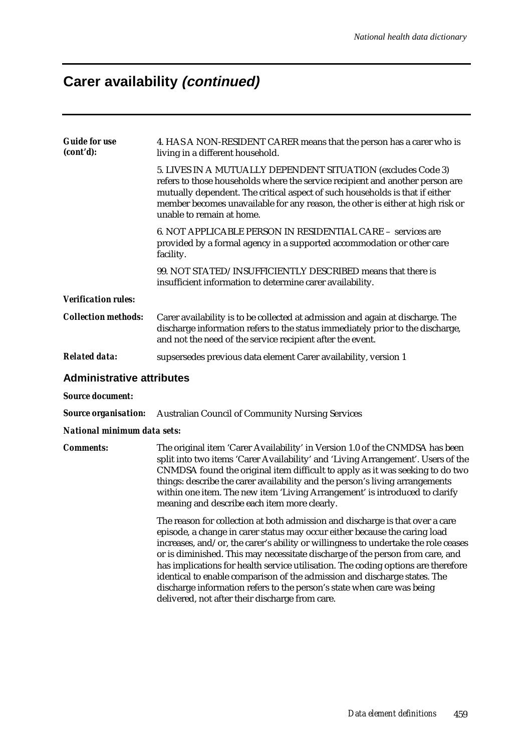### **Carer availability (continued)**

| <b>Guide for use</b><br>(cont'd): | 4. HAS A NON-RESIDENT CARER means that the person has a carer who is<br>living in a different household.                                                                                                                                                                                                                                     |
|-----------------------------------|----------------------------------------------------------------------------------------------------------------------------------------------------------------------------------------------------------------------------------------------------------------------------------------------------------------------------------------------|
|                                   | 5. LIVES IN A MUTUALLY DEPENDENT SITUATION (excludes Code 3)<br>refers to those households where the service recipient and another person are<br>mutually dependent. The critical aspect of such households is that if either<br>member becomes unavailable for any reason, the other is either at high risk or<br>unable to remain at home. |
|                                   | 6. NOT APPLICABLE PERSON IN RESIDENTIAL CARE - services are<br>provided by a formal agency in a supported accommodation or other care<br>facility.                                                                                                                                                                                           |
|                                   | 99. NOT STATED/INSUFFICIENTLY DESCRIBED means that there is<br>insufficient information to determine carer availability.                                                                                                                                                                                                                     |
| <b>Verification rules:</b>        |                                                                                                                                                                                                                                                                                                                                              |
| <b>Collection methods:</b>        | Carer availability is to be collected at admission and again at discharge. The<br>discharge information refers to the status immediately prior to the discharge,<br>and not the need of the service recipient after the event.                                                                                                               |
| <b>Related data:</b>              | supsersedes previous data element Carer availability, version 1                                                                                                                                                                                                                                                                              |

#### **Administrative attributes**

*Source document:*

*Source organisation:* Australian Council of Community Nursing Services

#### *National minimum data sets:*

*Comments:* The original item 'Carer Availability' in Version 1.0 of the CNMDSA has been split into two items 'Carer Availability' and 'Living Arrangement'. Users of the CNMDSA found the original item difficult to apply as it was seeking to do two things: describe the carer availability and the person's living arrangements within one item. The new item 'Living Arrangement' is introduced to clarify meaning and describe each item more clearly.

> The reason for collection at both admission and discharge is that over a care episode, a change in carer status may occur either because the caring load increases, and/or, the carer's ability or willingness to undertake the role ceases or is diminished. This may necessitate discharge of the person from care, and has implications for health service utilisation. The coding options are therefore identical to enable comparison of the admission and discharge states. The discharge information refers to the person's state when care was being delivered, not after their discharge from care.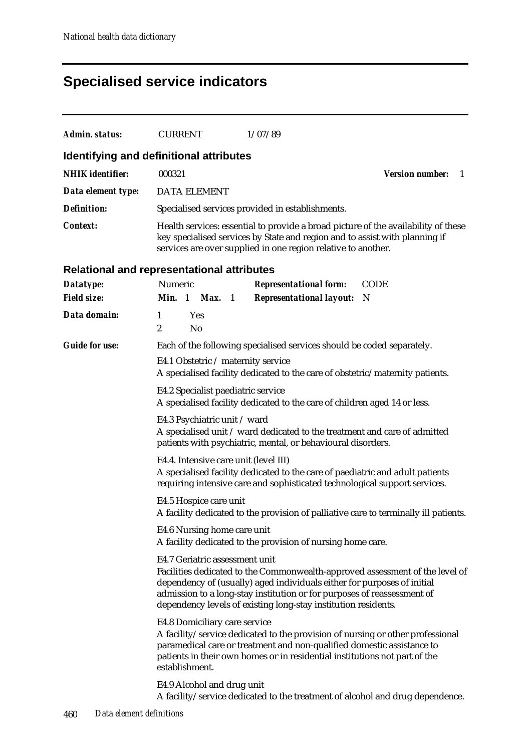# **Specialised service indicators**

| Admin. status:          | <b>CURRENT</b>                                                                                                                                                                                                                                                                                                                         | 1/07/89                                                                                                                                                                                                                            |                             |  |  |  |  |
|-------------------------|----------------------------------------------------------------------------------------------------------------------------------------------------------------------------------------------------------------------------------------------------------------------------------------------------------------------------------------|------------------------------------------------------------------------------------------------------------------------------------------------------------------------------------------------------------------------------------|-----------------------------|--|--|--|--|
|                         | Identifying and definitional attributes                                                                                                                                                                                                                                                                                                |                                                                                                                                                                                                                                    |                             |  |  |  |  |
| <b>NHIK</b> identifier: | 000321                                                                                                                                                                                                                                                                                                                                 |                                                                                                                                                                                                                                    | <b>Version number:</b><br>1 |  |  |  |  |
| Data element type:      | <b>DATA ELEMENT</b>                                                                                                                                                                                                                                                                                                                    |                                                                                                                                                                                                                                    |                             |  |  |  |  |
| <b>Definition:</b>      |                                                                                                                                                                                                                                                                                                                                        | Specialised services provided in establishments.                                                                                                                                                                                   |                             |  |  |  |  |
| Context:                |                                                                                                                                                                                                                                                                                                                                        | Health services: essential to provide a broad picture of the availability of these<br>key specialised services by State and region and to assist with planning if<br>services are over supplied in one region relative to another. |                             |  |  |  |  |
|                         | <b>Relational and representational attributes</b>                                                                                                                                                                                                                                                                                      |                                                                                                                                                                                                                                    |                             |  |  |  |  |
| Datatype:               | Numeric                                                                                                                                                                                                                                                                                                                                | <b>Representational form:</b>                                                                                                                                                                                                      | <b>CODE</b>                 |  |  |  |  |
| <b>Field size:</b>      | Min. 1<br>Max. 1                                                                                                                                                                                                                                                                                                                       | <b>Representational layout:</b><br>N                                                                                                                                                                                               |                             |  |  |  |  |
| Data domain:            | 1<br><b>Yes</b><br>$\boldsymbol{2}$<br>N <sub>0</sub>                                                                                                                                                                                                                                                                                  |                                                                                                                                                                                                                                    |                             |  |  |  |  |
| <b>Guide for use:</b>   |                                                                                                                                                                                                                                                                                                                                        | Each of the following specialised services should be coded separately.                                                                                                                                                             |                             |  |  |  |  |
|                         | E4.1 Obstetric / maternity service                                                                                                                                                                                                                                                                                                     | A specialised facility dedicated to the care of obstetric/maternity patients.                                                                                                                                                      |                             |  |  |  |  |
|                         | E4.2 Specialist paediatric service<br>A specialised facility dedicated to the care of children aged 14 or less.                                                                                                                                                                                                                        |                                                                                                                                                                                                                                    |                             |  |  |  |  |
|                         | E4.3 Psychiatric unit / ward<br>A specialised unit / ward dedicated to the treatment and care of admitted<br>patients with psychiatric, mental, or behavioural disorders.                                                                                                                                                              |                                                                                                                                                                                                                                    |                             |  |  |  |  |
|                         | E4.4. Intensive care unit (level III)<br>A specialised facility dedicated to the care of paediatric and adult patients<br>requiring intensive care and sophisticated technological support services.                                                                                                                                   |                                                                                                                                                                                                                                    |                             |  |  |  |  |
|                         | E4.5 Hospice care unit<br>A facility dedicated to the provision of palliative care to terminally ill patients.                                                                                                                                                                                                                         |                                                                                                                                                                                                                                    |                             |  |  |  |  |
|                         | E4.6 Nursing home care unit<br>A facility dedicated to the provision of nursing home care.                                                                                                                                                                                                                                             |                                                                                                                                                                                                                                    |                             |  |  |  |  |
|                         | E4.7 Geriatric assessment unit<br>Facilities dedicated to the Commonwealth-approved assessment of the level of<br>dependency of (usually) aged individuals either for purposes of initial<br>admission to a long-stay institution or for purposes of reassessment of<br>dependency levels of existing long-stay institution residents. |                                                                                                                                                                                                                                    |                             |  |  |  |  |
|                         | E4.8 Domiciliary care service<br>A facility/service dedicated to the provision of nursing or other professional<br>paramedical care or treatment and non-qualified domestic assistance to<br>patients in their own homes or in residential institutions not part of the<br>establishment.                                              |                                                                                                                                                                                                                                    |                             |  |  |  |  |
|                         | E4.9 Alcohol and drug unit                                                                                                                                                                                                                                                                                                             | A facility/service dedicated to the treatment of alcohol and drug dependence.                                                                                                                                                      |                             |  |  |  |  |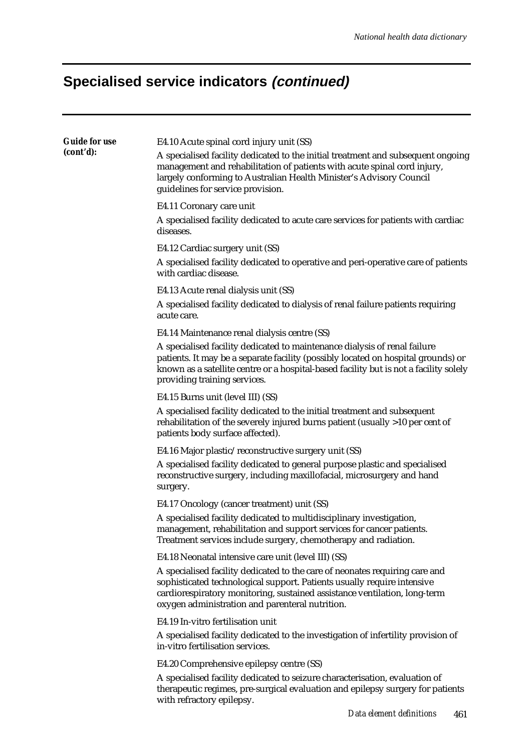# **Specialised service indicators (continued)**

| <b>Guide for use</b><br>(cont'd): | E4.10 Acute spinal cord injury unit (SS)<br>A specialised facility dedicated to the initial treatment and subsequent ongoing<br>management and rehabilitation of patients with acute spinal cord injury,<br>largely conforming to Australian Health Minister's Advisory Council<br>guidelines for service provision. |  |  |  |  |  |  |  |
|-----------------------------------|----------------------------------------------------------------------------------------------------------------------------------------------------------------------------------------------------------------------------------------------------------------------------------------------------------------------|--|--|--|--|--|--|--|
|                                   | E4.11 Coronary care unit                                                                                                                                                                                                                                                                                             |  |  |  |  |  |  |  |
|                                   | A specialised facility dedicated to acute care services for patients with cardiac<br>diseases.                                                                                                                                                                                                                       |  |  |  |  |  |  |  |
|                                   | E4.12 Cardiac surgery unit (SS)                                                                                                                                                                                                                                                                                      |  |  |  |  |  |  |  |
|                                   | A specialised facility dedicated to operative and peri-operative care of patients<br>with cardiac disease.                                                                                                                                                                                                           |  |  |  |  |  |  |  |
|                                   | E4.13 Acute renal dialysis unit (SS)                                                                                                                                                                                                                                                                                 |  |  |  |  |  |  |  |
|                                   | A specialised facility dedicated to dialysis of renal failure patients requiring<br>acute care.                                                                                                                                                                                                                      |  |  |  |  |  |  |  |
|                                   | E4.14 Maintenance renal dialysis centre (SS)                                                                                                                                                                                                                                                                         |  |  |  |  |  |  |  |
|                                   | A specialised facility dedicated to maintenance dialysis of renal failure<br>patients. It may be a separate facility (possibly located on hospital grounds) or<br>known as a satellite centre or a hospital-based facility but is not a facility solely<br>providing training services.                              |  |  |  |  |  |  |  |
|                                   | E4.15 Burns unit (level III) (SS)                                                                                                                                                                                                                                                                                    |  |  |  |  |  |  |  |
|                                   | A specialised facility dedicated to the initial treatment and subsequent<br>rehabilitation of the severely injured burns patient (usually >10 per cent of<br>patients body surface affected).                                                                                                                        |  |  |  |  |  |  |  |
|                                   | E4.16 Major plastic/reconstructive surgery unit (SS)                                                                                                                                                                                                                                                                 |  |  |  |  |  |  |  |
|                                   | A specialised facility dedicated to general purpose plastic and specialised<br>reconstructive surgery, including maxillofacial, microsurgery and hand<br>surgery.                                                                                                                                                    |  |  |  |  |  |  |  |
|                                   | E4.17 Oncology (cancer treatment) unit (SS)                                                                                                                                                                                                                                                                          |  |  |  |  |  |  |  |
|                                   | A specialised facility dedicated to multidisciplinary investigation,<br>management, rehabilitation and support services for cancer patients.<br>Treatment services include surgery, chemotherapy and radiation.                                                                                                      |  |  |  |  |  |  |  |
|                                   | E4.18 Neonatal intensive care unit (level III) (SS)                                                                                                                                                                                                                                                                  |  |  |  |  |  |  |  |
|                                   | A specialised facility dedicated to the care of neonates requiring care and<br>sophisticated technological support. Patients usually require intensive<br>cardiorespiratory monitoring, sustained assistance ventilation, long-term<br>oxygen administration and parenteral nutrition.                               |  |  |  |  |  |  |  |
|                                   | E4.19 In-vitro fertilisation unit                                                                                                                                                                                                                                                                                    |  |  |  |  |  |  |  |
|                                   | A specialised facility dedicated to the investigation of infertility provision of<br>in-vitro fertilisation services.                                                                                                                                                                                                |  |  |  |  |  |  |  |
|                                   | E4.20 Comprehensive epilepsy centre (SS)                                                                                                                                                                                                                                                                             |  |  |  |  |  |  |  |
|                                   | A specialised facility dedicated to seizure characterisation, evaluation of<br>therapeutic regimes, pre-surgical evaluation and epilepsy surgery for patients<br>with refractory epilepsy.                                                                                                                           |  |  |  |  |  |  |  |